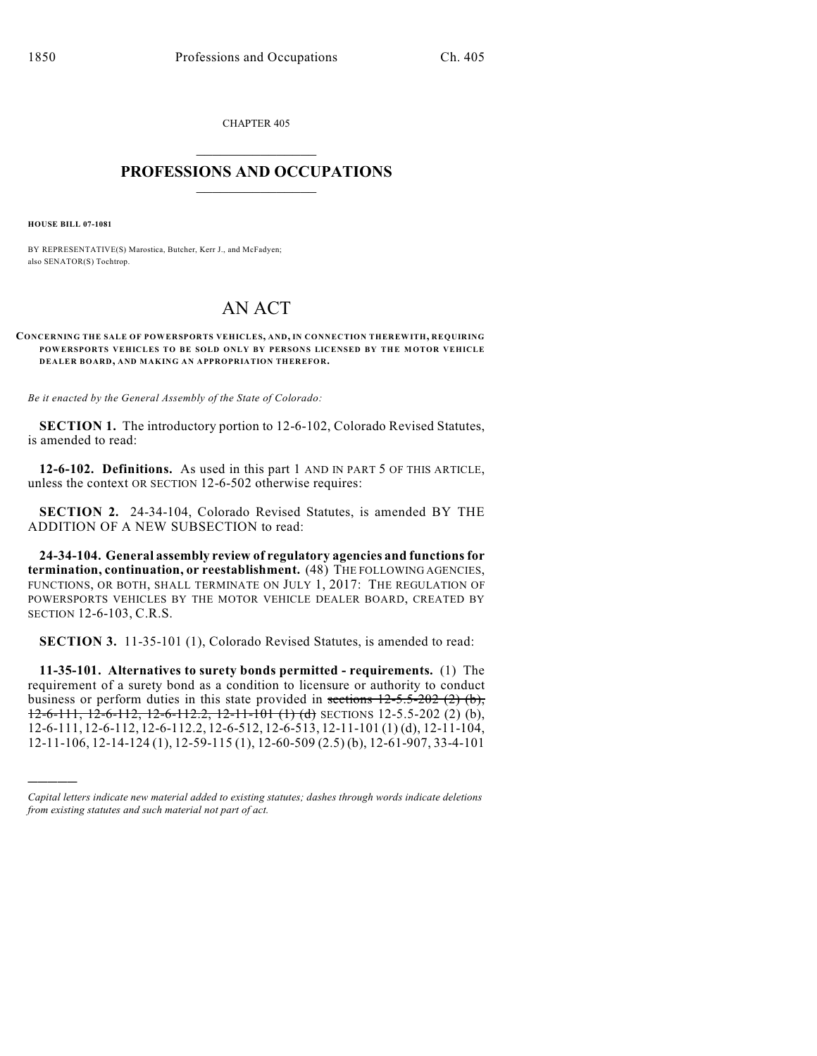CHAPTER 405  $\mathcal{L}_\text{max}$  . The set of the set of the set of the set of the set of the set of the set of the set of the set of the set of the set of the set of the set of the set of the set of the set of the set of the set of the set

## **PROFESSIONS AND OCCUPATIONS**  $\frac{1}{2}$  ,  $\frac{1}{2}$  ,  $\frac{1}{2}$  ,  $\frac{1}{2}$  ,  $\frac{1}{2}$  ,  $\frac{1}{2}$

**HOUSE BILL 07-1081**

)))))

BY REPRESENTATIVE(S) Marostica, Butcher, Kerr J., and McFadyen; also SENATOR(S) Tochtrop.

# AN ACT

#### **CONCERNING THE SALE OF POWERSPORTS VEHICLES, AND, IN CONNECTION THEREWITH, REQUIRING POWERSPORTS VEHICLES TO BE SOLD ONLY BY PERSONS LICENSED BY THE MOTOR VEHICLE DEALER BOARD, AND MAKING AN APPROPRIATION THEREFOR.**

*Be it enacted by the General Assembly of the State of Colorado:*

**SECTION 1.** The introductory portion to 12-6-102, Colorado Revised Statutes, is amended to read:

**12-6-102. Definitions.** As used in this part 1 AND IN PART 5 OF THIS ARTICLE, unless the context OR SECTION 12-6-502 otherwise requires:

**SECTION 2.** 24-34-104, Colorado Revised Statutes, is amended BY THE ADDITION OF A NEW SUBSECTION to read:

**24-34-104. General assembly review of regulatory agencies and functions for termination, continuation, or reestablishment.** (48) THE FOLLOWING AGENCIES, FUNCTIONS, OR BOTH, SHALL TERMINATE ON JULY 1, 2017: THE REGULATION OF POWERSPORTS VEHICLES BY THE MOTOR VEHICLE DEALER BOARD, CREATED BY SECTION 12-6-103, C.R.S.

**SECTION 3.** 11-35-101 (1), Colorado Revised Statutes, is amended to read:

**11-35-101. Alternatives to surety bonds permitted - requirements.** (1) The requirement of a surety bond as a condition to licensure or authority to conduct business or perform duties in this state provided in sections  $12-5.5-202$  (2) (b),  $12-6-111$ ,  $12-6-112$ ,  $12-6-112.2$ ,  $12-11-101$  (1) (d) SECTIONS 12-5.5-202 (2) (b), 12-6-111, 12-6-112, 12-6-112.2, 12-6-512, 12-6-513, 12-11-101 (1) (d), 12-11-104, 12-11-106, 12-14-124 (1), 12-59-115 (1), 12-60-509 (2.5) (b), 12-61-907, 33-4-101

*Capital letters indicate new material added to existing statutes; dashes through words indicate deletions from existing statutes and such material not part of act.*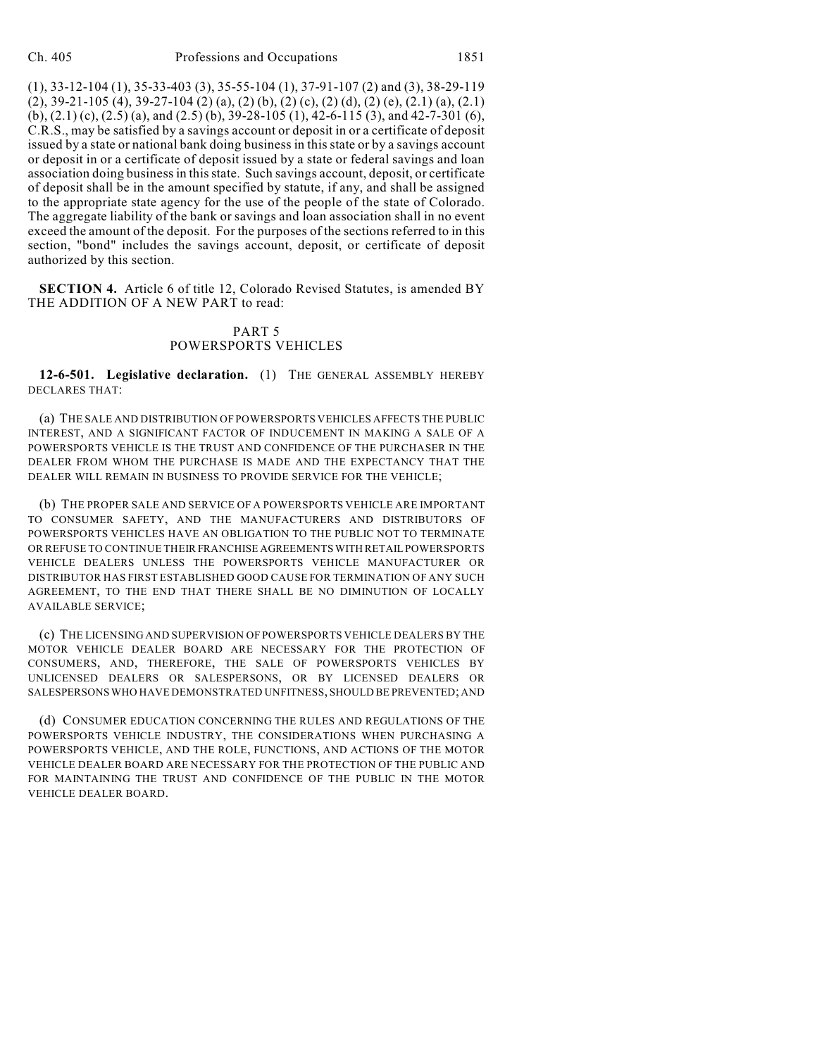(1), 33-12-104 (1), 35-33-403 (3), 35-55-104 (1), 37-91-107 (2) and (3), 38-29-119 (2), 39-21-105 (4), 39-27-104 (2) (a), (2) (b), (2) (c), (2) (d), (2) (e), (2.1) (a), (2.1) (b), (2.1) (c), (2.5) (a), and (2.5) (b), 39-28-105 (1), 42-6-115 (3), and 42-7-301 (6), C.R.S., may be satisfied by a savings account or deposit in or a certificate of deposit issued by a state or national bank doing business in this state or by a savings account or deposit in or a certificate of deposit issued by a state or federal savings and loan association doing businessin this state. Such savings account, deposit, or certificate of deposit shall be in the amount specified by statute, if any, and shall be assigned to the appropriate state agency for the use of the people of the state of Colorado. The aggregate liability of the bank or savings and loan association shall in no event exceed the amount of the deposit. For the purposes of the sections referred to in this section, "bond" includes the savings account, deposit, or certificate of deposit authorized by this section.

**SECTION 4.** Article 6 of title 12, Colorado Revised Statutes, is amended BY THE ADDITION OF A NEW PART to read:

## PART 5 POWERSPORTS VEHICLES

**12-6-501. Legislative declaration.** (1) THE GENERAL ASSEMBLY HEREBY DECLARES THAT:

(a) THE SALE AND DISTRIBUTION OF POWERSPORTS VEHICLES AFFECTS THE PUBLIC INTEREST, AND A SIGNIFICANT FACTOR OF INDUCEMENT IN MAKING A SALE OF A POWERSPORTS VEHICLE IS THE TRUST AND CONFIDENCE OF THE PURCHASER IN THE DEALER FROM WHOM THE PURCHASE IS MADE AND THE EXPECTANCY THAT THE DEALER WILL REMAIN IN BUSINESS TO PROVIDE SERVICE FOR THE VEHICLE;

(b) THE PROPER SALE AND SERVICE OF A POWERSPORTS VEHICLE ARE IMPORTANT TO CONSUMER SAFETY, AND THE MANUFACTURERS AND DISTRIBUTORS OF POWERSPORTS VEHICLES HAVE AN OBLIGATION TO THE PUBLIC NOT TO TERMINATE OR REFUSE TO CONTINUE THEIR FRANCHISE AGREEMENTS WITH RETAIL POWERSPORTS VEHICLE DEALERS UNLESS THE POWERSPORTS VEHICLE MANUFACTURER OR DISTRIBUTOR HAS FIRST ESTABLISHED GOOD CAUSE FOR TERMINATION OF ANY SUCH AGREEMENT, TO THE END THAT THERE SHALL BE NO DIMINUTION OF LOCALLY AVAILABLE SERVICE;

(c) THE LICENSING AND SUPERVISION OF POWERSPORTS VEHICLE DEALERS BY THE MOTOR VEHICLE DEALER BOARD ARE NECESSARY FOR THE PROTECTION OF CONSUMERS, AND, THEREFORE, THE SALE OF POWERSPORTS VEHICLES BY UNLICENSED DEALERS OR SALESPERSONS, OR BY LICENSED DEALERS OR SALESPERSONS WHO HAVE DEMONSTRATED UNFITNESS, SHOULD BE PREVENTED; AND

(d) CONSUMER EDUCATION CONCERNING THE RULES AND REGULATIONS OF THE POWERSPORTS VEHICLE INDUSTRY, THE CONSIDERATIONS WHEN PURCHASING A POWERSPORTS VEHICLE, AND THE ROLE, FUNCTIONS, AND ACTIONS OF THE MOTOR VEHICLE DEALER BOARD ARE NECESSARY FOR THE PROTECTION OF THE PUBLIC AND FOR MAINTAINING THE TRUST AND CONFIDENCE OF THE PUBLIC IN THE MOTOR VEHICLE DEALER BOARD.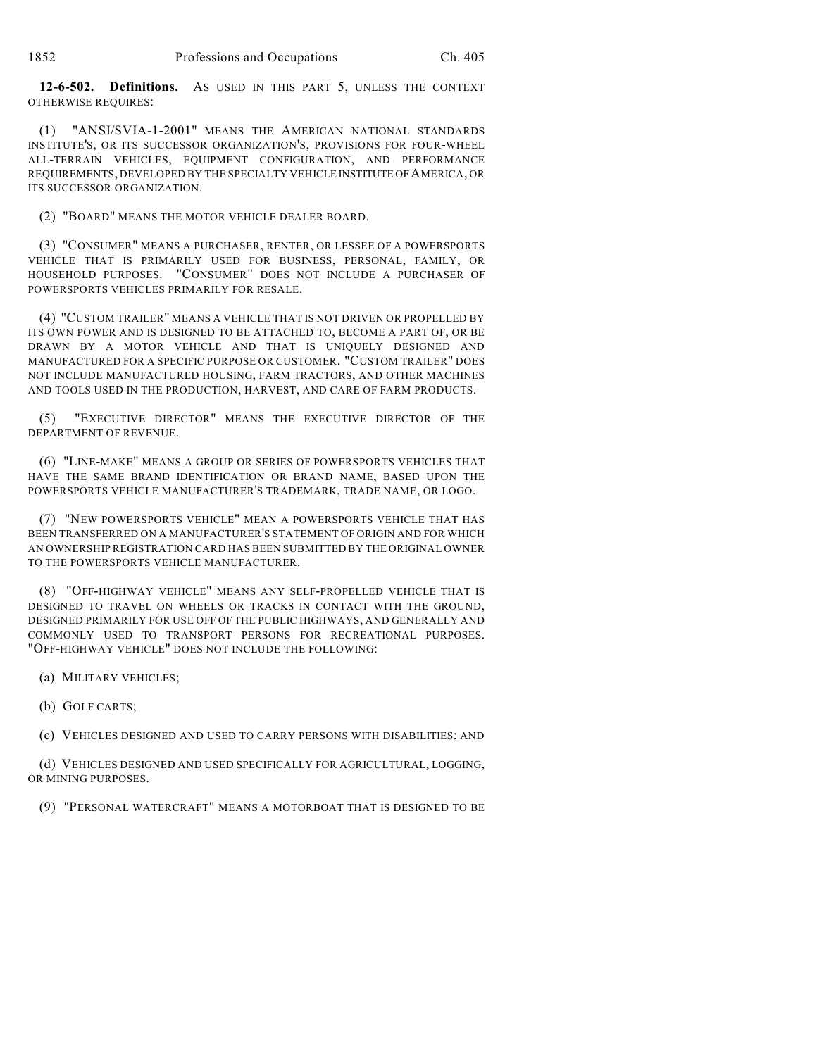**12-6-502. Definitions.** AS USED IN THIS PART 5, UNLESS THE CONTEXT OTHERWISE REQUIRES:

(1) "ANSI/SVIA-1-2001" MEANS THE AMERICAN NATIONAL STANDARDS INSTITUTE'S, OR ITS SUCCESSOR ORGANIZATION'S, PROVISIONS FOR FOUR-WHEEL ALL-TERRAIN VEHICLES, EQUIPMENT CONFIGURATION, AND PERFORMANCE REQUIREMENTS, DEVELOPED BY THE SPECIALTY VEHICLE INSTITUTE OF AMERICA, OR ITS SUCCESSOR ORGANIZATION.

(2) "BOARD" MEANS THE MOTOR VEHICLE DEALER BOARD.

(3) "CONSUMER" MEANS A PURCHASER, RENTER, OR LESSEE OF A POWERSPORTS VEHICLE THAT IS PRIMARILY USED FOR BUSINESS, PERSONAL, FAMILY, OR HOUSEHOLD PURPOSES. "CONSUMER" DOES NOT INCLUDE A PURCHASER OF POWERSPORTS VEHICLES PRIMARILY FOR RESALE.

(4) "CUSTOM TRAILER" MEANS A VEHICLE THAT IS NOT DRIVEN OR PROPELLED BY ITS OWN POWER AND IS DESIGNED TO BE ATTACHED TO, BECOME A PART OF, OR BE DRAWN BY A MOTOR VEHICLE AND THAT IS UNIQUELY DESIGNED AND MANUFACTURED FOR A SPECIFIC PURPOSE OR CUSTOMER. "CUSTOM TRAILER" DOES NOT INCLUDE MANUFACTURED HOUSING, FARM TRACTORS, AND OTHER MACHINES AND TOOLS USED IN THE PRODUCTION, HARVEST, AND CARE OF FARM PRODUCTS.

(5) "EXECUTIVE DIRECTOR" MEANS THE EXECUTIVE DIRECTOR OF THE DEPARTMENT OF REVENUE.

(6) "LINE-MAKE" MEANS A GROUP OR SERIES OF POWERSPORTS VEHICLES THAT HAVE THE SAME BRAND IDENTIFICATION OR BRAND NAME, BASED UPON THE POWERSPORTS VEHICLE MANUFACTURER'S TRADEMARK, TRADE NAME, OR LOGO.

(7) "NEW POWERSPORTS VEHICLE" MEAN A POWERSPORTS VEHICLE THAT HAS BEEN TRANSFERRED ON A MANUFACTURER'S STATEMENT OF ORIGIN AND FOR WHICH AN OWNERSHIP REGISTRATION CARD HAS BEEN SUBMITTED BY THE ORIGINAL OWNER TO THE POWERSPORTS VEHICLE MANUFACTURER.

(8) "OFF-HIGHWAY VEHICLE" MEANS ANY SELF-PROPELLED VEHICLE THAT IS DESIGNED TO TRAVEL ON WHEELS OR TRACKS IN CONTACT WITH THE GROUND, DESIGNED PRIMARILY FOR USE OFF OF THE PUBLIC HIGHWAYS, AND GENERALLY AND COMMONLY USED TO TRANSPORT PERSONS FOR RECREATIONAL PURPOSES. "OFF-HIGHWAY VEHICLE" DOES NOT INCLUDE THE FOLLOWING:

(a) MILITARY VEHICLES;

(b) GOLF CARTS;

(c) VEHICLES DESIGNED AND USED TO CARRY PERSONS WITH DISABILITIES; AND

(d) VEHICLES DESIGNED AND USED SPECIFICALLY FOR AGRICULTURAL, LOGGING, OR MINING PURPOSES.

(9) "PERSONAL WATERCRAFT" MEANS A MOTORBOAT THAT IS DESIGNED TO BE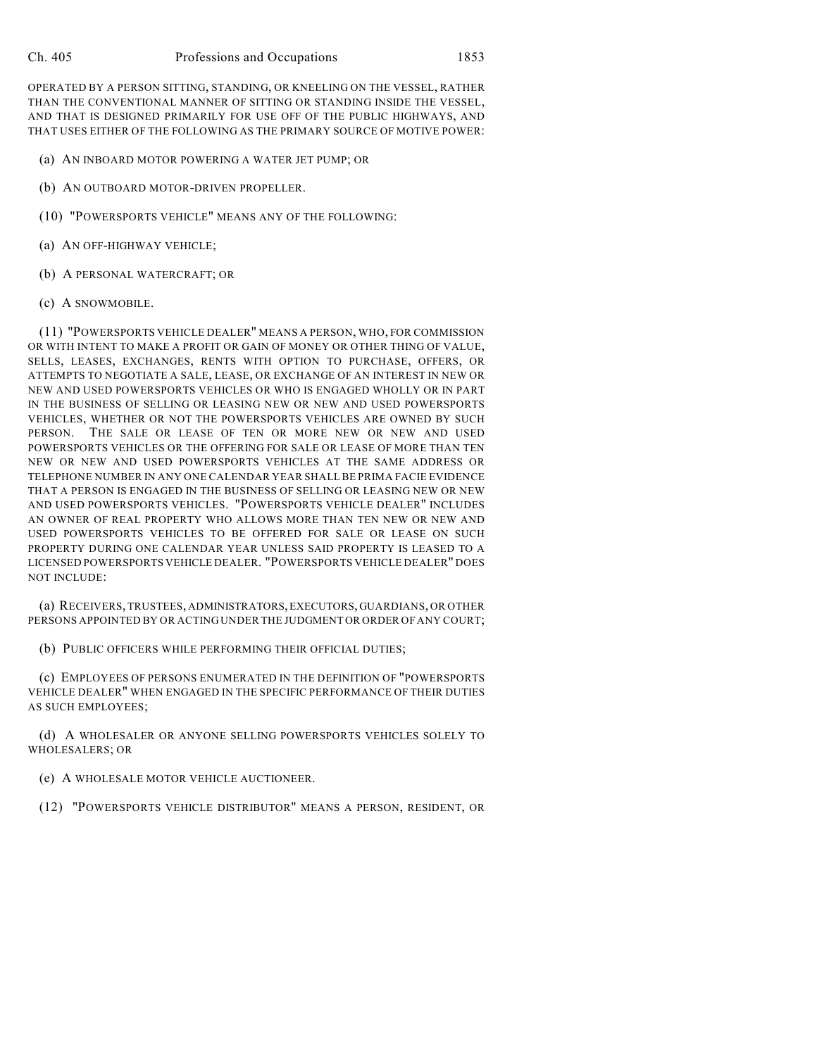OPERATED BY A PERSON SITTING, STANDING, OR KNEELING ON THE VESSEL, RATHER THAN THE CONVENTIONAL MANNER OF SITTING OR STANDING INSIDE THE VESSEL, AND THAT IS DESIGNED PRIMARILY FOR USE OFF OF THE PUBLIC HIGHWAYS, AND THAT USES EITHER OF THE FOLLOWING AS THE PRIMARY SOURCE OF MOTIVE POWER:

- (a) AN INBOARD MOTOR POWERING A WATER JET PUMP; OR
- (b) AN OUTBOARD MOTOR-DRIVEN PROPELLER.
- (10) "POWERSPORTS VEHICLE" MEANS ANY OF THE FOLLOWING:
- (a) AN OFF-HIGHWAY VEHICLE;
- (b) A PERSONAL WATERCRAFT; OR
- (c) A SNOWMOBILE.

(11) "POWERSPORTS VEHICLE DEALER" MEANS A PERSON, WHO, FOR COMMISSION OR WITH INTENT TO MAKE A PROFIT OR GAIN OF MONEY OR OTHER THING OF VALUE, SELLS, LEASES, EXCHANGES, RENTS WITH OPTION TO PURCHASE, OFFERS, OR ATTEMPTS TO NEGOTIATE A SALE, LEASE, OR EXCHANGE OF AN INTEREST IN NEW OR NEW AND USED POWERSPORTS VEHICLES OR WHO IS ENGAGED WHOLLY OR IN PART IN THE BUSINESS OF SELLING OR LEASING NEW OR NEW AND USED POWERSPORTS VEHICLES, WHETHER OR NOT THE POWERSPORTS VEHICLES ARE OWNED BY SUCH PERSON. THE SALE OR LEASE OF TEN OR MORE NEW OR NEW AND USED POWERSPORTS VEHICLES OR THE OFFERING FOR SALE OR LEASE OF MORE THAN TEN NEW OR NEW AND USED POWERSPORTS VEHICLES AT THE SAME ADDRESS OR TELEPHONE NUMBER IN ANY ONE CALENDAR YEAR SHALL BE PRIMA FACIE EVIDENCE THAT A PERSON IS ENGAGED IN THE BUSINESS OF SELLING OR LEASING NEW OR NEW AND USED POWERSPORTS VEHICLES. "POWERSPORTS VEHICLE DEALER" INCLUDES AN OWNER OF REAL PROPERTY WHO ALLOWS MORE THAN TEN NEW OR NEW AND USED POWERSPORTS VEHICLES TO BE OFFERED FOR SALE OR LEASE ON SUCH PROPERTY DURING ONE CALENDAR YEAR UNLESS SAID PROPERTY IS LEASED TO A LICENSED POWERSPORTS VEHICLE DEALER. "POWERSPORTS VEHICLE DEALER" DOES NOT INCLUDE:

(a) RECEIVERS, TRUSTEES, ADMINISTRATORS, EXECUTORS, GUARDIANS, OR OTHER PERSONS APPOINTED BY OR ACTING UNDER THE JUDGMENT OR ORDER OF ANY COURT;

(b) PUBLIC OFFICERS WHILE PERFORMING THEIR OFFICIAL DUTIES;

(c) EMPLOYEES OF PERSONS ENUMERATED IN THE DEFINITION OF "POWERSPORTS VEHICLE DEALER" WHEN ENGAGED IN THE SPECIFIC PERFORMANCE OF THEIR DUTIES AS SUCH EMPLOYEES;

(d) A WHOLESALER OR ANYONE SELLING POWERSPORTS VEHICLES SOLELY TO WHOLESALERS; OR

(e) A WHOLESALE MOTOR VEHICLE AUCTIONEER.

(12) "POWERSPORTS VEHICLE DISTRIBUTOR" MEANS A PERSON, RESIDENT, OR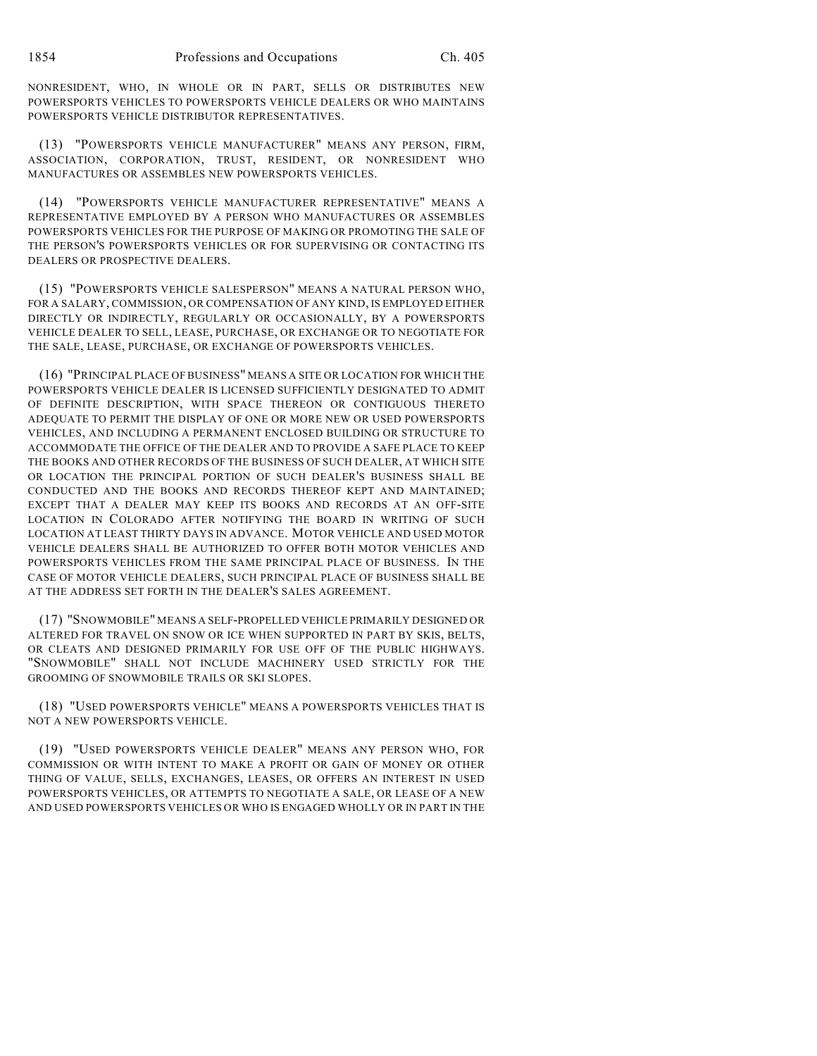NONRESIDENT, WHO, IN WHOLE OR IN PART, SELLS OR DISTRIBUTES NEW POWERSPORTS VEHICLES TO POWERSPORTS VEHICLE DEALERS OR WHO MAINTAINS POWERSPORTS VEHICLE DISTRIBUTOR REPRESENTATIVES.

(13) "POWERSPORTS VEHICLE MANUFACTURER" MEANS ANY PERSON, FIRM, ASSOCIATION, CORPORATION, TRUST, RESIDENT, OR NONRESIDENT WHO MANUFACTURES OR ASSEMBLES NEW POWERSPORTS VEHICLES.

(14) "POWERSPORTS VEHICLE MANUFACTURER REPRESENTATIVE" MEANS A REPRESENTATIVE EMPLOYED BY A PERSON WHO MANUFACTURES OR ASSEMBLES POWERSPORTS VEHICLES FOR THE PURPOSE OF MAKING OR PROMOTING THE SALE OF THE PERSON'S POWERSPORTS VEHICLES OR FOR SUPERVISING OR CONTACTING ITS DEALERS OR PROSPECTIVE DEALERS.

(15) "POWERSPORTS VEHICLE SALESPERSON" MEANS A NATURAL PERSON WHO, FOR A SALARY, COMMISSION, OR COMPENSATION OF ANY KIND, IS EMPLOYED EITHER DIRECTLY OR INDIRECTLY, REGULARLY OR OCCASIONALLY, BY A POWERSPORTS VEHICLE DEALER TO SELL, LEASE, PURCHASE, OR EXCHANGE OR TO NEGOTIATE FOR THE SALE, LEASE, PURCHASE, OR EXCHANGE OF POWERSPORTS VEHICLES.

(16) "PRINCIPAL PLACE OF BUSINESS" MEANS A SITE OR LOCATION FOR WHICH THE POWERSPORTS VEHICLE DEALER IS LICENSED SUFFICIENTLY DESIGNATED TO ADMIT OF DEFINITE DESCRIPTION, WITH SPACE THEREON OR CONTIGUOUS THERETO ADEQUATE TO PERMIT THE DISPLAY OF ONE OR MORE NEW OR USED POWERSPORTS VEHICLES, AND INCLUDING A PERMANENT ENCLOSED BUILDING OR STRUCTURE TO ACCOMMODATE THE OFFICE OF THE DEALER AND TO PROVIDE A SAFE PLACE TO KEEP THE BOOKS AND OTHER RECORDS OF THE BUSINESS OF SUCH DEALER, AT WHICH SITE OR LOCATION THE PRINCIPAL PORTION OF SUCH DEALER'S BUSINESS SHALL BE CONDUCTED AND THE BOOKS AND RECORDS THEREOF KEPT AND MAINTAINED; EXCEPT THAT A DEALER MAY KEEP ITS BOOKS AND RECORDS AT AN OFF-SITE LOCATION IN COLORADO AFTER NOTIFYING THE BOARD IN WRITING OF SUCH LOCATION AT LEAST THIRTY DAYS IN ADVANCE. MOTOR VEHICLE AND USED MOTOR VEHICLE DEALERS SHALL BE AUTHORIZED TO OFFER BOTH MOTOR VEHICLES AND POWERSPORTS VEHICLES FROM THE SAME PRINCIPAL PLACE OF BUSINESS. IN THE CASE OF MOTOR VEHICLE DEALERS, SUCH PRINCIPAL PLACE OF BUSINESS SHALL BE AT THE ADDRESS SET FORTH IN THE DEALER'S SALES AGREEMENT.

(17) "SNOWMOBILE" MEANS A SELF-PROPELLED VEHICLE PRIMARILY DESIGNED OR ALTERED FOR TRAVEL ON SNOW OR ICE WHEN SUPPORTED IN PART BY SKIS, BELTS, OR CLEATS AND DESIGNED PRIMARILY FOR USE OFF OF THE PUBLIC HIGHWAYS. "SNOWMOBILE" SHALL NOT INCLUDE MACHINERY USED STRICTLY FOR THE GROOMING OF SNOWMOBILE TRAILS OR SKI SLOPES.

(18) "USED POWERSPORTS VEHICLE" MEANS A POWERSPORTS VEHICLES THAT IS NOT A NEW POWERSPORTS VEHICLE.

(19) "USED POWERSPORTS VEHICLE DEALER" MEANS ANY PERSON WHO, FOR COMMISSION OR WITH INTENT TO MAKE A PROFIT OR GAIN OF MONEY OR OTHER THING OF VALUE, SELLS, EXCHANGES, LEASES, OR OFFERS AN INTEREST IN USED POWERSPORTS VEHICLES, OR ATTEMPTS TO NEGOTIATE A SALE, OR LEASE OF A NEW AND USED POWERSPORTS VEHICLES OR WHO IS ENGAGED WHOLLY OR IN PART IN THE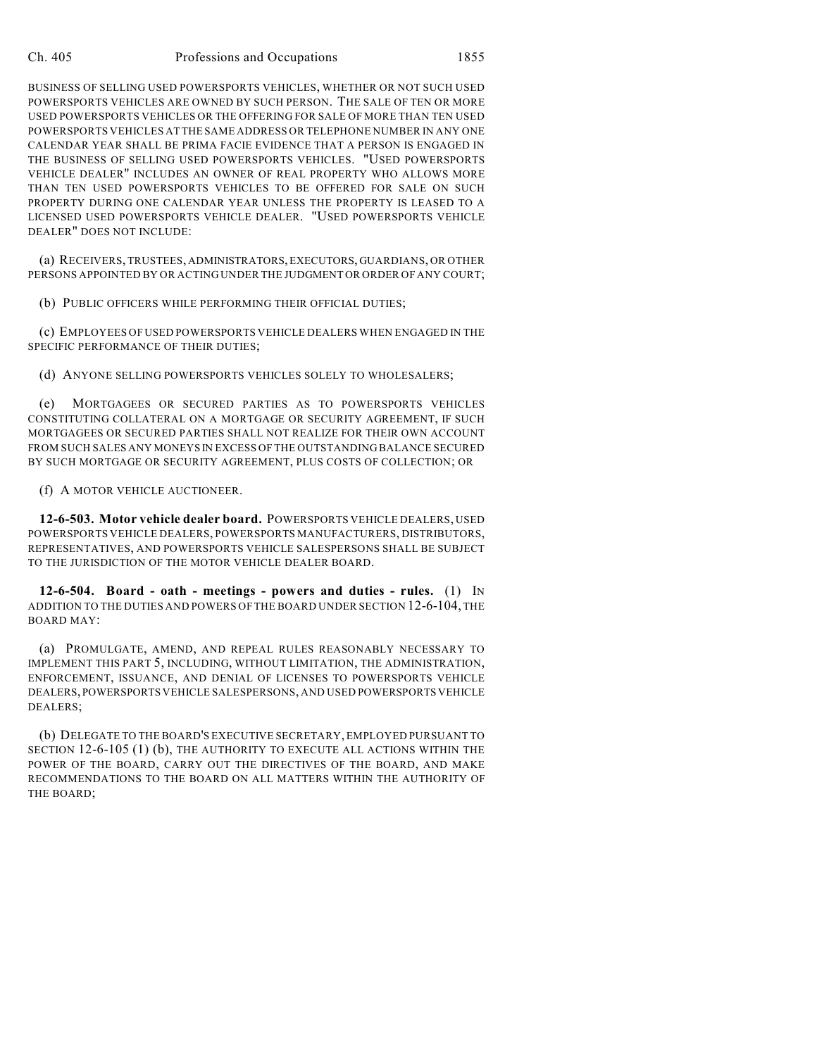#### Ch. 405 Professions and Occupations 1855

BUSINESS OF SELLING USED POWERSPORTS VEHICLES, WHETHER OR NOT SUCH USED POWERSPORTS VEHICLES ARE OWNED BY SUCH PERSON. THE SALE OF TEN OR MORE USED POWERSPORTS VEHICLES OR THE OFFERING FOR SALE OF MORE THAN TEN USED POWERSPORTS VEHICLES AT THE SAME ADDRESS OR TELEPHONE NUMBER IN ANY ONE CALENDAR YEAR SHALL BE PRIMA FACIE EVIDENCE THAT A PERSON IS ENGAGED IN THE BUSINESS OF SELLING USED POWERSPORTS VEHICLES. "USED POWERSPORTS VEHICLE DEALER" INCLUDES AN OWNER OF REAL PROPERTY WHO ALLOWS MORE THAN TEN USED POWERSPORTS VEHICLES TO BE OFFERED FOR SALE ON SUCH PROPERTY DURING ONE CALENDAR YEAR UNLESS THE PROPERTY IS LEASED TO A LICENSED USED POWERSPORTS VEHICLE DEALER. "USED POWERSPORTS VEHICLE DEALER" DOES NOT INCLUDE:

(a) RECEIVERS, TRUSTEES, ADMINISTRATORS, EXECUTORS, GUARDIANS, OR OTHER PERSONS APPOINTED BY OR ACTING UNDER THE JUDGMENT OR ORDER OF ANY COURT;

(b) PUBLIC OFFICERS WHILE PERFORMING THEIR OFFICIAL DUTIES;

(c) EMPLOYEES OF USED POWERSPORTS VEHICLE DEALERS WHEN ENGAGED IN THE SPECIFIC PERFORMANCE OF THEIR DUTIES;

(d) ANYONE SELLING POWERSPORTS VEHICLES SOLELY TO WHOLESALERS;

(e) MORTGAGEES OR SECURED PARTIES AS TO POWERSPORTS VEHICLES CONSTITUTING COLLATERAL ON A MORTGAGE OR SECURITY AGREEMENT, IF SUCH MORTGAGEES OR SECURED PARTIES SHALL NOT REALIZE FOR THEIR OWN ACCOUNT FROM SUCH SALES ANY MONEYS IN EXCESS OF THE OUTSTANDING BALANCE SECURED BY SUCH MORTGAGE OR SECURITY AGREEMENT, PLUS COSTS OF COLLECTION; OR

#### (f) A MOTOR VEHICLE AUCTIONEER.

**12-6-503. Motor vehicle dealer board.** POWERSPORTS VEHICLE DEALERS, USED POWERSPORTS VEHICLE DEALERS, POWERSPORTS MANUFACTURERS, DISTRIBUTORS, REPRESENTATIVES, AND POWERSPORTS VEHICLE SALESPERSONS SHALL BE SUBJECT TO THE JURISDICTION OF THE MOTOR VEHICLE DEALER BOARD.

**12-6-504. Board - oath - meetings - powers and duties - rules.** (1) IN ADDITION TO THE DUTIES AND POWERS OF THE BOARD UNDER SECTION 12-6-104, THE BOARD MAY:

(a) PROMULGATE, AMEND, AND REPEAL RULES REASONABLY NECESSARY TO IMPLEMENT THIS PART 5, INCLUDING, WITHOUT LIMITATION, THE ADMINISTRATION, ENFORCEMENT, ISSUANCE, AND DENIAL OF LICENSES TO POWERSPORTS VEHICLE DEALERS, POWERSPORTS VEHICLE SALESPERSONS, AND USED POWERSPORTS VEHICLE DEALERS;

(b) DELEGATE TO THE BOARD'S EXECUTIVE SECRETARY, EMPLOYED PURSUANT TO SECTION 12-6-105 (1) (b), THE AUTHORITY TO EXECUTE ALL ACTIONS WITHIN THE POWER OF THE BOARD, CARRY OUT THE DIRECTIVES OF THE BOARD, AND MAKE RECOMMENDATIONS TO THE BOARD ON ALL MATTERS WITHIN THE AUTHORITY OF THE BOARD;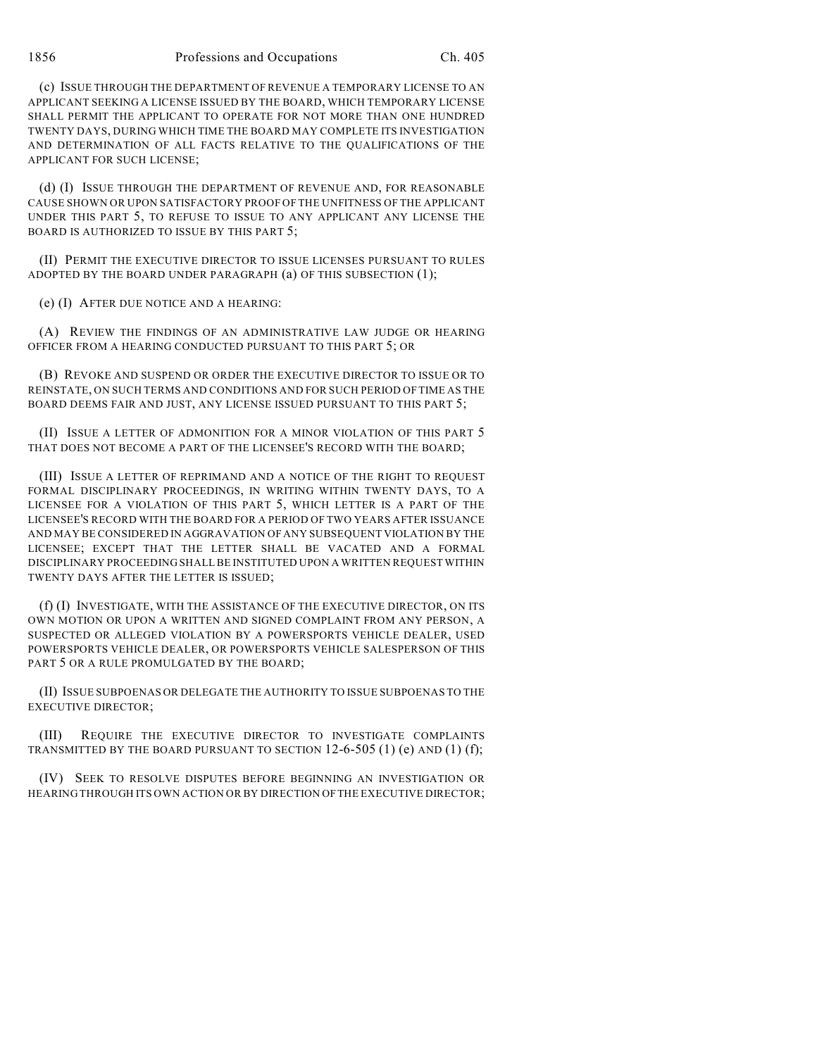(c) ISSUE THROUGH THE DEPARTMENT OF REVENUE A TEMPORARY LICENSE TO AN APPLICANT SEEKING A LICENSE ISSUED BY THE BOARD, WHICH TEMPORARY LICENSE SHALL PERMIT THE APPLICANT TO OPERATE FOR NOT MORE THAN ONE HUNDRED TWENTY DAYS, DURING WHICH TIME THE BOARD MAY COMPLETE ITS INVESTIGATION AND DETERMINATION OF ALL FACTS RELATIVE TO THE QUALIFICATIONS OF THE APPLICANT FOR SUCH LICENSE;

(d) (I) ISSUE THROUGH THE DEPARTMENT OF REVENUE AND, FOR REASONABLE CAUSE SHOWN OR UPON SATISFACTORY PROOF OF THE UNFITNESS OF THE APPLICANT UNDER THIS PART 5, TO REFUSE TO ISSUE TO ANY APPLICANT ANY LICENSE THE BOARD IS AUTHORIZED TO ISSUE BY THIS PART 5;

(II) PERMIT THE EXECUTIVE DIRECTOR TO ISSUE LICENSES PURSUANT TO RULES ADOPTED BY THE BOARD UNDER PARAGRAPH (a) OF THIS SUBSECTION (1);

(e) (I) AFTER DUE NOTICE AND A HEARING:

(A) REVIEW THE FINDINGS OF AN ADMINISTRATIVE LAW JUDGE OR HEARING OFFICER FROM A HEARING CONDUCTED PURSUANT TO THIS PART 5; OR

(B) REVOKE AND SUSPEND OR ORDER THE EXECUTIVE DIRECTOR TO ISSUE OR TO REINSTATE, ON SUCH TERMS AND CONDITIONS AND FOR SUCH PERIOD OF TIME AS THE BOARD DEEMS FAIR AND JUST, ANY LICENSE ISSUED PURSUANT TO THIS PART 5;

(II) ISSUE A LETTER OF ADMONITION FOR A MINOR VIOLATION OF THIS PART 5 THAT DOES NOT BECOME A PART OF THE LICENSEE'S RECORD WITH THE BOARD;

(III) ISSUE A LETTER OF REPRIMAND AND A NOTICE OF THE RIGHT TO REQUEST FORMAL DISCIPLINARY PROCEEDINGS, IN WRITING WITHIN TWENTY DAYS, TO A LICENSEE FOR A VIOLATION OF THIS PART 5, WHICH LETTER IS A PART OF THE LICENSEE'S RECORD WITH THE BOARD FOR A PERIOD OF TWO YEARS AFTER ISSUANCE AND MAY BE CONSIDERED IN AGGRAVATION OF ANY SUBSEQUENT VIOLATION BY THE LICENSEE; EXCEPT THAT THE LETTER SHALL BE VACATED AND A FORMAL DISCIPLINARY PROCEEDING SHALL BE INSTITUTED UPON A WRITTEN REQUEST WITHIN TWENTY DAYS AFTER THE LETTER IS ISSUED;

(f) (I) INVESTIGATE, WITH THE ASSISTANCE OF THE EXECUTIVE DIRECTOR, ON ITS OWN MOTION OR UPON A WRITTEN AND SIGNED COMPLAINT FROM ANY PERSON, A SUSPECTED OR ALLEGED VIOLATION BY A POWERSPORTS VEHICLE DEALER, USED POWERSPORTS VEHICLE DEALER, OR POWERSPORTS VEHICLE SALESPERSON OF THIS PART 5 OR A RULE PROMULGATED BY THE BOARD;

(II) ISSUE SUBPOENAS OR DELEGATE THE AUTHORITY TO ISSUE SUBPOENAS TO THE EXECUTIVE DIRECTOR;

(III) REQUIRE THE EXECUTIVE DIRECTOR TO INVESTIGATE COMPLAINTS TRANSMITTED BY THE BOARD PURSUANT TO SECTION  $12-6-505$  (1) (e) AND (1) (f);

(IV) SEEK TO RESOLVE DISPUTES BEFORE BEGINNING AN INVESTIGATION OR HEARING THROUGH ITS OWN ACTION OR BY DIRECTION OF THE EXECUTIVE DIRECTOR;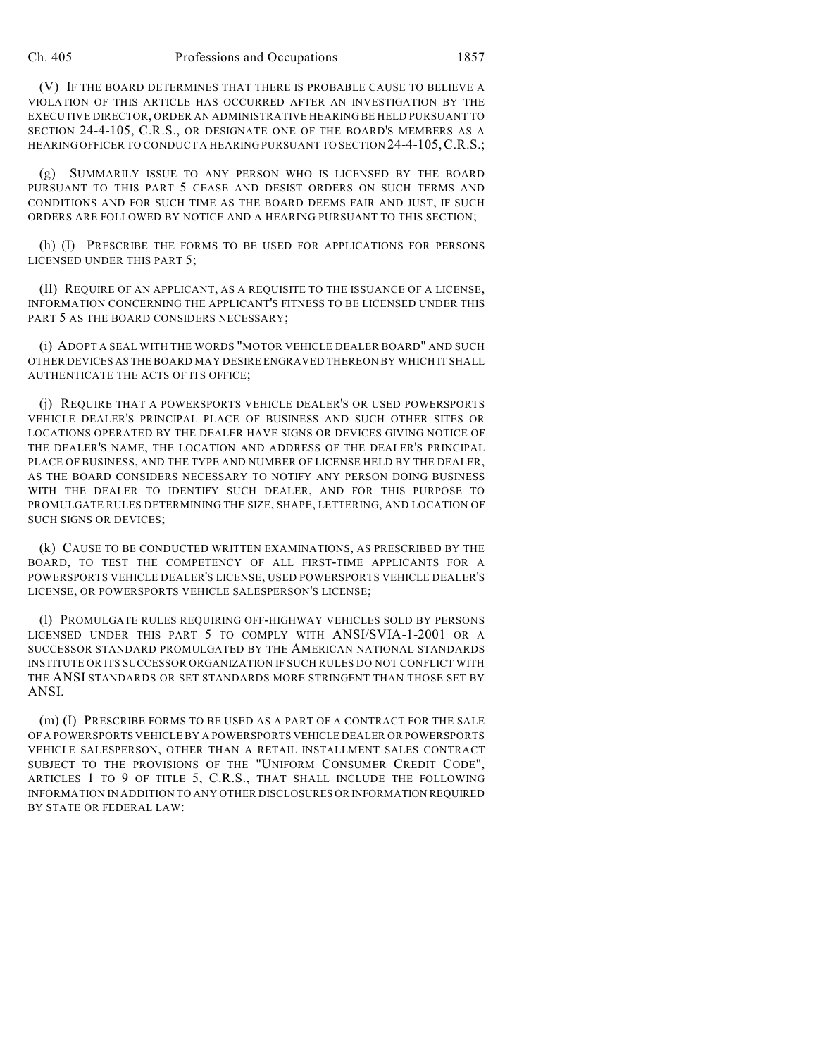(V) IF THE BOARD DETERMINES THAT THERE IS PROBABLE CAUSE TO BELIEVE A VIOLATION OF THIS ARTICLE HAS OCCURRED AFTER AN INVESTIGATION BY THE EXECUTIVE DIRECTOR, ORDER AN ADMINISTRATIVE HEARING BE HELD PURSUANT TO SECTION 24-4-105, C.R.S., OR DESIGNATE ONE OF THE BOARD'S MEMBERS AS A HEARING OFFICER TO CONDUCT A HEARING PURSUANT TO SECTION 24-4-105,C.R.S.;

(g) SUMMARILY ISSUE TO ANY PERSON WHO IS LICENSED BY THE BOARD PURSUANT TO THIS PART 5 CEASE AND DESIST ORDERS ON SUCH TERMS AND CONDITIONS AND FOR SUCH TIME AS THE BOARD DEEMS FAIR AND JUST, IF SUCH ORDERS ARE FOLLOWED BY NOTICE AND A HEARING PURSUANT TO THIS SECTION;

(h) (I) PRESCRIBE THE FORMS TO BE USED FOR APPLICATIONS FOR PERSONS LICENSED UNDER THIS PART 5;

(II) REQUIRE OF AN APPLICANT, AS A REQUISITE TO THE ISSUANCE OF A LICENSE, INFORMATION CONCERNING THE APPLICANT'S FITNESS TO BE LICENSED UNDER THIS PART 5 AS THE BOARD CONSIDERS NECESSARY;

(i) ADOPT A SEAL WITH THE WORDS "MOTOR VEHICLE DEALER BOARD" AND SUCH OTHER DEVICES AS THE BOARD MAY DESIRE ENGRAVED THEREON BY WHICH IT SHALL AUTHENTICATE THE ACTS OF ITS OFFICE;

(j) REQUIRE THAT A POWERSPORTS VEHICLE DEALER'S OR USED POWERSPORTS VEHICLE DEALER'S PRINCIPAL PLACE OF BUSINESS AND SUCH OTHER SITES OR LOCATIONS OPERATED BY THE DEALER HAVE SIGNS OR DEVICES GIVING NOTICE OF THE DEALER'S NAME, THE LOCATION AND ADDRESS OF THE DEALER'S PRINCIPAL PLACE OF BUSINESS, AND THE TYPE AND NUMBER OF LICENSE HELD BY THE DEALER, AS THE BOARD CONSIDERS NECESSARY TO NOTIFY ANY PERSON DOING BUSINESS WITH THE DEALER TO IDENTIFY SUCH DEALER, AND FOR THIS PURPOSE TO PROMULGATE RULES DETERMINING THE SIZE, SHAPE, LETTERING, AND LOCATION OF SUCH SIGNS OR DEVICES;

(k) CAUSE TO BE CONDUCTED WRITTEN EXAMINATIONS, AS PRESCRIBED BY THE BOARD, TO TEST THE COMPETENCY OF ALL FIRST-TIME APPLICANTS FOR A POWERSPORTS VEHICLE DEALER'S LICENSE, USED POWERSPORTS VEHICLE DEALER'S LICENSE, OR POWERSPORTS VEHICLE SALESPERSON'S LICENSE;

(l) PROMULGATE RULES REQUIRING OFF-HIGHWAY VEHICLES SOLD BY PERSONS LICENSED UNDER THIS PART 5 TO COMPLY WITH ANSI/SVIA-1-2001 OR A SUCCESSOR STANDARD PROMULGATED BY THE AMERICAN NATIONAL STANDARDS INSTITUTE OR ITS SUCCESSOR ORGANIZATION IF SUCH RULES DO NOT CONFLICT WITH THE ANSI STANDARDS OR SET STANDARDS MORE STRINGENT THAN THOSE SET BY ANSI.

(m) (I) PRESCRIBE FORMS TO BE USED AS A PART OF A CONTRACT FOR THE SALE OF A POWERSPORTS VEHICLE BY A POWERSPORTS VEHICLE DEALER OR POWERSPORTS VEHICLE SALESPERSON, OTHER THAN A RETAIL INSTALLMENT SALES CONTRACT SUBJECT TO THE PROVISIONS OF THE "UNIFORM CONSUMER CREDIT CODE", ARTICLES 1 TO 9 OF TITLE 5, C.R.S., THAT SHALL INCLUDE THE FOLLOWING INFORMATION IN ADDITION TO ANY OTHER DISCLOSURES OR INFORMATION REQUIRED BY STATE OR FEDERAL LAW: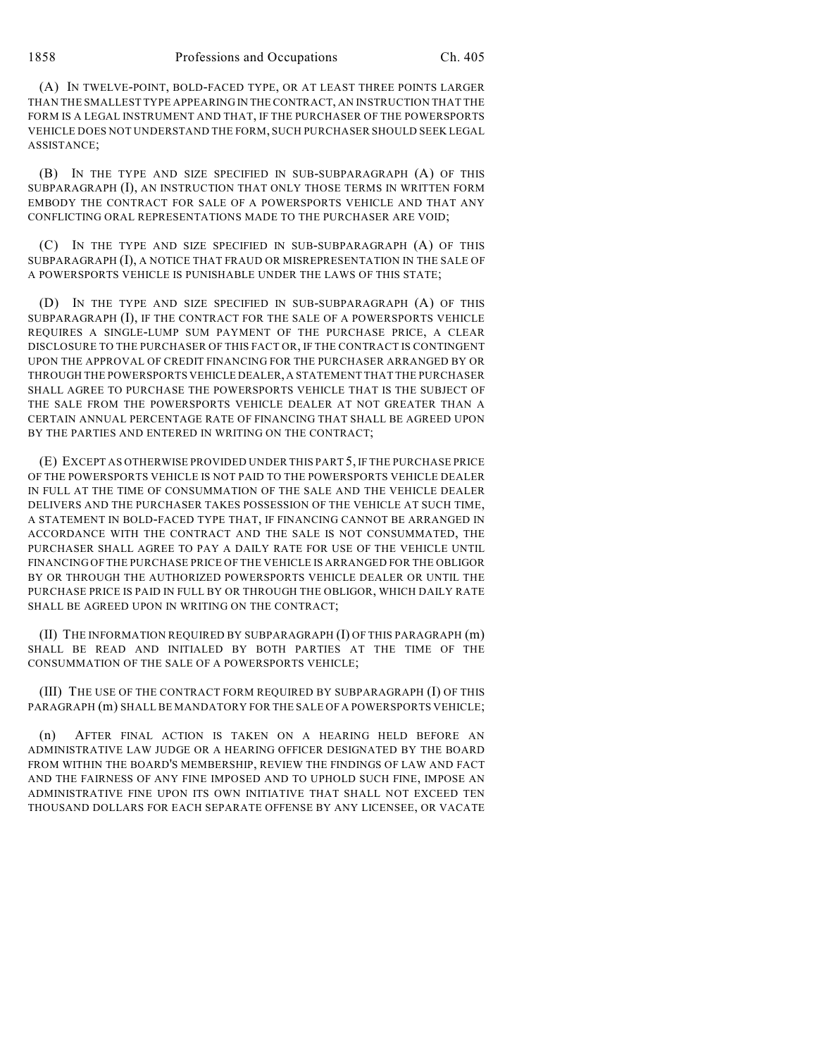(A) IN TWELVE-POINT, BOLD-FACED TYPE, OR AT LEAST THREE POINTS LARGER THAN THE SMALLEST TYPE APPEARING IN THE CONTRACT, AN INSTRUCTION THAT THE FORM IS A LEGAL INSTRUMENT AND THAT, IF THE PURCHASER OF THE POWERSPORTS VEHICLE DOES NOT UNDERSTAND THE FORM, SUCH PURCHASER SHOULD SEEK LEGAL ASSISTANCE;

(B) IN THE TYPE AND SIZE SPECIFIED IN SUB-SUBPARAGRAPH (A) OF THIS SUBPARAGRAPH (I), AN INSTRUCTION THAT ONLY THOSE TERMS IN WRITTEN FORM EMBODY THE CONTRACT FOR SALE OF A POWERSPORTS VEHICLE AND THAT ANY CONFLICTING ORAL REPRESENTATIONS MADE TO THE PURCHASER ARE VOID;

(C) IN THE TYPE AND SIZE SPECIFIED IN SUB-SUBPARAGRAPH (A) OF THIS SUBPARAGRAPH (I), A NOTICE THAT FRAUD OR MISREPRESENTATION IN THE SALE OF A POWERSPORTS VEHICLE IS PUNISHABLE UNDER THE LAWS OF THIS STATE;

(D) IN THE TYPE AND SIZE SPECIFIED IN SUB-SUBPARAGRAPH (A) OF THIS SUBPARAGRAPH (I), IF THE CONTRACT FOR THE SALE OF A POWERSPORTS VEHICLE REQUIRES A SINGLE-LUMP SUM PAYMENT OF THE PURCHASE PRICE, A CLEAR DISCLOSURE TO THE PURCHASER OF THIS FACT OR, IF THE CONTRACT IS CONTINGENT UPON THE APPROVAL OF CREDIT FINANCING FOR THE PURCHASER ARRANGED BY OR THROUGH THE POWERSPORTS VEHICLE DEALER, A STATEMENT THAT THE PURCHASER SHALL AGREE TO PURCHASE THE POWERSPORTS VEHICLE THAT IS THE SUBJECT OF THE SALE FROM THE POWERSPORTS VEHICLE DEALER AT NOT GREATER THAN A CERTAIN ANNUAL PERCENTAGE RATE OF FINANCING THAT SHALL BE AGREED UPON BY THE PARTIES AND ENTERED IN WRITING ON THE CONTRACT;

(E) EXCEPT AS OTHERWISE PROVIDED UNDER THIS PART 5, IF THE PURCHASE PRICE OF THE POWERSPORTS VEHICLE IS NOT PAID TO THE POWERSPORTS VEHICLE DEALER IN FULL AT THE TIME OF CONSUMMATION OF THE SALE AND THE VEHICLE DEALER DELIVERS AND THE PURCHASER TAKES POSSESSION OF THE VEHICLE AT SUCH TIME, A STATEMENT IN BOLD-FACED TYPE THAT, IF FINANCING CANNOT BE ARRANGED IN ACCORDANCE WITH THE CONTRACT AND THE SALE IS NOT CONSUMMATED, THE PURCHASER SHALL AGREE TO PAY A DAILY RATE FOR USE OF THE VEHICLE UNTIL FINANCING OF THE PURCHASE PRICE OF THE VEHICLE IS ARRANGED FOR THE OBLIGOR BY OR THROUGH THE AUTHORIZED POWERSPORTS VEHICLE DEALER OR UNTIL THE PURCHASE PRICE IS PAID IN FULL BY OR THROUGH THE OBLIGOR, WHICH DAILY RATE SHALL BE AGREED UPON IN WRITING ON THE CONTRACT;

(II) THE INFORMATION REQUIRED BY SUBPARAGRAPH (I) OF THIS PARAGRAPH (m) SHALL BE READ AND INITIALED BY BOTH PARTIES AT THE TIME OF THE CONSUMMATION OF THE SALE OF A POWERSPORTS VEHICLE;

(III) THE USE OF THE CONTRACT FORM REQUIRED BY SUBPARAGRAPH (I) OF THIS PARAGRAPH (m) SHALL BE MANDATORY FOR THE SALE OF A POWERSPORTS VEHICLE;

(n) AFTER FINAL ACTION IS TAKEN ON A HEARING HELD BEFORE AN ADMINISTRATIVE LAW JUDGE OR A HEARING OFFICER DESIGNATED BY THE BOARD FROM WITHIN THE BOARD'S MEMBERSHIP, REVIEW THE FINDINGS OF LAW AND FACT AND THE FAIRNESS OF ANY FINE IMPOSED AND TO UPHOLD SUCH FINE, IMPOSE AN ADMINISTRATIVE FINE UPON ITS OWN INITIATIVE THAT SHALL NOT EXCEED TEN THOUSAND DOLLARS FOR EACH SEPARATE OFFENSE BY ANY LICENSEE, OR VACATE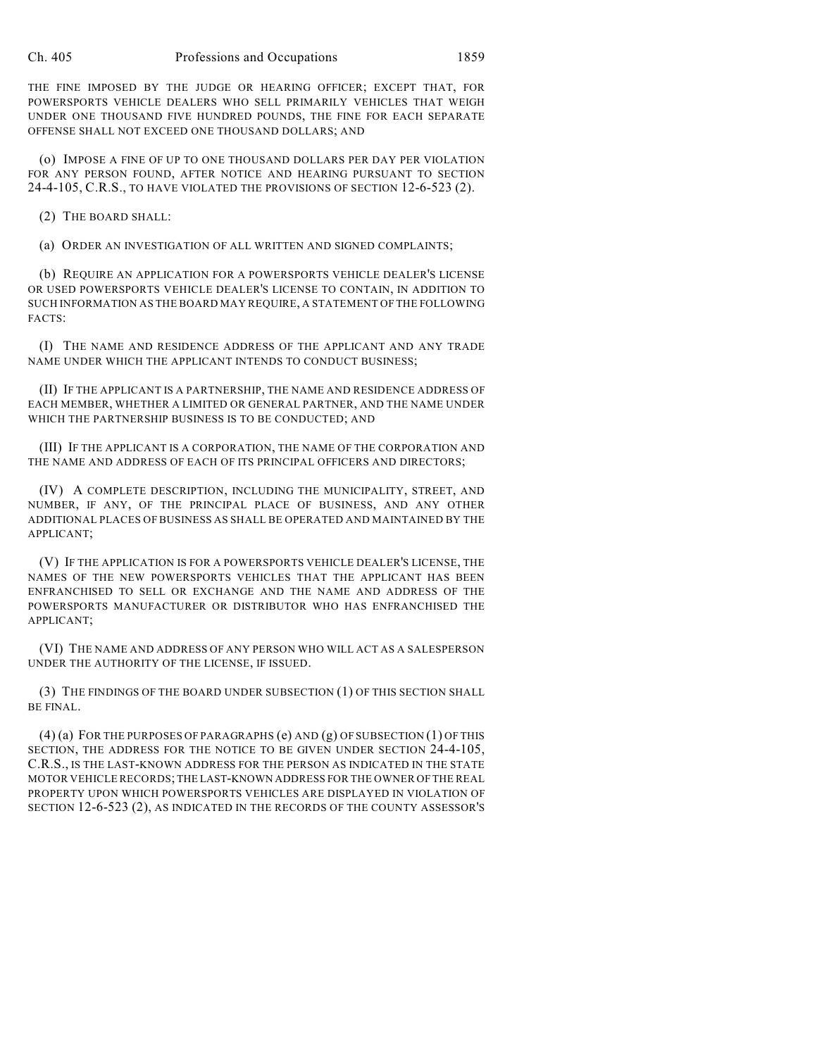THE FINE IMPOSED BY THE JUDGE OR HEARING OFFICER; EXCEPT THAT, FOR POWERSPORTS VEHICLE DEALERS WHO SELL PRIMARILY VEHICLES THAT WEIGH UNDER ONE THOUSAND FIVE HUNDRED POUNDS, THE FINE FOR EACH SEPARATE OFFENSE SHALL NOT EXCEED ONE THOUSAND DOLLARS; AND

(o) IMPOSE A FINE OF UP TO ONE THOUSAND DOLLARS PER DAY PER VIOLATION FOR ANY PERSON FOUND, AFTER NOTICE AND HEARING PURSUANT TO SECTION 24-4-105, C.R.S., TO HAVE VIOLATED THE PROVISIONS OF SECTION 12-6-523 (2).

(2) THE BOARD SHALL:

(a) ORDER AN INVESTIGATION OF ALL WRITTEN AND SIGNED COMPLAINTS;

(b) REQUIRE AN APPLICATION FOR A POWERSPORTS VEHICLE DEALER'S LICENSE OR USED POWERSPORTS VEHICLE DEALER'S LICENSE TO CONTAIN, IN ADDITION TO SUCH INFORMATION AS THE BOARD MAY REQUIRE, A STATEMENT OF THE FOLLOWING FACTS:

(I) THE NAME AND RESIDENCE ADDRESS OF THE APPLICANT AND ANY TRADE NAME UNDER WHICH THE APPLICANT INTENDS TO CONDUCT BUSINESS;

(II) IF THE APPLICANT IS A PARTNERSHIP, THE NAME AND RESIDENCE ADDRESS OF EACH MEMBER, WHETHER A LIMITED OR GENERAL PARTNER, AND THE NAME UNDER WHICH THE PARTNERSHIP BUSINESS IS TO BE CONDUCTED; AND

(III) IF THE APPLICANT IS A CORPORATION, THE NAME OF THE CORPORATION AND THE NAME AND ADDRESS OF EACH OF ITS PRINCIPAL OFFICERS AND DIRECTORS;

(IV) A COMPLETE DESCRIPTION, INCLUDING THE MUNICIPALITY, STREET, AND NUMBER, IF ANY, OF THE PRINCIPAL PLACE OF BUSINESS, AND ANY OTHER ADDITIONAL PLACES OF BUSINESS AS SHALL BE OPERATED AND MAINTAINED BY THE APPLICANT;

(V) IF THE APPLICATION IS FOR A POWERSPORTS VEHICLE DEALER'S LICENSE, THE NAMES OF THE NEW POWERSPORTS VEHICLES THAT THE APPLICANT HAS BEEN ENFRANCHISED TO SELL OR EXCHANGE AND THE NAME AND ADDRESS OF THE POWERSPORTS MANUFACTURER OR DISTRIBUTOR WHO HAS ENFRANCHISED THE APPLICANT;

(VI) THE NAME AND ADDRESS OF ANY PERSON WHO WILL ACT AS A SALESPERSON UNDER THE AUTHORITY OF THE LICENSE, IF ISSUED.

(3) THE FINDINGS OF THE BOARD UNDER SUBSECTION (1) OF THIS SECTION SHALL BE FINAL.

(4) (a) FOR THE PURPOSES OF PARAGRAPHS (e) AND (g) OF SUBSECTION (1) OF THIS SECTION, THE ADDRESS FOR THE NOTICE TO BE GIVEN UNDER SECTION 24-4-105, C.R.S., IS THE LAST-KNOWN ADDRESS FOR THE PERSON AS INDICATED IN THE STATE MOTOR VEHICLE RECORDS; THE LAST-KNOWN ADDRESS FOR THE OWNER OF THE REAL PROPERTY UPON WHICH POWERSPORTS VEHICLES ARE DISPLAYED IN VIOLATION OF SECTION 12-6-523 (2), AS INDICATED IN THE RECORDS OF THE COUNTY ASSESSOR'S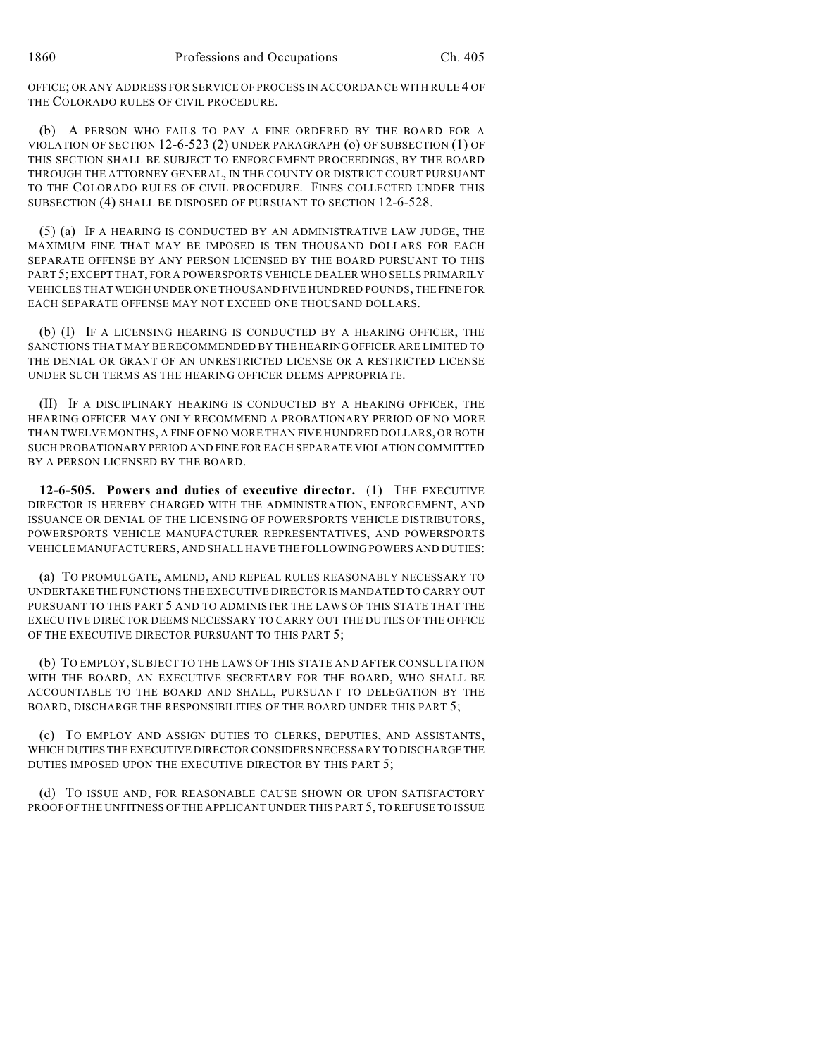OFFICE; OR ANY ADDRESS FOR SERVICE OF PROCESS IN ACCORDANCE WITH RULE 4 OF THE COLORADO RULES OF CIVIL PROCEDURE.

(b) A PERSON WHO FAILS TO PAY A FINE ORDERED BY THE BOARD FOR A VIOLATION OF SECTION 12-6-523 (2) UNDER PARAGRAPH (o) OF SUBSECTION (1) OF THIS SECTION SHALL BE SUBJECT TO ENFORCEMENT PROCEEDINGS, BY THE BOARD THROUGH THE ATTORNEY GENERAL, IN THE COUNTY OR DISTRICT COURT PURSUANT TO THE COLORADO RULES OF CIVIL PROCEDURE. FINES COLLECTED UNDER THIS SUBSECTION (4) SHALL BE DISPOSED OF PURSUANT TO SECTION 12-6-528.

(5) (a) IF A HEARING IS CONDUCTED BY AN ADMINISTRATIVE LAW JUDGE, THE MAXIMUM FINE THAT MAY BE IMPOSED IS TEN THOUSAND DOLLARS FOR EACH SEPARATE OFFENSE BY ANY PERSON LICENSED BY THE BOARD PURSUANT TO THIS PART 5; EXCEPT THAT, FOR A POWERSPORTS VEHICLE DEALER WHO SELLS PRIMARILY VEHICLES THAT WEIGH UNDER ONE THOUSAND FIVE HUNDRED POUNDS, THE FINE FOR EACH SEPARATE OFFENSE MAY NOT EXCEED ONE THOUSAND DOLLARS.

(b) (I) IF A LICENSING HEARING IS CONDUCTED BY A HEARING OFFICER, THE SANCTIONS THAT MAY BE RECOMMENDED BY THE HEARING OFFICER ARE LIMITED TO THE DENIAL OR GRANT OF AN UNRESTRICTED LICENSE OR A RESTRICTED LICENSE UNDER SUCH TERMS AS THE HEARING OFFICER DEEMS APPROPRIATE.

(II) IF A DISCIPLINARY HEARING IS CONDUCTED BY A HEARING OFFICER, THE HEARING OFFICER MAY ONLY RECOMMEND A PROBATIONARY PERIOD OF NO MORE THAN TWELVE MONTHS, A FINE OF NO MORE THAN FIVE HUNDRED DOLLARS, OR BOTH SUCH PROBATIONARY PERIOD AND FINE FOR EACH SEPARATE VIOLATION COMMITTED BY A PERSON LICENSED BY THE BOARD.

**12-6-505. Powers and duties of executive director.** (1) THE EXECUTIVE DIRECTOR IS HEREBY CHARGED WITH THE ADMINISTRATION, ENFORCEMENT, AND ISSUANCE OR DENIAL OF THE LICENSING OF POWERSPORTS VEHICLE DISTRIBUTORS, POWERSPORTS VEHICLE MANUFACTURER REPRESENTATIVES, AND POWERSPORTS VEHICLE MANUFACTURERS, AND SHALL HAVE THE FOLLOWING POWERS AND DUTIES:

(a) TO PROMULGATE, AMEND, AND REPEAL RULES REASONABLY NECESSARY TO UNDERTAKE THE FUNCTIONS THE EXECUTIVE DIRECTOR IS MANDATED TO CARRY OUT PURSUANT TO THIS PART 5 AND TO ADMINISTER THE LAWS OF THIS STATE THAT THE EXECUTIVE DIRECTOR DEEMS NECESSARY TO CARRY OUT THE DUTIES OF THE OFFICE OF THE EXECUTIVE DIRECTOR PURSUANT TO THIS PART 5;

(b) TO EMPLOY, SUBJECT TO THE LAWS OF THIS STATE AND AFTER CONSULTATION WITH THE BOARD, AN EXECUTIVE SECRETARY FOR THE BOARD, WHO SHALL BE ACCOUNTABLE TO THE BOARD AND SHALL, PURSUANT TO DELEGATION BY THE BOARD, DISCHARGE THE RESPONSIBILITIES OF THE BOARD UNDER THIS PART 5;

(c) TO EMPLOY AND ASSIGN DUTIES TO CLERKS, DEPUTIES, AND ASSISTANTS, WHICH DUTIES THE EXECUTIVE DIRECTOR CONSIDERS NECESSARY TO DISCHARGE THE DUTIES IMPOSED UPON THE EXECUTIVE DIRECTOR BY THIS PART 5;

(d) TO ISSUE AND, FOR REASONABLE CAUSE SHOWN OR UPON SATISFACTORY PROOF OFTHE UNFITNESS OFTHE APPLICANT UNDER THIS PART 5, TO REFUSE TO ISSUE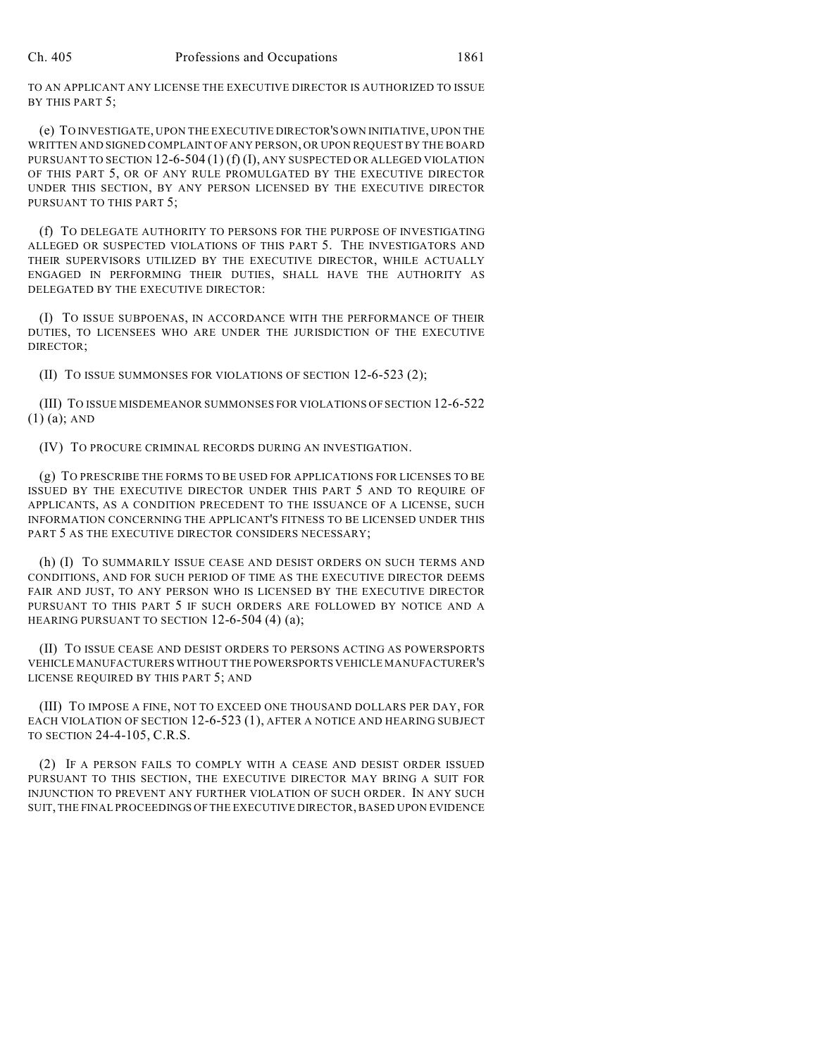TO AN APPLICANT ANY LICENSE THE EXECUTIVE DIRECTOR IS AUTHORIZED TO ISSUE BY THIS PART 5;

(e) TO INVESTIGATE, UPON THE EXECUTIVE DIRECTOR'S OWN INITIATIVE, UPON THE WRITTEN AND SIGNED COMPLAINT OF ANY PERSON, OR UPON REQUEST BY THE BOARD PURSUANT TO SECTION 12-6-504 (1) (f) (I), ANY SUSPECTED OR ALLEGED VIOLATION OF THIS PART 5, OR OF ANY RULE PROMULGATED BY THE EXECUTIVE DIRECTOR UNDER THIS SECTION, BY ANY PERSON LICENSED BY THE EXECUTIVE DIRECTOR PURSUANT TO THIS PART 5;

(f) TO DELEGATE AUTHORITY TO PERSONS FOR THE PURPOSE OF INVESTIGATING ALLEGED OR SUSPECTED VIOLATIONS OF THIS PART 5. THE INVESTIGATORS AND THEIR SUPERVISORS UTILIZED BY THE EXECUTIVE DIRECTOR, WHILE ACTUALLY ENGAGED IN PERFORMING THEIR DUTIES, SHALL HAVE THE AUTHORITY AS DELEGATED BY THE EXECUTIVE DIRECTOR:

(I) TO ISSUE SUBPOENAS, IN ACCORDANCE WITH THE PERFORMANCE OF THEIR DUTIES, TO LICENSEES WHO ARE UNDER THE JURISDICTION OF THE EXECUTIVE DIRECTOR;

(II) TO ISSUE SUMMONSES FOR VIOLATIONS OF SECTION 12-6-523 (2);

(III) TO ISSUE MISDEMEANOR SUMMONSES FOR VIOLATIONS OF SECTION 12-6-522 (1) (a); AND

(IV) TO PROCURE CRIMINAL RECORDS DURING AN INVESTIGATION.

(g) TO PRESCRIBE THE FORMS TO BE USED FOR APPLICATIONS FOR LICENSES TO BE ISSUED BY THE EXECUTIVE DIRECTOR UNDER THIS PART 5 AND TO REQUIRE OF APPLICANTS, AS A CONDITION PRECEDENT TO THE ISSUANCE OF A LICENSE, SUCH INFORMATION CONCERNING THE APPLICANT'S FITNESS TO BE LICENSED UNDER THIS PART 5 AS THE EXECUTIVE DIRECTOR CONSIDERS NECESSARY;

(h) (I) TO SUMMARILY ISSUE CEASE AND DESIST ORDERS ON SUCH TERMS AND CONDITIONS, AND FOR SUCH PERIOD OF TIME AS THE EXECUTIVE DIRECTOR DEEMS FAIR AND JUST, TO ANY PERSON WHO IS LICENSED BY THE EXECUTIVE DIRECTOR PURSUANT TO THIS PART 5 IF SUCH ORDERS ARE FOLLOWED BY NOTICE AND A HEARING PURSUANT TO SECTION 12-6-504 (4) (a);

(II) TO ISSUE CEASE AND DESIST ORDERS TO PERSONS ACTING AS POWERSPORTS VEHICLE MANUFACTURERS WITHOUT THE POWERSPORTS VEHICLE MANUFACTURER'S LICENSE REQUIRED BY THIS PART 5; AND

(III) TO IMPOSE A FINE, NOT TO EXCEED ONE THOUSAND DOLLARS PER DAY, FOR EACH VIOLATION OF SECTION 12-6-523 (1), AFTER A NOTICE AND HEARING SUBJECT TO SECTION 24-4-105, C.R.S.

(2) IF A PERSON FAILS TO COMPLY WITH A CEASE AND DESIST ORDER ISSUED PURSUANT TO THIS SECTION, THE EXECUTIVE DIRECTOR MAY BRING A SUIT FOR INJUNCTION TO PREVENT ANY FURTHER VIOLATION OF SUCH ORDER. IN ANY SUCH SUIT, THE FINAL PROCEEDINGS OF THE EXECUTIVE DIRECTOR, BASED UPON EVIDENCE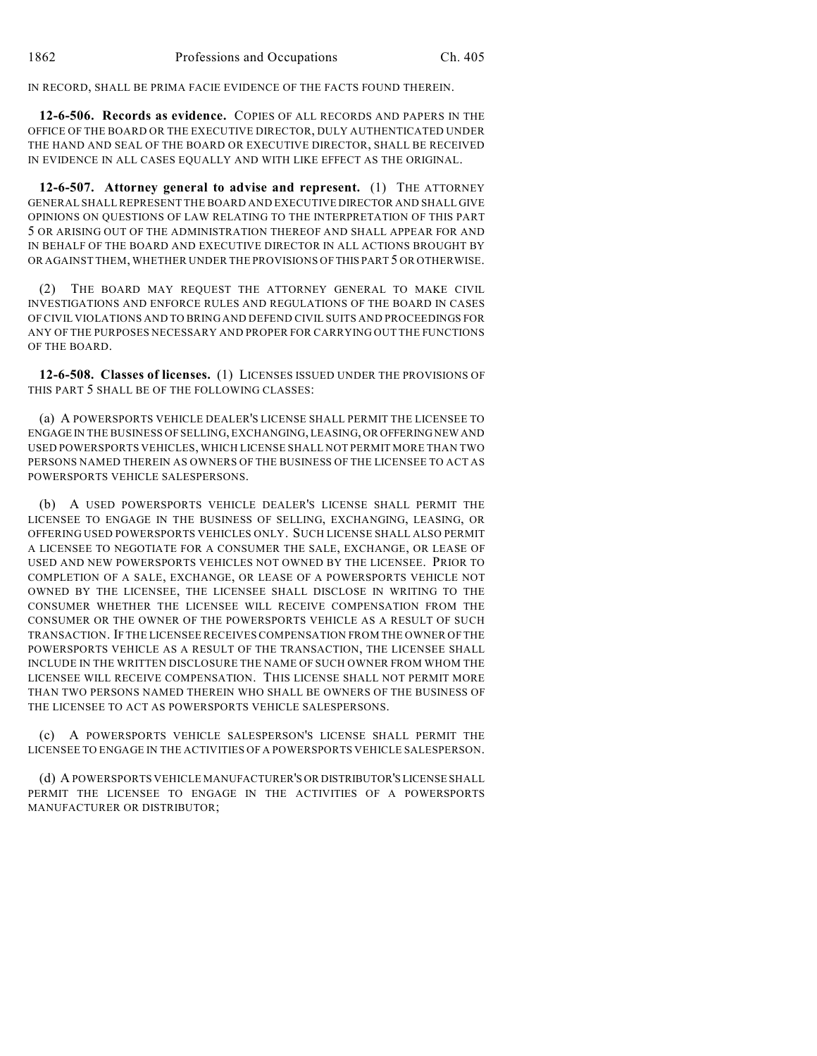IN RECORD, SHALL BE PRIMA FACIE EVIDENCE OF THE FACTS FOUND THEREIN.

**12-6-506. Records as evidence.** COPIES OF ALL RECORDS AND PAPERS IN THE OFFICE OF THE BOARD OR THE EXECUTIVE DIRECTOR, DULY AUTHENTICATED UNDER THE HAND AND SEAL OF THE BOARD OR EXECUTIVE DIRECTOR, SHALL BE RECEIVED IN EVIDENCE IN ALL CASES EQUALLY AND WITH LIKE EFFECT AS THE ORIGINAL.

**12-6-507. Attorney general to advise and represent.** (1) THE ATTORNEY GENERAL SHALL REPRESENT THE BOARD AND EXECUTIVE DIRECTOR AND SHALL GIVE OPINIONS ON QUESTIONS OF LAW RELATING TO THE INTERPRETATION OF THIS PART 5 OR ARISING OUT OF THE ADMINISTRATION THEREOF AND SHALL APPEAR FOR AND IN BEHALF OF THE BOARD AND EXECUTIVE DIRECTOR IN ALL ACTIONS BROUGHT BY OR AGAINST THEM, WHETHER UNDER THE PROVISIONS OF THIS PART 5 OR OTHERWISE.

(2) THE BOARD MAY REQUEST THE ATTORNEY GENERAL TO MAKE CIVIL INVESTIGATIONS AND ENFORCE RULES AND REGULATIONS OF THE BOARD IN CASES OF CIVIL VIOLATIONS AND TO BRING AND DEFEND CIVIL SUITS AND PROCEEDINGS FOR ANY OF THE PURPOSES NECESSARY AND PROPER FOR CARRYING OUT THE FUNCTIONS OF THE BOARD.

**12-6-508. Classes of licenses.** (1) LICENSES ISSUED UNDER THE PROVISIONS OF THIS PART 5 SHALL BE OF THE FOLLOWING CLASSES:

(a) A POWERSPORTS VEHICLE DEALER'S LICENSE SHALL PERMIT THE LICENSEE TO ENGAGE IN THE BUSINESS OF SELLING, EXCHANGING, LEASING, OR OFFERING NEW AND USED POWERSPORTS VEHICLES, WHICH LICENSE SHALL NOT PERMIT MORE THAN TWO PERSONS NAMED THEREIN AS OWNERS OF THE BUSINESS OF THE LICENSEE TO ACT AS POWERSPORTS VEHICLE SALESPERSONS.

(b) A USED POWERSPORTS VEHICLE DEALER'S LICENSE SHALL PERMIT THE LICENSEE TO ENGAGE IN THE BUSINESS OF SELLING, EXCHANGING, LEASING, OR OFFERING USED POWERSPORTS VEHICLES ONLY. SUCH LICENSE SHALL ALSO PERMIT A LICENSEE TO NEGOTIATE FOR A CONSUMER THE SALE, EXCHANGE, OR LEASE OF USED AND NEW POWERSPORTS VEHICLES NOT OWNED BY THE LICENSEE. PRIOR TO COMPLETION OF A SALE, EXCHANGE, OR LEASE OF A POWERSPORTS VEHICLE NOT OWNED BY THE LICENSEE, THE LICENSEE SHALL DISCLOSE IN WRITING TO THE CONSUMER WHETHER THE LICENSEE WILL RECEIVE COMPENSATION FROM THE CONSUMER OR THE OWNER OF THE POWERSPORTS VEHICLE AS A RESULT OF SUCH TRANSACTION. IF THE LICENSEE RECEIVES COMPENSATION FROM THE OWNER OF THE POWERSPORTS VEHICLE AS A RESULT OF THE TRANSACTION, THE LICENSEE SHALL INCLUDE IN THE WRITTEN DISCLOSURE THE NAME OF SUCH OWNER FROM WHOM THE LICENSEE WILL RECEIVE COMPENSATION. THIS LICENSE SHALL NOT PERMIT MORE THAN TWO PERSONS NAMED THEREIN WHO SHALL BE OWNERS OF THE BUSINESS OF THE LICENSEE TO ACT AS POWERSPORTS VEHICLE SALESPERSONS.

(c) A POWERSPORTS VEHICLE SALESPERSON'S LICENSE SHALL PERMIT THE LICENSEE TO ENGAGE IN THE ACTIVITIES OF A POWERSPORTS VEHICLE SALESPERSON.

(d) A POWERSPORTS VEHICLE MANUFACTURER'S OR DISTRIBUTOR'S LICENSE SHALL PERMIT THE LICENSEE TO ENGAGE IN THE ACTIVITIES OF A POWERSPORTS MANUFACTURER OR DISTRIBUTOR;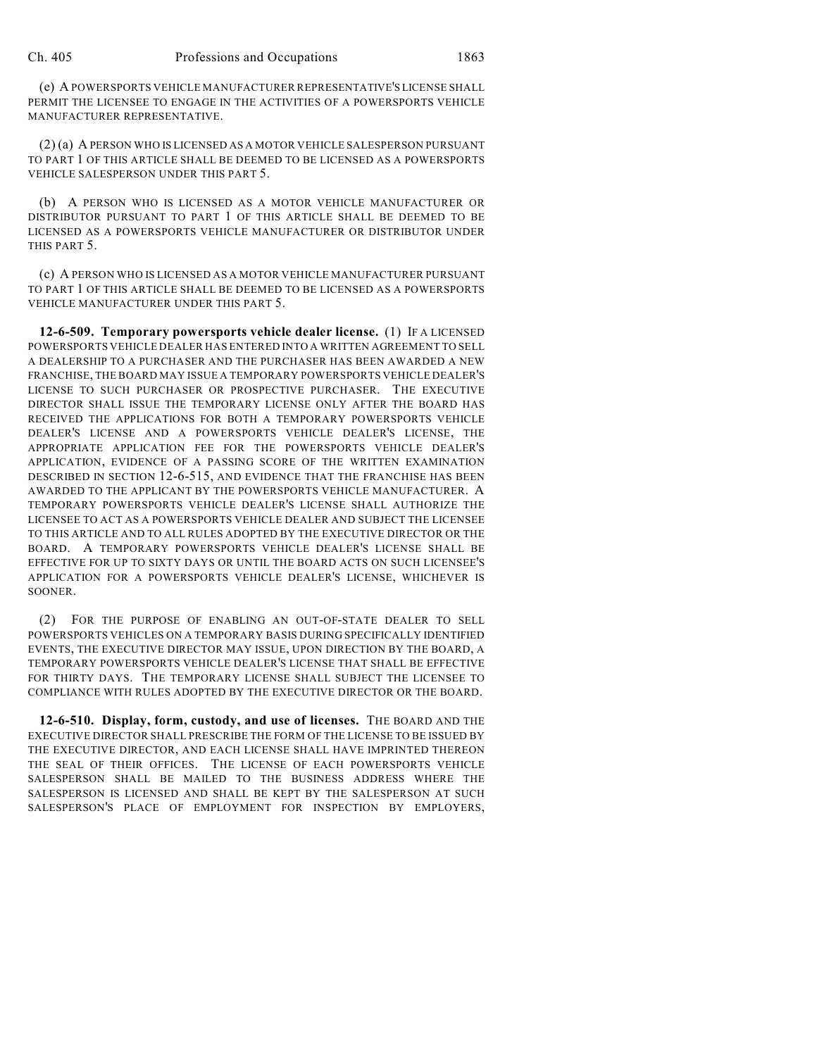(e) A POWERSPORTS VEHICLE MANUFACTURER REPRESENTATIVE'S LICENSE SHALL PERMIT THE LICENSEE TO ENGAGE IN THE ACTIVITIES OF A POWERSPORTS VEHICLE MANUFACTURER REPRESENTATIVE.

(2) (a) A PERSON WHO IS LICENSED AS A MOTOR VEHICLE SALESPERSON PURSUANT TO PART 1 OF THIS ARTICLE SHALL BE DEEMED TO BE LICENSED AS A POWERSPORTS VEHICLE SALESPERSON UNDER THIS PART 5.

(b) A PERSON WHO IS LICENSED AS A MOTOR VEHICLE MANUFACTURER OR DISTRIBUTOR PURSUANT TO PART 1 OF THIS ARTICLE SHALL BE DEEMED TO BE LICENSED AS A POWERSPORTS VEHICLE MANUFACTURER OR DISTRIBUTOR UNDER THIS PART 5.

(c) A PERSON WHO IS LICENSED AS A MOTOR VEHICLE MANUFACTURER PURSUANT TO PART 1 OF THIS ARTICLE SHALL BE DEEMED TO BE LICENSED AS A POWERSPORTS VEHICLE MANUFACTURER UNDER THIS PART 5.

**12-6-509. Temporary powersports vehicle dealer license.** (1) IF A LICENSED POWERSPORTS VEHICLE DEALER HAS ENTERED INTO A WRITTEN AGREEMENT TO SELL A DEALERSHIP TO A PURCHASER AND THE PURCHASER HAS BEEN AWARDED A NEW FRANCHISE, THE BOARD MAY ISSUE A TEMPORARY POWERSPORTS VEHICLE DEALER'S LICENSE TO SUCH PURCHASER OR PROSPECTIVE PURCHASER. THE EXECUTIVE DIRECTOR SHALL ISSUE THE TEMPORARY LICENSE ONLY AFTER THE BOARD HAS RECEIVED THE APPLICATIONS FOR BOTH A TEMPORARY POWERSPORTS VEHICLE DEALER'S LICENSE AND A POWERSPORTS VEHICLE DEALER'S LICENSE, THE APPROPRIATE APPLICATION FEE FOR THE POWERSPORTS VEHICLE DEALER'S APPLICATION, EVIDENCE OF A PASSING SCORE OF THE WRITTEN EXAMINATION DESCRIBED IN SECTION 12-6-515, AND EVIDENCE THAT THE FRANCHISE HAS BEEN AWARDED TO THE APPLICANT BY THE POWERSPORTS VEHICLE MANUFACTURER. A TEMPORARY POWERSPORTS VEHICLE DEALER'S LICENSE SHALL AUTHORIZE THE LICENSEE TO ACT AS A POWERSPORTS VEHICLE DEALER AND SUBJECT THE LICENSEE TO THIS ARTICLE AND TO ALL RULES ADOPTED BY THE EXECUTIVE DIRECTOR OR THE BOARD. A TEMPORARY POWERSPORTS VEHICLE DEALER'S LICENSE SHALL BE EFFECTIVE FOR UP TO SIXTY DAYS OR UNTIL THE BOARD ACTS ON SUCH LICENSEE'S APPLICATION FOR A POWERSPORTS VEHICLE DEALER'S LICENSE, WHICHEVER IS SOONER.

(2) FOR THE PURPOSE OF ENABLING AN OUT-OF-STATE DEALER TO SELL POWERSPORTS VEHICLES ON A TEMPORARY BASIS DURING SPECIFICALLY IDENTIFIED EVENTS, THE EXECUTIVE DIRECTOR MAY ISSUE, UPON DIRECTION BY THE BOARD, A TEMPORARY POWERSPORTS VEHICLE DEALER'S LICENSE THAT SHALL BE EFFECTIVE FOR THIRTY DAYS. THE TEMPORARY LICENSE SHALL SUBJECT THE LICENSEE TO COMPLIANCE WITH RULES ADOPTED BY THE EXECUTIVE DIRECTOR OR THE BOARD.

**12-6-510. Display, form, custody, and use of licenses.** THE BOARD AND THE EXECUTIVE DIRECTOR SHALL PRESCRIBE THE FORM OF THE LICENSE TO BE ISSUED BY THE EXECUTIVE DIRECTOR, AND EACH LICENSE SHALL HAVE IMPRINTED THEREON THE SEAL OF THEIR OFFICES. THE LICENSE OF EACH POWERSPORTS VEHICLE SALESPERSON SHALL BE MAILED TO THE BUSINESS ADDRESS WHERE THE SALESPERSON IS LICENSED AND SHALL BE KEPT BY THE SALESPERSON AT SUCH SALESPERSON'S PLACE OF EMPLOYMENT FOR INSPECTION BY EMPLOYERS,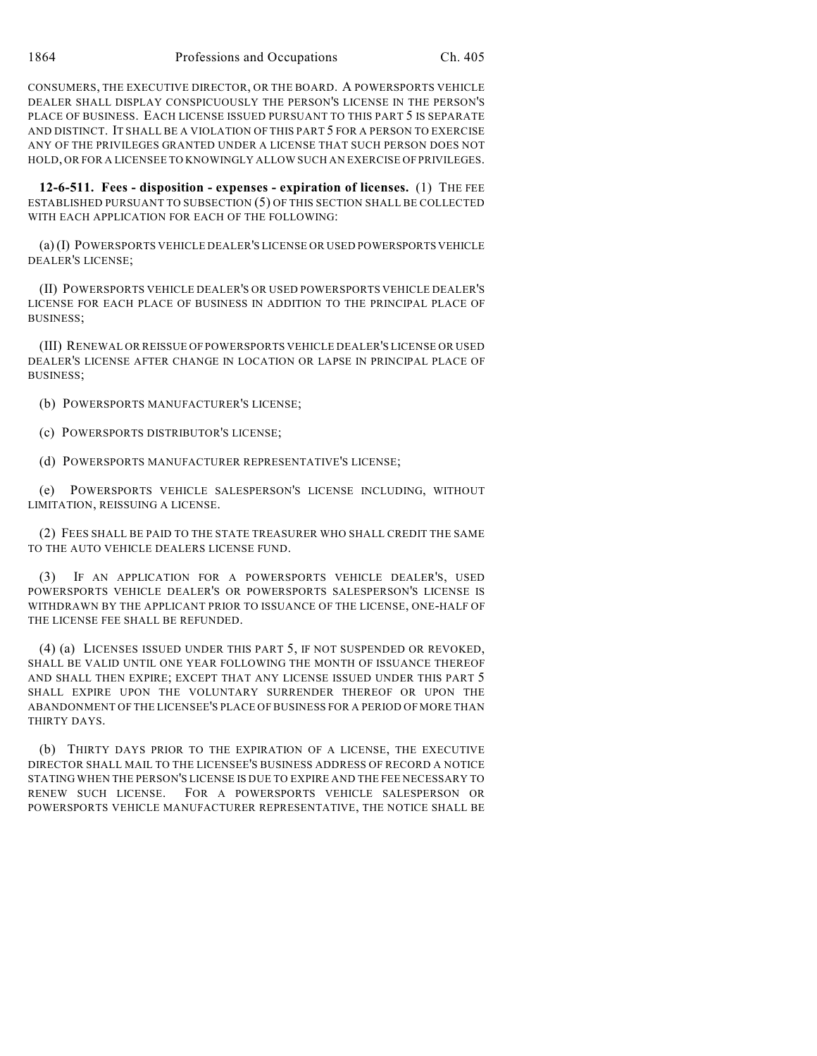CONSUMERS, THE EXECUTIVE DIRECTOR, OR THE BOARD. A POWERSPORTS VEHICLE DEALER SHALL DISPLAY CONSPICUOUSLY THE PERSON'S LICENSE IN THE PERSON'S PLACE OF BUSINESS. EACH LICENSE ISSUED PURSUANT TO THIS PART 5 IS SEPARATE AND DISTINCT. IT SHALL BE A VIOLATION OF THIS PART 5 FOR A PERSON TO EXERCISE ANY OF THE PRIVILEGES GRANTED UNDER A LICENSE THAT SUCH PERSON DOES NOT HOLD, OR FOR A LICENSEE TO KNOWINGLY ALLOW SUCH AN EXERCISE OF PRIVILEGES.

**12-6-511. Fees - disposition - expenses - expiration of licenses.** (1) THE FEE ESTABLISHED PURSUANT TO SUBSECTION (5) OF THIS SECTION SHALL BE COLLECTED WITH EACH APPLICATION FOR EACH OF THE FOLLOWING:

(a) (I) POWERSPORTS VEHICLE DEALER'S LICENSE OR USED POWERSPORTS VEHICLE DEALER'S LICENSE;

(II) POWERSPORTS VEHICLE DEALER'S OR USED POWERSPORTS VEHICLE DEALER'S LICENSE FOR EACH PLACE OF BUSINESS IN ADDITION TO THE PRINCIPAL PLACE OF BUSINESS;

(III) RENEWAL OR REISSUE OF POWERSPORTS VEHICLE DEALER'S LICENSE OR USED DEALER'S LICENSE AFTER CHANGE IN LOCATION OR LAPSE IN PRINCIPAL PLACE OF BUSINESS;

(b) POWERSPORTS MANUFACTURER'S LICENSE;

(c) POWERSPORTS DISTRIBUTOR'S LICENSE;

(d) POWERSPORTS MANUFACTURER REPRESENTATIVE'S LICENSE;

(e) POWERSPORTS VEHICLE SALESPERSON'S LICENSE INCLUDING, WITHOUT LIMITATION, REISSUING A LICENSE.

(2) FEES SHALL BE PAID TO THE STATE TREASURER WHO SHALL CREDIT THE SAME TO THE AUTO VEHICLE DEALERS LICENSE FUND.

(3) IF AN APPLICATION FOR A POWERSPORTS VEHICLE DEALER'S, USED POWERSPORTS VEHICLE DEALER'S OR POWERSPORTS SALESPERSON'S LICENSE IS WITHDRAWN BY THE APPLICANT PRIOR TO ISSUANCE OF THE LICENSE, ONE-HALF OF THE LICENSE FEE SHALL BE REFUNDED.

(4) (a) LICENSES ISSUED UNDER THIS PART 5, IF NOT SUSPENDED OR REVOKED, SHALL BE VALID UNTIL ONE YEAR FOLLOWING THE MONTH OF ISSUANCE THEREOF AND SHALL THEN EXPIRE; EXCEPT THAT ANY LICENSE ISSUED UNDER THIS PART 5 SHALL EXPIRE UPON THE VOLUNTARY SURRENDER THEREOF OR UPON THE ABANDONMENT OF THE LICENSEE'S PLACE OF BUSINESS FOR A PERIOD OF MORE THAN THIRTY DAYS.

(b) THIRTY DAYS PRIOR TO THE EXPIRATION OF A LICENSE, THE EXECUTIVE DIRECTOR SHALL MAIL TO THE LICENSEE'S BUSINESS ADDRESS OF RECORD A NOTICE STATING WHEN THE PERSON'S LICENSE IS DUE TO EXPIRE AND THE FEE NECESSARY TO RENEW SUCH LICENSE. FOR A POWERSPORTS VEHICLE SALESPERSON OR POWERSPORTS VEHICLE MANUFACTURER REPRESENTATIVE, THE NOTICE SHALL BE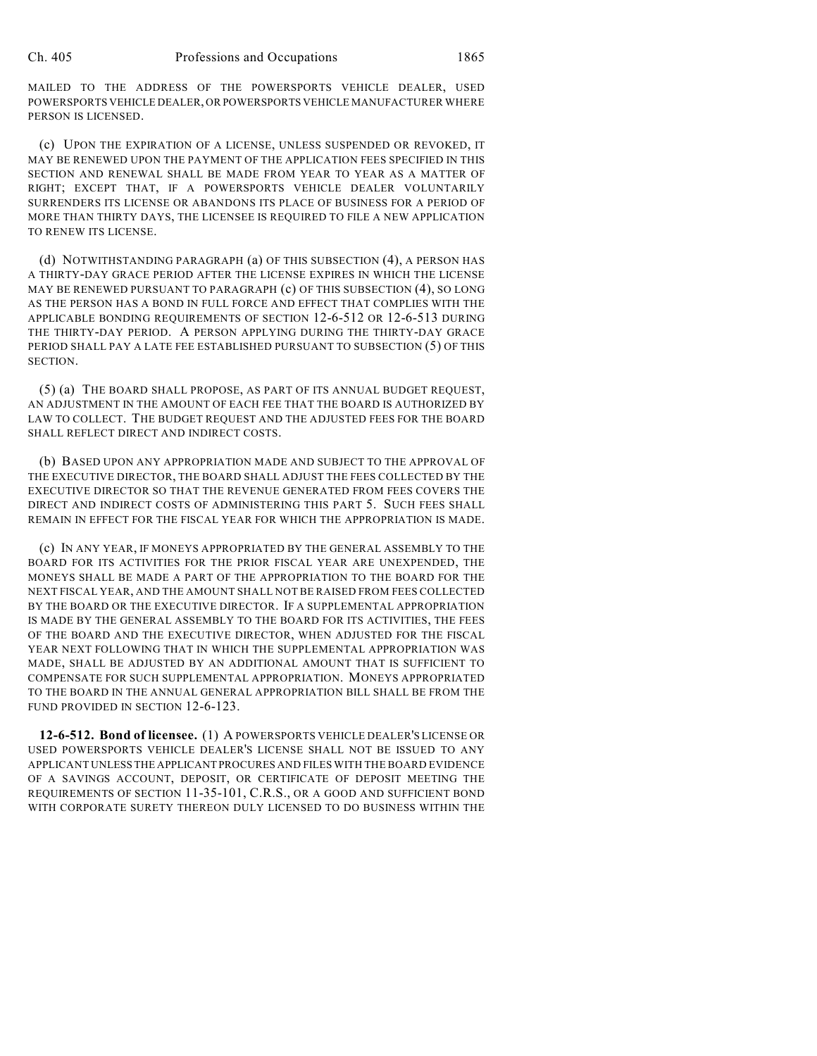MAILED TO THE ADDRESS OF THE POWERSPORTS VEHICLE DEALER, USED POWERSPORTS VEHICLE DEALER, OR POWERSPORTS VEHICLE MANUFACTURER WHERE PERSON IS LICENSED.

(c) UPON THE EXPIRATION OF A LICENSE, UNLESS SUSPENDED OR REVOKED, IT MAY BE RENEWED UPON THE PAYMENT OF THE APPLICATION FEES SPECIFIED IN THIS SECTION AND RENEWAL SHALL BE MADE FROM YEAR TO YEAR AS A MATTER OF RIGHT; EXCEPT THAT, IF A POWERSPORTS VEHICLE DEALER VOLUNTARILY SURRENDERS ITS LICENSE OR ABANDONS ITS PLACE OF BUSINESS FOR A PERIOD OF MORE THAN THIRTY DAYS, THE LICENSEE IS REQUIRED TO FILE A NEW APPLICATION TO RENEW ITS LICENSE.

(d) NOTWITHSTANDING PARAGRAPH (a) OF THIS SUBSECTION (4), A PERSON HAS A THIRTY-DAY GRACE PERIOD AFTER THE LICENSE EXPIRES IN WHICH THE LICENSE MAY BE RENEWED PURSUANT TO PARAGRAPH (c) OF THIS SUBSECTION (4), SO LONG AS THE PERSON HAS A BOND IN FULL FORCE AND EFFECT THAT COMPLIES WITH THE APPLICABLE BONDING REQUIREMENTS OF SECTION 12-6-512 OR 12-6-513 DURING THE THIRTY-DAY PERIOD. A PERSON APPLYING DURING THE THIRTY-DAY GRACE PERIOD SHALL PAY A LATE FEE ESTABLISHED PURSUANT TO SUBSECTION (5) OF THIS SECTION.

(5) (a) THE BOARD SHALL PROPOSE, AS PART OF ITS ANNUAL BUDGET REQUEST, AN ADJUSTMENT IN THE AMOUNT OF EACH FEE THAT THE BOARD IS AUTHORIZED BY LAW TO COLLECT. THE BUDGET REQUEST AND THE ADJUSTED FEES FOR THE BOARD SHALL REFLECT DIRECT AND INDIRECT COSTS.

(b) BASED UPON ANY APPROPRIATION MADE AND SUBJECT TO THE APPROVAL OF THE EXECUTIVE DIRECTOR, THE BOARD SHALL ADJUST THE FEES COLLECTED BY THE EXECUTIVE DIRECTOR SO THAT THE REVENUE GENERATED FROM FEES COVERS THE DIRECT AND INDIRECT COSTS OF ADMINISTERING THIS PART 5. SUCH FEES SHALL REMAIN IN EFFECT FOR THE FISCAL YEAR FOR WHICH THE APPROPRIATION IS MADE.

(c) IN ANY YEAR, IF MONEYS APPROPRIATED BY THE GENERAL ASSEMBLY TO THE BOARD FOR ITS ACTIVITIES FOR THE PRIOR FISCAL YEAR ARE UNEXPENDED, THE MONEYS SHALL BE MADE A PART OF THE APPROPRIATION TO THE BOARD FOR THE NEXT FISCAL YEAR, AND THE AMOUNT SHALL NOT BE RAISED FROM FEES COLLECTED BY THE BOARD OR THE EXECUTIVE DIRECTOR. IF A SUPPLEMENTAL APPROPRIATION IS MADE BY THE GENERAL ASSEMBLY TO THE BOARD FOR ITS ACTIVITIES, THE FEES OF THE BOARD AND THE EXECUTIVE DIRECTOR, WHEN ADJUSTED FOR THE FISCAL YEAR NEXT FOLLOWING THAT IN WHICH THE SUPPLEMENTAL APPROPRIATION WAS MADE, SHALL BE ADJUSTED BY AN ADDITIONAL AMOUNT THAT IS SUFFICIENT TO COMPENSATE FOR SUCH SUPPLEMENTAL APPROPRIATION. MONEYS APPROPRIATED TO THE BOARD IN THE ANNUAL GENERAL APPROPRIATION BILL SHALL BE FROM THE FUND PROVIDED IN SECTION 12-6-123.

**12-6-512. Bond of licensee.** (1) A POWERSPORTS VEHICLE DEALER'S LICENSE OR USED POWERSPORTS VEHICLE DEALER'S LICENSE SHALL NOT BE ISSUED TO ANY APPLICANT UNLESS THE APPLICANT PROCURES AND FILES WITH THE BOARD EVIDENCE OF A SAVINGS ACCOUNT, DEPOSIT, OR CERTIFICATE OF DEPOSIT MEETING THE REQUIREMENTS OF SECTION 11-35-101, C.R.S., OR A GOOD AND SUFFICIENT BOND WITH CORPORATE SURETY THEREON DULY LICENSED TO DO BUSINESS WITHIN THE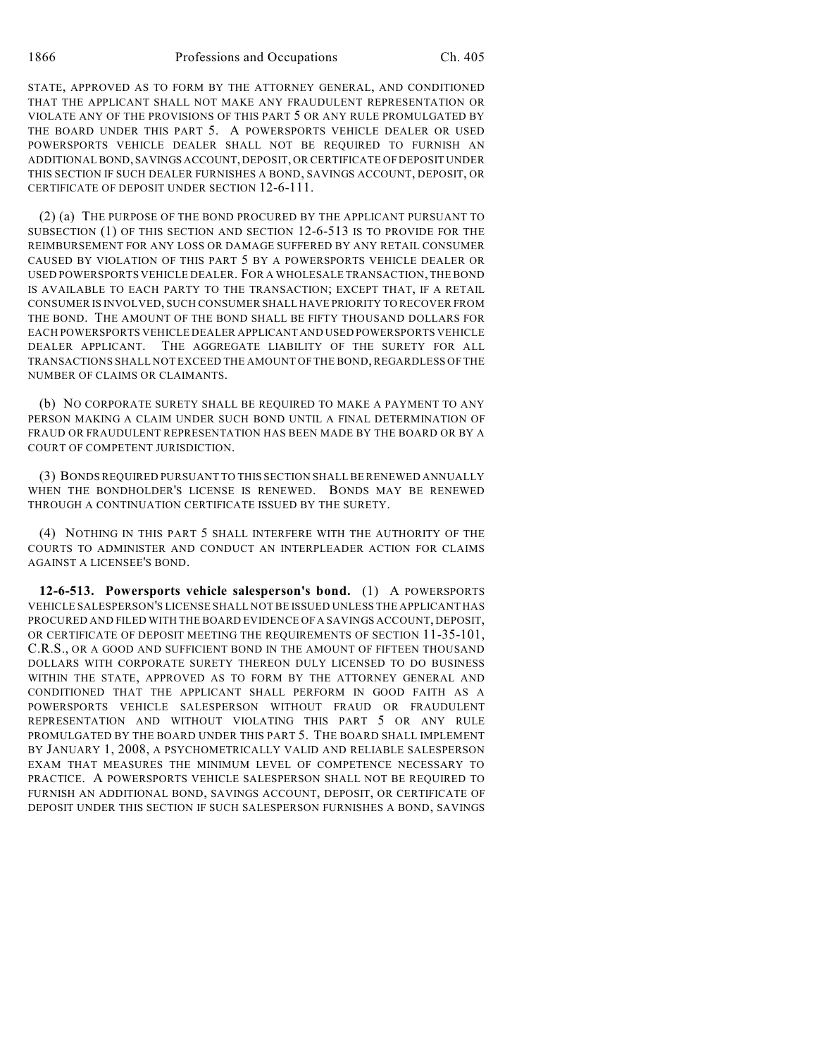STATE, APPROVED AS TO FORM BY THE ATTORNEY GENERAL, AND CONDITIONED THAT THE APPLICANT SHALL NOT MAKE ANY FRAUDULENT REPRESENTATION OR VIOLATE ANY OF THE PROVISIONS OF THIS PART 5 OR ANY RULE PROMULGATED BY THE BOARD UNDER THIS PART 5. A POWERSPORTS VEHICLE DEALER OR USED POWERSPORTS VEHICLE DEALER SHALL NOT BE REQUIRED TO FURNISH AN ADDITIONAL BOND, SAVINGS ACCOUNT, DEPOSIT, OR CERTIFICATE OF DEPOSIT UNDER THIS SECTION IF SUCH DEALER FURNISHES A BOND, SAVINGS ACCOUNT, DEPOSIT, OR CERTIFICATE OF DEPOSIT UNDER SECTION 12-6-111.

(2) (a) THE PURPOSE OF THE BOND PROCURED BY THE APPLICANT PURSUANT TO SUBSECTION (1) OF THIS SECTION AND SECTION 12-6-513 IS TO PROVIDE FOR THE REIMBURSEMENT FOR ANY LOSS OR DAMAGE SUFFERED BY ANY RETAIL CONSUMER CAUSED BY VIOLATION OF THIS PART 5 BY A POWERSPORTS VEHICLE DEALER OR USED POWERSPORTS VEHICLE DEALER. FOR A WHOLESALE TRANSACTION, THE BOND IS AVAILABLE TO EACH PARTY TO THE TRANSACTION; EXCEPT THAT, IF A RETAIL CONSUMER IS INVOLVED, SUCH CONSUMER SHALL HAVE PRIORITY TO RECOVER FROM THE BOND. THE AMOUNT OF THE BOND SHALL BE FIFTY THOUSAND DOLLARS FOR EACH POWERSPORTS VEHICLE DEALER APPLICANT AND USED POWERSPORTS VEHICLE DEALER APPLICANT. THE AGGREGATE LIABILITY OF THE SURETY FOR ALL TRANSACTIONS SHALL NOT EXCEED THE AMOUNT OF THE BOND, REGARDLESS OF THE NUMBER OF CLAIMS OR CLAIMANTS.

(b) NO CORPORATE SURETY SHALL BE REQUIRED TO MAKE A PAYMENT TO ANY PERSON MAKING A CLAIM UNDER SUCH BOND UNTIL A FINAL DETERMINATION OF FRAUD OR FRAUDULENT REPRESENTATION HAS BEEN MADE BY THE BOARD OR BY A COURT OF COMPETENT JURISDICTION.

(3) BONDS REQUIRED PURSUANT TO THIS SECTION SHALL BE RENEWED ANNUALLY WHEN THE BONDHOLDER'S LICENSE IS RENEWED. BONDS MAY BE RENEWED THROUGH A CONTINUATION CERTIFICATE ISSUED BY THE SURETY.

(4) NOTHING IN THIS PART 5 SHALL INTERFERE WITH THE AUTHORITY OF THE COURTS TO ADMINISTER AND CONDUCT AN INTERPLEADER ACTION FOR CLAIMS AGAINST A LICENSEE'S BOND.

**12-6-513. Powersports vehicle salesperson's bond.** (1) A POWERSPORTS VEHICLE SALESPERSON'S LICENSE SHALL NOT BE ISSUED UNLESS THE APPLICANT HAS PROCURED AND FILED WITH THE BOARD EVIDENCE OF A SAVINGS ACCOUNT, DEPOSIT, OR CERTIFICATE OF DEPOSIT MEETING THE REQUIREMENTS OF SECTION 11-35-101, C.R.S., OR A GOOD AND SUFFICIENT BOND IN THE AMOUNT OF FIFTEEN THOUSAND DOLLARS WITH CORPORATE SURETY THEREON DULY LICENSED TO DO BUSINESS WITHIN THE STATE, APPROVED AS TO FORM BY THE ATTORNEY GENERAL AND CONDITIONED THAT THE APPLICANT SHALL PERFORM IN GOOD FAITH AS A POWERSPORTS VEHICLE SALESPERSON WITHOUT FRAUD OR FRAUDULENT REPRESENTATION AND WITHOUT VIOLATING THIS PART 5 OR ANY RULE PROMULGATED BY THE BOARD UNDER THIS PART 5. THE BOARD SHALL IMPLEMENT BY JANUARY 1, 2008, A PSYCHOMETRICALLY VALID AND RELIABLE SALESPERSON EXAM THAT MEASURES THE MINIMUM LEVEL OF COMPETENCE NECESSARY TO PRACTICE. A POWERSPORTS VEHICLE SALESPERSON SHALL NOT BE REQUIRED TO FURNISH AN ADDITIONAL BOND, SAVINGS ACCOUNT, DEPOSIT, OR CERTIFICATE OF DEPOSIT UNDER THIS SECTION IF SUCH SALESPERSON FURNISHES A BOND, SAVINGS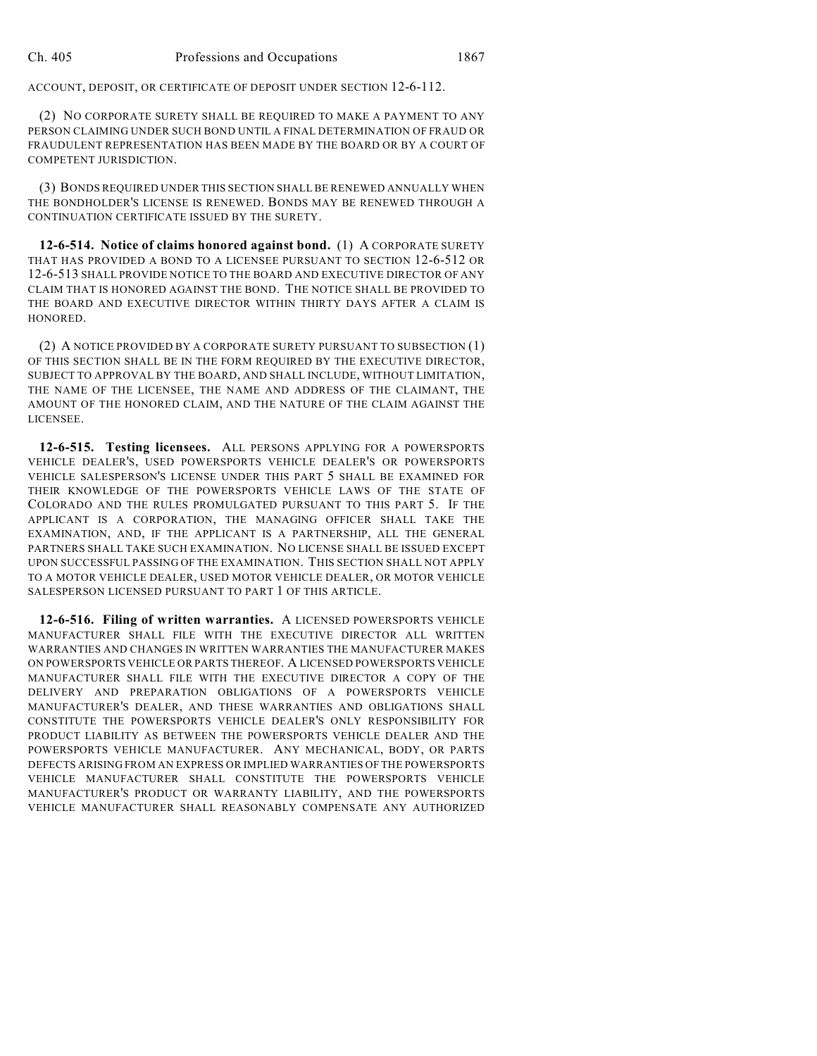ACCOUNT, DEPOSIT, OR CERTIFICATE OF DEPOSIT UNDER SECTION 12-6-112.

(2) NO CORPORATE SURETY SHALL BE REQUIRED TO MAKE A PAYMENT TO ANY PERSON CLAIMING UNDER SUCH BOND UNTIL A FINAL DETERMINATION OF FRAUD OR FRAUDULENT REPRESENTATION HAS BEEN MADE BY THE BOARD OR BY A COURT OF COMPETENT JURISDICTION.

(3) BONDS REQUIRED UNDER THIS SECTION SHALL BE RENEWED ANNUALLY WHEN THE BONDHOLDER'S LICENSE IS RENEWED. BONDS MAY BE RENEWED THROUGH A CONTINUATION CERTIFICATE ISSUED BY THE SURETY.

**12-6-514. Notice of claims honored against bond.** (1) A CORPORATE SURETY THAT HAS PROVIDED A BOND TO A LICENSEE PURSUANT TO SECTION 12-6-512 OR 12-6-513 SHALL PROVIDE NOTICE TO THE BOARD AND EXECUTIVE DIRECTOR OF ANY CLAIM THAT IS HONORED AGAINST THE BOND. THE NOTICE SHALL BE PROVIDED TO THE BOARD AND EXECUTIVE DIRECTOR WITHIN THIRTY DAYS AFTER A CLAIM IS HONORED.

(2) A NOTICE PROVIDED BY A CORPORATE SURETY PURSUANT TO SUBSECTION (1) OF THIS SECTION SHALL BE IN THE FORM REQUIRED BY THE EXECUTIVE DIRECTOR, SUBJECT TO APPROVAL BY THE BOARD, AND SHALL INCLUDE, WITHOUT LIMITATION, THE NAME OF THE LICENSEE, THE NAME AND ADDRESS OF THE CLAIMANT, THE AMOUNT OF THE HONORED CLAIM, AND THE NATURE OF THE CLAIM AGAINST THE LICENSEE.

**12-6-515. Testing licensees.** ALL PERSONS APPLYING FOR A POWERSPORTS VEHICLE DEALER'S, USED POWERSPORTS VEHICLE DEALER'S OR POWERSPORTS VEHICLE SALESPERSON'S LICENSE UNDER THIS PART 5 SHALL BE EXAMINED FOR THEIR KNOWLEDGE OF THE POWERSPORTS VEHICLE LAWS OF THE STATE OF COLORADO AND THE RULES PROMULGATED PURSUANT TO THIS PART 5. IF THE APPLICANT IS A CORPORATION, THE MANAGING OFFICER SHALL TAKE THE EXAMINATION, AND, IF THE APPLICANT IS A PARTNERSHIP, ALL THE GENERAL PARTNERS SHALL TAKE SUCH EXAMINATION. NO LICENSE SHALL BE ISSUED EXCEPT UPON SUCCESSFUL PASSING OF THE EXAMINATION. THIS SECTION SHALL NOT APPLY TO A MOTOR VEHICLE DEALER, USED MOTOR VEHICLE DEALER, OR MOTOR VEHICLE SALESPERSON LICENSED PURSUANT TO PART 1 OF THIS ARTICLE.

**12-6-516. Filing of written warranties.** A LICENSED POWERSPORTS VEHICLE MANUFACTURER SHALL FILE WITH THE EXECUTIVE DIRECTOR ALL WRITTEN WARRANTIES AND CHANGES IN WRITTEN WARRANTIES THE MANUFACTURER MAKES ON POWERSPORTS VEHICLE OR PARTS THEREOF. A LICENSED POWERSPORTS VEHICLE MANUFACTURER SHALL FILE WITH THE EXECUTIVE DIRECTOR A COPY OF THE DELIVERY AND PREPARATION OBLIGATIONS OF A POWERSPORTS VEHICLE MANUFACTURER'S DEALER, AND THESE WARRANTIES AND OBLIGATIONS SHALL CONSTITUTE THE POWERSPORTS VEHICLE DEALER'S ONLY RESPONSIBILITY FOR PRODUCT LIABILITY AS BETWEEN THE POWERSPORTS VEHICLE DEALER AND THE POWERSPORTS VEHICLE MANUFACTURER. ANY MECHANICAL, BODY, OR PARTS DEFECTS ARISING FROM AN EXPRESS OR IMPLIED WARRANTIES OF THE POWERSPORTS VEHICLE MANUFACTURER SHALL CONSTITUTE THE POWERSPORTS VEHICLE MANUFACTURER'S PRODUCT OR WARRANTY LIABILITY, AND THE POWERSPORTS VEHICLE MANUFACTURER SHALL REASONABLY COMPENSATE ANY AUTHORIZED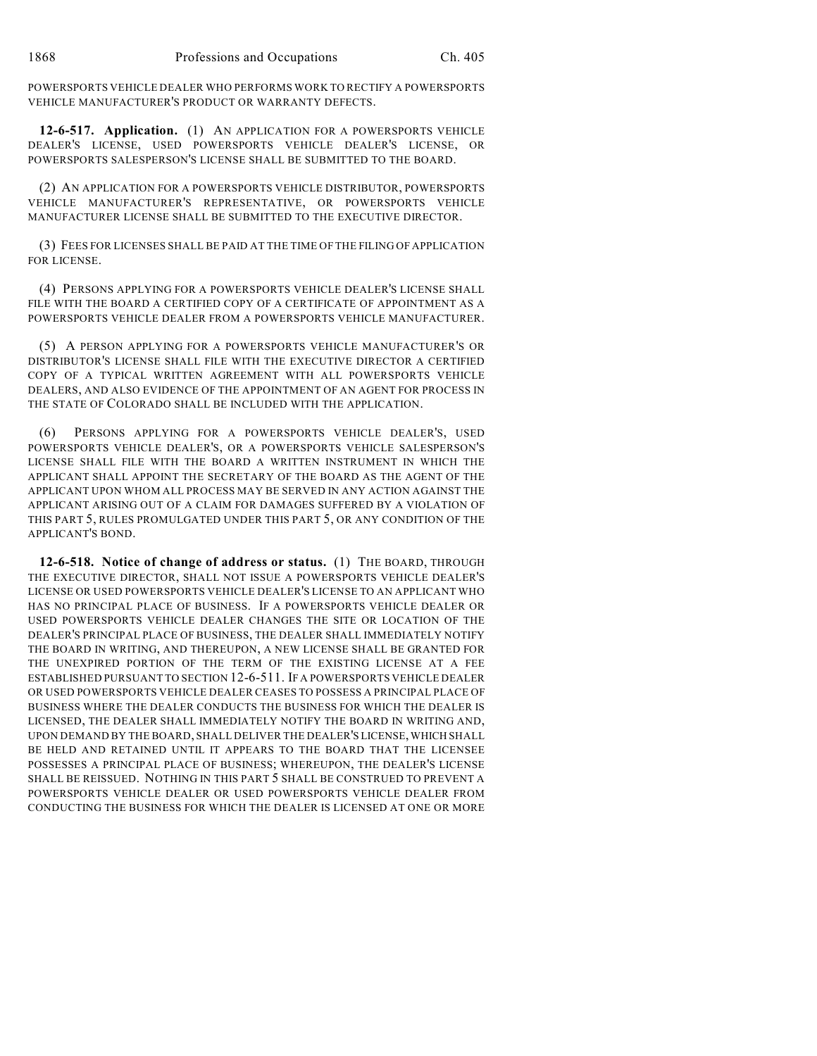POWERSPORTS VEHICLE DEALER WHO PERFORMS WORK TO RECTIFY A POWERSPORTS VEHICLE MANUFACTURER'S PRODUCT OR WARRANTY DEFECTS.

**12-6-517. Application.** (1) AN APPLICATION FOR A POWERSPORTS VEHICLE DEALER'S LICENSE, USED POWERSPORTS VEHICLE DEALER'S LICENSE, OR POWERSPORTS SALESPERSON'S LICENSE SHALL BE SUBMITTED TO THE BOARD.

(2) AN APPLICATION FOR A POWERSPORTS VEHICLE DISTRIBUTOR, POWERSPORTS VEHICLE MANUFACTURER'S REPRESENTATIVE, OR POWERSPORTS VEHICLE MANUFACTURER LICENSE SHALL BE SUBMITTED TO THE EXECUTIVE DIRECTOR.

(3) FEES FOR LICENSES SHALL BE PAID AT THE TIME OF THE FILING OF APPLICATION FOR LICENSE.

(4) PERSONS APPLYING FOR A POWERSPORTS VEHICLE DEALER'S LICENSE SHALL FILE WITH THE BOARD A CERTIFIED COPY OF A CERTIFICATE OF APPOINTMENT AS A POWERSPORTS VEHICLE DEALER FROM A POWERSPORTS VEHICLE MANUFACTURER.

(5) A PERSON APPLYING FOR A POWERSPORTS VEHICLE MANUFACTURER'S OR DISTRIBUTOR'S LICENSE SHALL FILE WITH THE EXECUTIVE DIRECTOR A CERTIFIED COPY OF A TYPICAL WRITTEN AGREEMENT WITH ALL POWERSPORTS VEHICLE DEALERS, AND ALSO EVIDENCE OF THE APPOINTMENT OF AN AGENT FOR PROCESS IN THE STATE OF COLORADO SHALL BE INCLUDED WITH THE APPLICATION.

(6) PERSONS APPLYING FOR A POWERSPORTS VEHICLE DEALER'S, USED POWERSPORTS VEHICLE DEALER'S, OR A POWERSPORTS VEHICLE SALESPERSON'S LICENSE SHALL FILE WITH THE BOARD A WRITTEN INSTRUMENT IN WHICH THE APPLICANT SHALL APPOINT THE SECRETARY OF THE BOARD AS THE AGENT OF THE APPLICANT UPON WHOM ALL PROCESS MAY BE SERVED IN ANY ACTION AGAINST THE APPLICANT ARISING OUT OF A CLAIM FOR DAMAGES SUFFERED BY A VIOLATION OF THIS PART 5, RULES PROMULGATED UNDER THIS PART 5, OR ANY CONDITION OF THE APPLICANT'S BOND.

**12-6-518. Notice of change of address or status.** (1) THE BOARD, THROUGH THE EXECUTIVE DIRECTOR, SHALL NOT ISSUE A POWERSPORTS VEHICLE DEALER'S LICENSE OR USED POWERSPORTS VEHICLE DEALER'S LICENSE TO AN APPLICANT WHO HAS NO PRINCIPAL PLACE OF BUSINESS. IF A POWERSPORTS VEHICLE DEALER OR USED POWERSPORTS VEHICLE DEALER CHANGES THE SITE OR LOCATION OF THE DEALER'S PRINCIPAL PLACE OF BUSINESS, THE DEALER SHALL IMMEDIATELY NOTIFY THE BOARD IN WRITING, AND THEREUPON, A NEW LICENSE SHALL BE GRANTED FOR THE UNEXPIRED PORTION OF THE TERM OF THE EXISTING LICENSE AT A FEE ESTABLISHED PURSUANT TO SECTION 12-6-511. IF A POWERSPORTS VEHICLE DEALER OR USED POWERSPORTS VEHICLE DEALER CEASES TO POSSESS A PRINCIPAL PLACE OF BUSINESS WHERE THE DEALER CONDUCTS THE BUSINESS FOR WHICH THE DEALER IS LICENSED, THE DEALER SHALL IMMEDIATELY NOTIFY THE BOARD IN WRITING AND, UPON DEMAND BY THE BOARD, SHALL DELIVER THE DEALER'S LICENSE, WHICH SHALL BE HELD AND RETAINED UNTIL IT APPEARS TO THE BOARD THAT THE LICENSEE POSSESSES A PRINCIPAL PLACE OF BUSINESS; WHEREUPON, THE DEALER'S LICENSE SHALL BE REISSUED. NOTHING IN THIS PART 5 SHALL BE CONSTRUED TO PREVENT A POWERSPORTS VEHICLE DEALER OR USED POWERSPORTS VEHICLE DEALER FROM CONDUCTING THE BUSINESS FOR WHICH THE DEALER IS LICENSED AT ONE OR MORE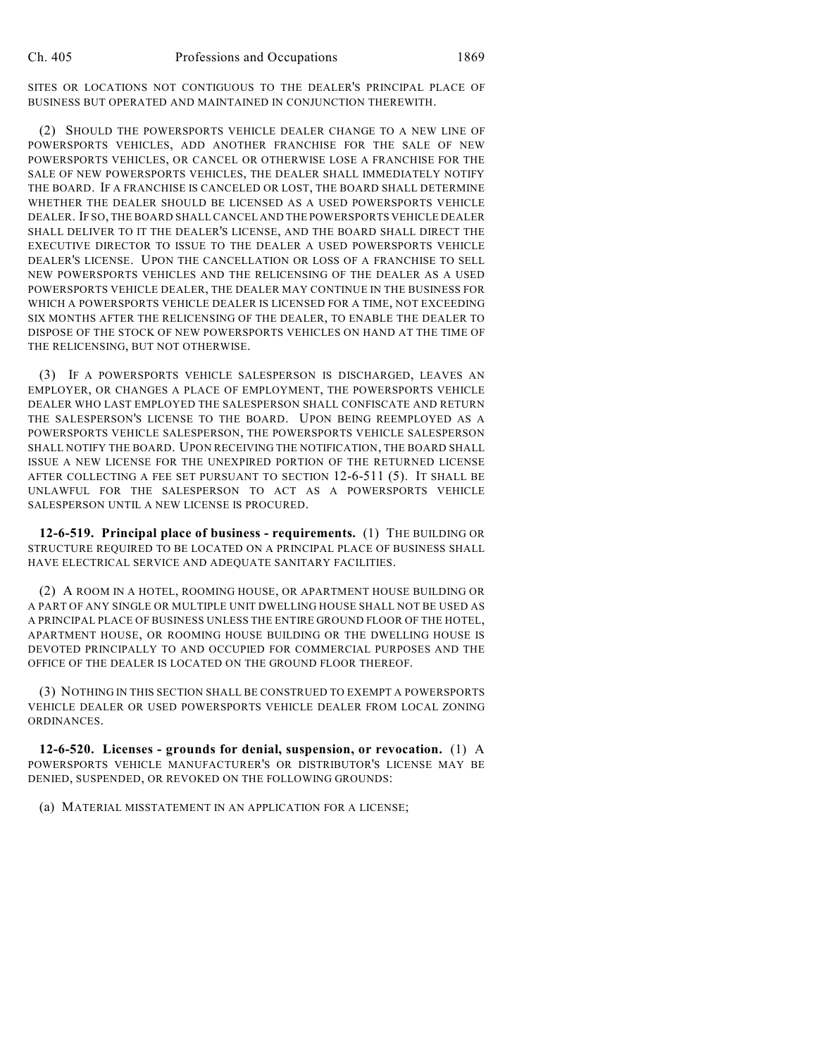SITES OR LOCATIONS NOT CONTIGUOUS TO THE DEALER'S PRINCIPAL PLACE OF BUSINESS BUT OPERATED AND MAINTAINED IN CONJUNCTION THEREWITH.

(2) SHOULD THE POWERSPORTS VEHICLE DEALER CHANGE TO A NEW LINE OF POWERSPORTS VEHICLES, ADD ANOTHER FRANCHISE FOR THE SALE OF NEW POWERSPORTS VEHICLES, OR CANCEL OR OTHERWISE LOSE A FRANCHISE FOR THE SALE OF NEW POWERSPORTS VEHICLES, THE DEALER SHALL IMMEDIATELY NOTIFY THE BOARD. IF A FRANCHISE IS CANCELED OR LOST, THE BOARD SHALL DETERMINE WHETHER THE DEALER SHOULD BE LICENSED AS A USED POWERSPORTS VEHICLE DEALER. IF SO, THE BOARD SHALL CANCEL AND THE POWERSPORTS VEHICLE DEALER SHALL DELIVER TO IT THE DEALER'S LICENSE, AND THE BOARD SHALL DIRECT THE EXECUTIVE DIRECTOR TO ISSUE TO THE DEALER A USED POWERSPORTS VEHICLE DEALER'S LICENSE. UPON THE CANCELLATION OR LOSS OF A FRANCHISE TO SELL NEW POWERSPORTS VEHICLES AND THE RELICENSING OF THE DEALER AS A USED POWERSPORTS VEHICLE DEALER, THE DEALER MAY CONTINUE IN THE BUSINESS FOR WHICH A POWERSPORTS VEHICLE DEALER IS LICENSED FOR A TIME, NOT EXCEEDING SIX MONTHS AFTER THE RELICENSING OF THE DEALER, TO ENABLE THE DEALER TO DISPOSE OF THE STOCK OF NEW POWERSPORTS VEHICLES ON HAND AT THE TIME OF THE RELICENSING, BUT NOT OTHERWISE.

(3) IF A POWERSPORTS VEHICLE SALESPERSON IS DISCHARGED, LEAVES AN EMPLOYER, OR CHANGES A PLACE OF EMPLOYMENT, THE POWERSPORTS VEHICLE DEALER WHO LAST EMPLOYED THE SALESPERSON SHALL CONFISCATE AND RETURN THE SALESPERSON'S LICENSE TO THE BOARD. UPON BEING REEMPLOYED AS A POWERSPORTS VEHICLE SALESPERSON, THE POWERSPORTS VEHICLE SALESPERSON SHALL NOTIFY THE BOARD. UPON RECEIVING THE NOTIFICATION, THE BOARD SHALL ISSUE A NEW LICENSE FOR THE UNEXPIRED PORTION OF THE RETURNED LICENSE AFTER COLLECTING A FEE SET PURSUANT TO SECTION 12-6-511 (5). IT SHALL BE UNLAWFUL FOR THE SALESPERSON TO ACT AS A POWERSPORTS VEHICLE SALESPERSON UNTIL A NEW LICENSE IS PROCURED.

**12-6-519. Principal place of business - requirements.** (1) THE BUILDING OR STRUCTURE REQUIRED TO BE LOCATED ON A PRINCIPAL PLACE OF BUSINESS SHALL HAVE ELECTRICAL SERVICE AND ADEQUATE SANITARY FACILITIES.

(2) A ROOM IN A HOTEL, ROOMING HOUSE, OR APARTMENT HOUSE BUILDING OR A PART OF ANY SINGLE OR MULTIPLE UNIT DWELLING HOUSE SHALL NOT BE USED AS A PRINCIPAL PLACE OF BUSINESS UNLESS THE ENTIRE GROUND FLOOR OF THE HOTEL, APARTMENT HOUSE, OR ROOMING HOUSE BUILDING OR THE DWELLING HOUSE IS DEVOTED PRINCIPALLY TO AND OCCUPIED FOR COMMERCIAL PURPOSES AND THE OFFICE OF THE DEALER IS LOCATED ON THE GROUND FLOOR THEREOF.

(3) NOTHING IN THIS SECTION SHALL BE CONSTRUED TO EXEMPT A POWERSPORTS VEHICLE DEALER OR USED POWERSPORTS VEHICLE DEALER FROM LOCAL ZONING ORDINANCES.

**12-6-520. Licenses - grounds for denial, suspension, or revocation.** (1) A POWERSPORTS VEHICLE MANUFACTURER'S OR DISTRIBUTOR'S LICENSE MAY BE DENIED, SUSPENDED, OR REVOKED ON THE FOLLOWING GROUNDS:

(a) MATERIAL MISSTATEMENT IN AN APPLICATION FOR A LICENSE;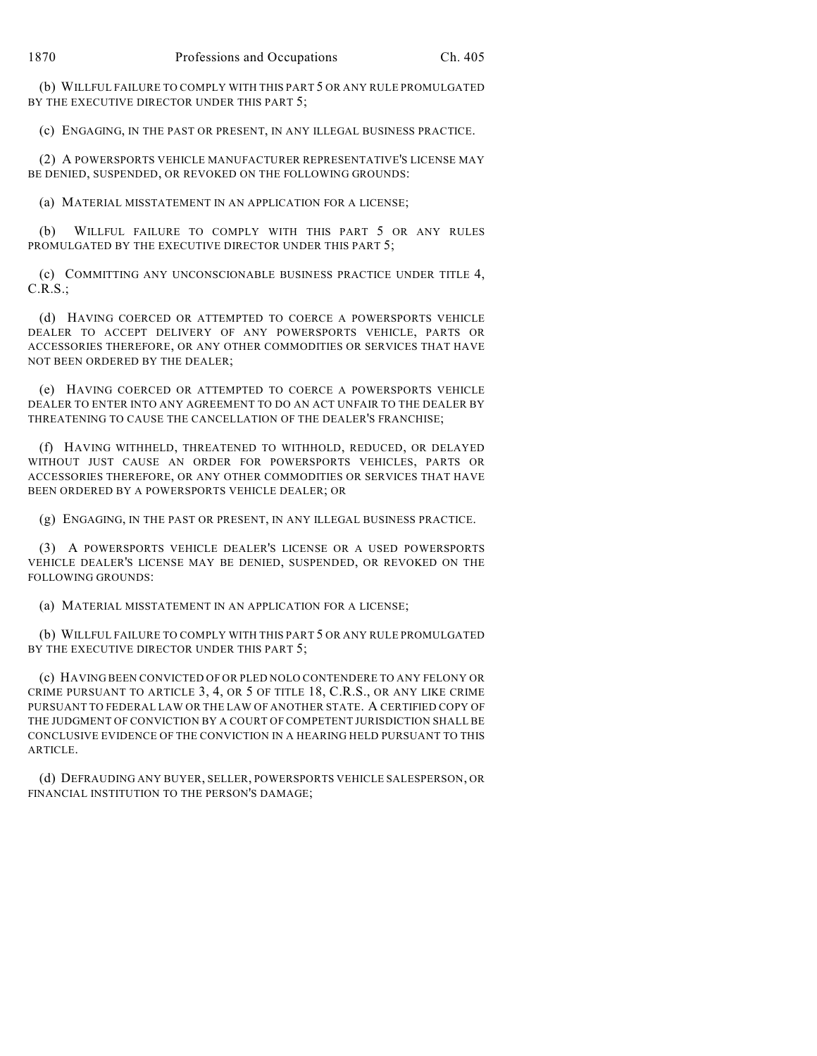(b) WILLFUL FAILURE TO COMPLY WITH THIS PART 5 OR ANY RULE PROMULGATED BY THE EXECUTIVE DIRECTOR UNDER THIS PART 5;

(c) ENGAGING, IN THE PAST OR PRESENT, IN ANY ILLEGAL BUSINESS PRACTICE.

(2) A POWERSPORTS VEHICLE MANUFACTURER REPRESENTATIVE'S LICENSE MAY BE DENIED, SUSPENDED, OR REVOKED ON THE FOLLOWING GROUNDS:

(a) MATERIAL MISSTATEMENT IN AN APPLICATION FOR A LICENSE;

(b) WILLFUL FAILURE TO COMPLY WITH THIS PART 5 OR ANY RULES PROMULGATED BY THE EXECUTIVE DIRECTOR UNDER THIS PART 5;

(c) COMMITTING ANY UNCONSCIONABLE BUSINESS PRACTICE UNDER TITLE 4, C.R.S.;

(d) HAVING COERCED OR ATTEMPTED TO COERCE A POWERSPORTS VEHICLE DEALER TO ACCEPT DELIVERY OF ANY POWERSPORTS VEHICLE, PARTS OR ACCESSORIES THEREFORE, OR ANY OTHER COMMODITIES OR SERVICES THAT HAVE NOT BEEN ORDERED BY THE DEALER;

(e) HAVING COERCED OR ATTEMPTED TO COERCE A POWERSPORTS VEHICLE DEALER TO ENTER INTO ANY AGREEMENT TO DO AN ACT UNFAIR TO THE DEALER BY THREATENING TO CAUSE THE CANCELLATION OF THE DEALER'S FRANCHISE;

(f) HAVING WITHHELD, THREATENED TO WITHHOLD, REDUCED, OR DELAYED WITHOUT JUST CAUSE AN ORDER FOR POWERSPORTS VEHICLES, PARTS OR ACCESSORIES THEREFORE, OR ANY OTHER COMMODITIES OR SERVICES THAT HAVE BEEN ORDERED BY A POWERSPORTS VEHICLE DEALER; OR

(g) ENGAGING, IN THE PAST OR PRESENT, IN ANY ILLEGAL BUSINESS PRACTICE.

(3) A POWERSPORTS VEHICLE DEALER'S LICENSE OR A USED POWERSPORTS VEHICLE DEALER'S LICENSE MAY BE DENIED, SUSPENDED, OR REVOKED ON THE FOLLOWING GROUNDS:

(a) MATERIAL MISSTATEMENT IN AN APPLICATION FOR A LICENSE;

(b) WILLFUL FAILURE TO COMPLY WITH THIS PART 5 OR ANY RULE PROMULGATED BY THE EXECUTIVE DIRECTOR UNDER THIS PART 5:

(c) HAVING BEEN CONVICTED OF OR PLED NOLO CONTENDERE TO ANY FELONY OR CRIME PURSUANT TO ARTICLE 3, 4, OR 5 OF TITLE 18, C.R.S., OR ANY LIKE CRIME PURSUANT TO FEDERAL LAW OR THE LAW OF ANOTHER STATE. A CERTIFIED COPY OF THE JUDGMENT OF CONVICTION BY A COURT OF COMPETENT JURISDICTION SHALL BE CONCLUSIVE EVIDENCE OF THE CONVICTION IN A HEARING HELD PURSUANT TO THIS ARTICLE.

(d) DEFRAUDING ANY BUYER, SELLER, POWERSPORTS VEHICLE SALESPERSON, OR FINANCIAL INSTITUTION TO THE PERSON'S DAMAGE;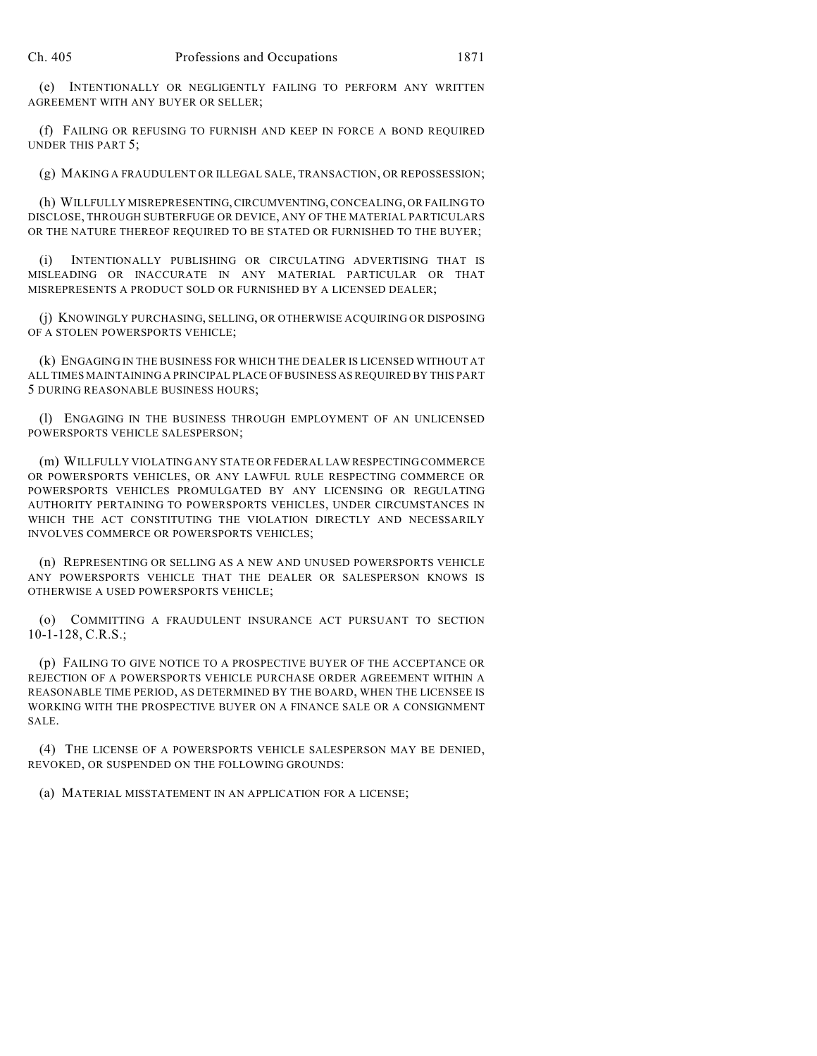(e) INTENTIONALLY OR NEGLIGENTLY FAILING TO PERFORM ANY WRITTEN AGREEMENT WITH ANY BUYER OR SELLER;

(f) FAILING OR REFUSING TO FURNISH AND KEEP IN FORCE A BOND REQUIRED UNDER THIS PART 5;

(g) MAKING A FRAUDULENT OR ILLEGAL SALE, TRANSACTION, OR REPOSSESSION;

(h) WILLFULLY MISREPRESENTING, CIRCUMVENTING, CONCEALING, OR FAILING TO DISCLOSE, THROUGH SUBTERFUGE OR DEVICE, ANY OF THE MATERIAL PARTICULARS OR THE NATURE THEREOF REQUIRED TO BE STATED OR FURNISHED TO THE BUYER;

(i) INTENTIONALLY PUBLISHING OR CIRCULATING ADVERTISING THAT IS MISLEADING OR INACCURATE IN ANY MATERIAL PARTICULAR OR THAT MISREPRESENTS A PRODUCT SOLD OR FURNISHED BY A LICENSED DEALER;

(j) KNOWINGLY PURCHASING, SELLING, OR OTHERWISE ACQUIRING OR DISPOSING OF A STOLEN POWERSPORTS VEHICLE;

(k) ENGAGING IN THE BUSINESS FOR WHICH THE DEALER IS LICENSED WITHOUT AT ALL TIMES MAINTAINING A PRINCIPAL PLACE OF BUSINESS AS REQUIRED BY THIS PART 5 DURING REASONABLE BUSINESS HOURS;

(l) ENGAGING IN THE BUSINESS THROUGH EMPLOYMENT OF AN UNLICENSED POWERSPORTS VEHICLE SALESPERSON;

(m) WILLFULLY VIOLATING ANY STATE OR FEDERAL LAW RESPECTING COMMERCE OR POWERSPORTS VEHICLES, OR ANY LAWFUL RULE RESPECTING COMMERCE OR POWERSPORTS VEHICLES PROMULGATED BY ANY LICENSING OR REGULATING AUTHORITY PERTAINING TO POWERSPORTS VEHICLES, UNDER CIRCUMSTANCES IN WHICH THE ACT CONSTITUTING THE VIOLATION DIRECTLY AND NECESSARILY INVOLVES COMMERCE OR POWERSPORTS VEHICLES;

(n) REPRESENTING OR SELLING AS A NEW AND UNUSED POWERSPORTS VEHICLE ANY POWERSPORTS VEHICLE THAT THE DEALER OR SALESPERSON KNOWS IS OTHERWISE A USED POWERSPORTS VEHICLE;

(o) COMMITTING A FRAUDULENT INSURANCE ACT PURSUANT TO SECTION 10-1-128, C.R.S.;

(p) FAILING TO GIVE NOTICE TO A PROSPECTIVE BUYER OF THE ACCEPTANCE OR REJECTION OF A POWERSPORTS VEHICLE PURCHASE ORDER AGREEMENT WITHIN A REASONABLE TIME PERIOD, AS DETERMINED BY THE BOARD, WHEN THE LICENSEE IS WORKING WITH THE PROSPECTIVE BUYER ON A FINANCE SALE OR A CONSIGNMENT SALE.

(4) THE LICENSE OF A POWERSPORTS VEHICLE SALESPERSON MAY BE DENIED, REVOKED, OR SUSPENDED ON THE FOLLOWING GROUNDS:

(a) MATERIAL MISSTATEMENT IN AN APPLICATION FOR A LICENSE;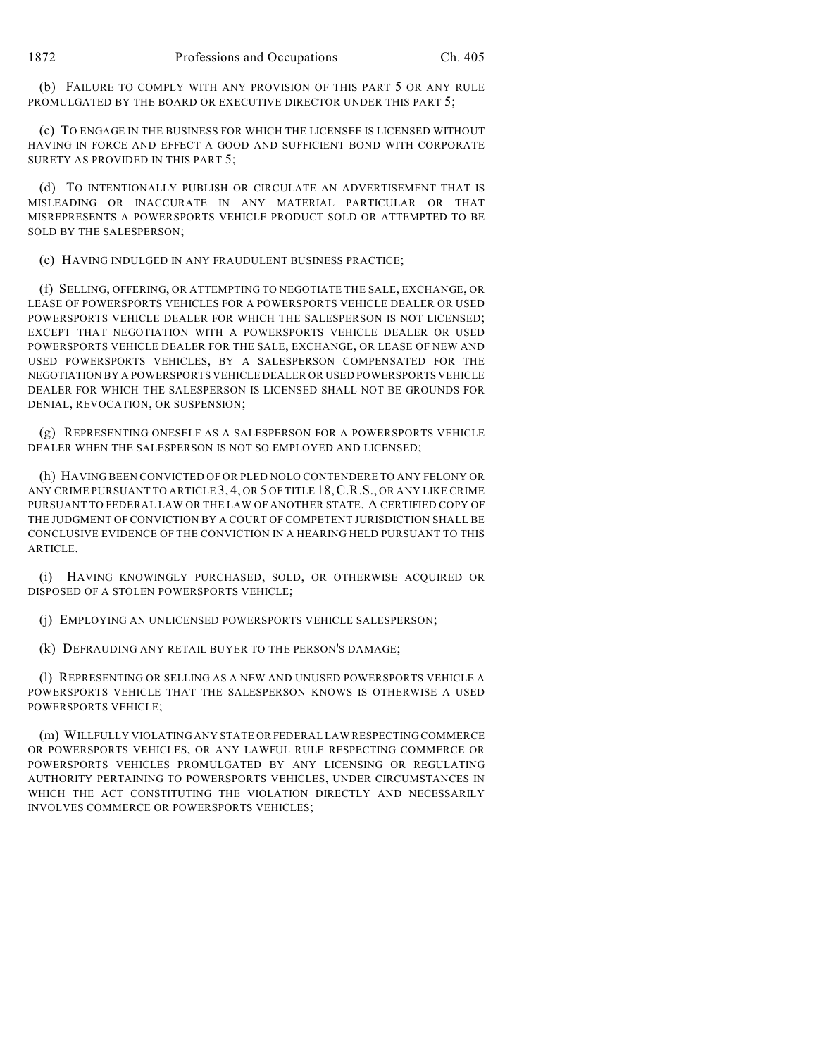(b) FAILURE TO COMPLY WITH ANY PROVISION OF THIS PART 5 OR ANY RULE PROMULGATED BY THE BOARD OR EXECUTIVE DIRECTOR UNDER THIS PART 5;

(c) TO ENGAGE IN THE BUSINESS FOR WHICH THE LICENSEE IS LICENSED WITHOUT HAVING IN FORCE AND EFFECT A GOOD AND SUFFICIENT BOND WITH CORPORATE SURETY AS PROVIDED IN THIS PART 5;

(d) TO INTENTIONALLY PUBLISH OR CIRCULATE AN ADVERTISEMENT THAT IS MISLEADING OR INACCURATE IN ANY MATERIAL PARTICULAR OR THAT MISREPRESENTS A POWERSPORTS VEHICLE PRODUCT SOLD OR ATTEMPTED TO BE SOLD BY THE SALESPERSON;

(e) HAVING INDULGED IN ANY FRAUDULENT BUSINESS PRACTICE;

(f) SELLING, OFFERING, OR ATTEMPTING TO NEGOTIATE THE SALE, EXCHANGE, OR LEASE OF POWERSPORTS VEHICLES FOR A POWERSPORTS VEHICLE DEALER OR USED POWERSPORTS VEHICLE DEALER FOR WHICH THE SALESPERSON IS NOT LICENSED; EXCEPT THAT NEGOTIATION WITH A POWERSPORTS VEHICLE DEALER OR USED POWERSPORTS VEHICLE DEALER FOR THE SALE, EXCHANGE, OR LEASE OF NEW AND USED POWERSPORTS VEHICLES, BY A SALESPERSON COMPENSATED FOR THE NEGOTIATION BY A POWERSPORTS VEHICLE DEALER OR USED POWERSPORTS VEHICLE DEALER FOR WHICH THE SALESPERSON IS LICENSED SHALL NOT BE GROUNDS FOR DENIAL, REVOCATION, OR SUSPENSION;

(g) REPRESENTING ONESELF AS A SALESPERSON FOR A POWERSPORTS VEHICLE DEALER WHEN THE SALESPERSON IS NOT SO EMPLOYED AND LICENSED;

(h) HAVING BEEN CONVICTED OF OR PLED NOLO CONTENDERE TO ANY FELONY OR ANY CRIME PURSUANT TO ARTICLE 3, 4, OR 5 OF TITLE 18,C.R.S., OR ANY LIKE CRIME PURSUANT TO FEDERAL LAW OR THE LAW OF ANOTHER STATE. A CERTIFIED COPY OF THE JUDGMENT OF CONVICTION BY A COURT OF COMPETENT JURISDICTION SHALL BE CONCLUSIVE EVIDENCE OF THE CONVICTION IN A HEARING HELD PURSUANT TO THIS ARTICLE.

(i) HAVING KNOWINGLY PURCHASED, SOLD, OR OTHERWISE ACQUIRED OR DISPOSED OF A STOLEN POWERSPORTS VEHICLE;

(j) EMPLOYING AN UNLICENSED POWERSPORTS VEHICLE SALESPERSON;

(k) DEFRAUDING ANY RETAIL BUYER TO THE PERSON'S DAMAGE;

(l) REPRESENTING OR SELLING AS A NEW AND UNUSED POWERSPORTS VEHICLE A POWERSPORTS VEHICLE THAT THE SALESPERSON KNOWS IS OTHERWISE A USED POWERSPORTS VEHICLE;

(m) WILLFULLY VIOLATING ANY STATE OR FEDERAL LAW RESPECTING COMMERCE OR POWERSPORTS VEHICLES, OR ANY LAWFUL RULE RESPECTING COMMERCE OR POWERSPORTS VEHICLES PROMULGATED BY ANY LICENSING OR REGULATING AUTHORITY PERTAINING TO POWERSPORTS VEHICLES, UNDER CIRCUMSTANCES IN WHICH THE ACT CONSTITUTING THE VIOLATION DIRECTLY AND NECESSARILY INVOLVES COMMERCE OR POWERSPORTS VEHICLES;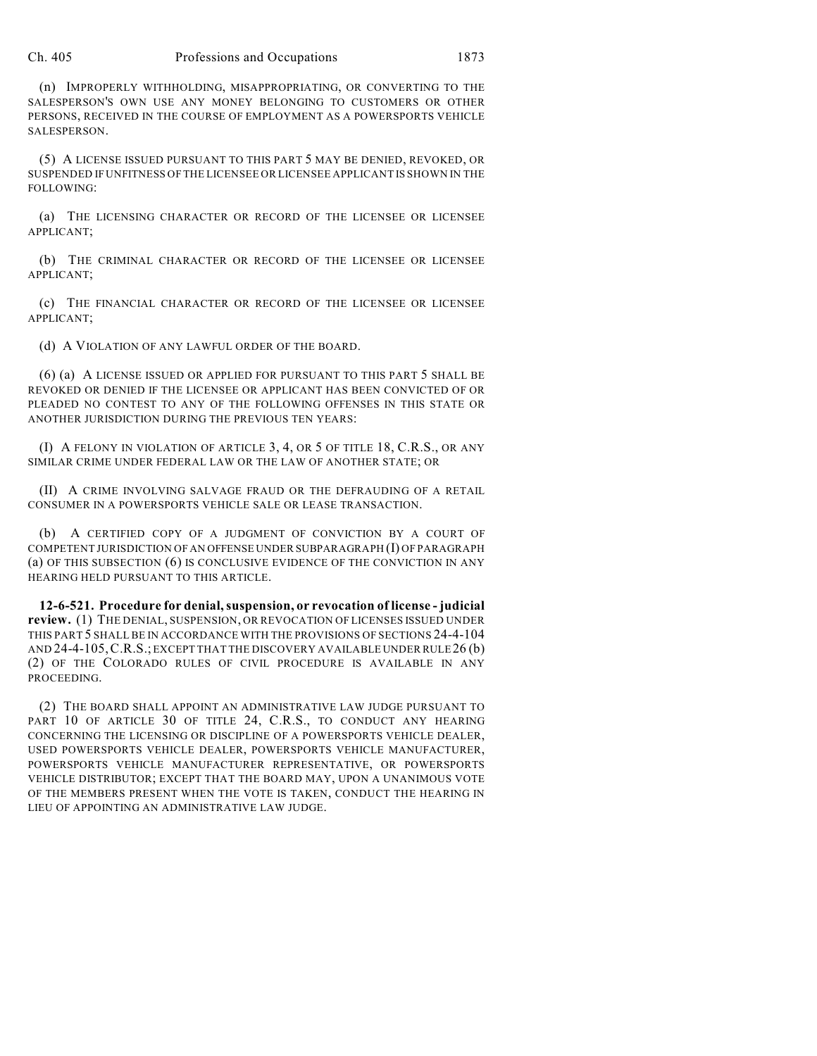#### Ch. 405 Professions and Occupations 1873

(n) IMPROPERLY WITHHOLDING, MISAPPROPRIATING, OR CONVERTING TO THE SALESPERSON'S OWN USE ANY MONEY BELONGING TO CUSTOMERS OR OTHER PERSONS, RECEIVED IN THE COURSE OF EMPLOYMENT AS A POWERSPORTS VEHICLE SALESPERSON.

(5) A LICENSE ISSUED PURSUANT TO THIS PART 5 MAY BE DENIED, REVOKED, OR SUSPENDED IF UNFITNESS OFTHE LICENSEE OR LICENSEE APPLICANT IS SHOWN IN THE FOLLOWING:

(a) THE LICENSING CHARACTER OR RECORD OF THE LICENSEE OR LICENSEE APPLICANT;

(b) THE CRIMINAL CHARACTER OR RECORD OF THE LICENSEE OR LICENSEE APPLICANT;

(c) THE FINANCIAL CHARACTER OR RECORD OF THE LICENSEE OR LICENSEE APPLICANT;

(d) A VIOLATION OF ANY LAWFUL ORDER OF THE BOARD.

(6) (a) A LICENSE ISSUED OR APPLIED FOR PURSUANT TO THIS PART 5 SHALL BE REVOKED OR DENIED IF THE LICENSEE OR APPLICANT HAS BEEN CONVICTED OF OR PLEADED NO CONTEST TO ANY OF THE FOLLOWING OFFENSES IN THIS STATE OR ANOTHER JURISDICTION DURING THE PREVIOUS TEN YEARS:

(I) A FELONY IN VIOLATION OF ARTICLE 3, 4, OR 5 OF TITLE 18, C.R.S., OR ANY SIMILAR CRIME UNDER FEDERAL LAW OR THE LAW OF ANOTHER STATE; OR

(II) A CRIME INVOLVING SALVAGE FRAUD OR THE DEFRAUDING OF A RETAIL CONSUMER IN A POWERSPORTS VEHICLE SALE OR LEASE TRANSACTION.

(b) A CERTIFIED COPY OF A JUDGMENT OF CONVICTION BY A COURT OF COMPETENT JURISDICTION OF AN OFFENSE UNDER SUBPARAGRAPH (I) OF PARAGRAPH (a) OF THIS SUBSECTION (6) IS CONCLUSIVE EVIDENCE OF THE CONVICTION IN ANY HEARING HELD PURSUANT TO THIS ARTICLE.

**12-6-521. Procedure for denial,suspension, or revocation of license - judicial review.** (1) THE DENIAL, SUSPENSION, OR REVOCATION OF LICENSES ISSUED UNDER THIS PART 5 SHALL BE IN ACCORDANCE WITH THE PROVISIONS OF SECTIONS 24-4-104 AND 24-4-105,C.R.S.; EXCEPT THAT THE DISCOVERY AVAILABLE UNDER RULE 26 (b) (2) OF THE COLORADO RULES OF CIVIL PROCEDURE IS AVAILABLE IN ANY PROCEEDING.

(2) THE BOARD SHALL APPOINT AN ADMINISTRATIVE LAW JUDGE PURSUANT TO PART 10 OF ARTICLE 30 OF TITLE 24, C.R.S., TO CONDUCT ANY HEARING CONCERNING THE LICENSING OR DISCIPLINE OF A POWERSPORTS VEHICLE DEALER, USED POWERSPORTS VEHICLE DEALER, POWERSPORTS VEHICLE MANUFACTURER, POWERSPORTS VEHICLE MANUFACTURER REPRESENTATIVE, OR POWERSPORTS VEHICLE DISTRIBUTOR; EXCEPT THAT THE BOARD MAY, UPON A UNANIMOUS VOTE OF THE MEMBERS PRESENT WHEN THE VOTE IS TAKEN, CONDUCT THE HEARING IN LIEU OF APPOINTING AN ADMINISTRATIVE LAW JUDGE.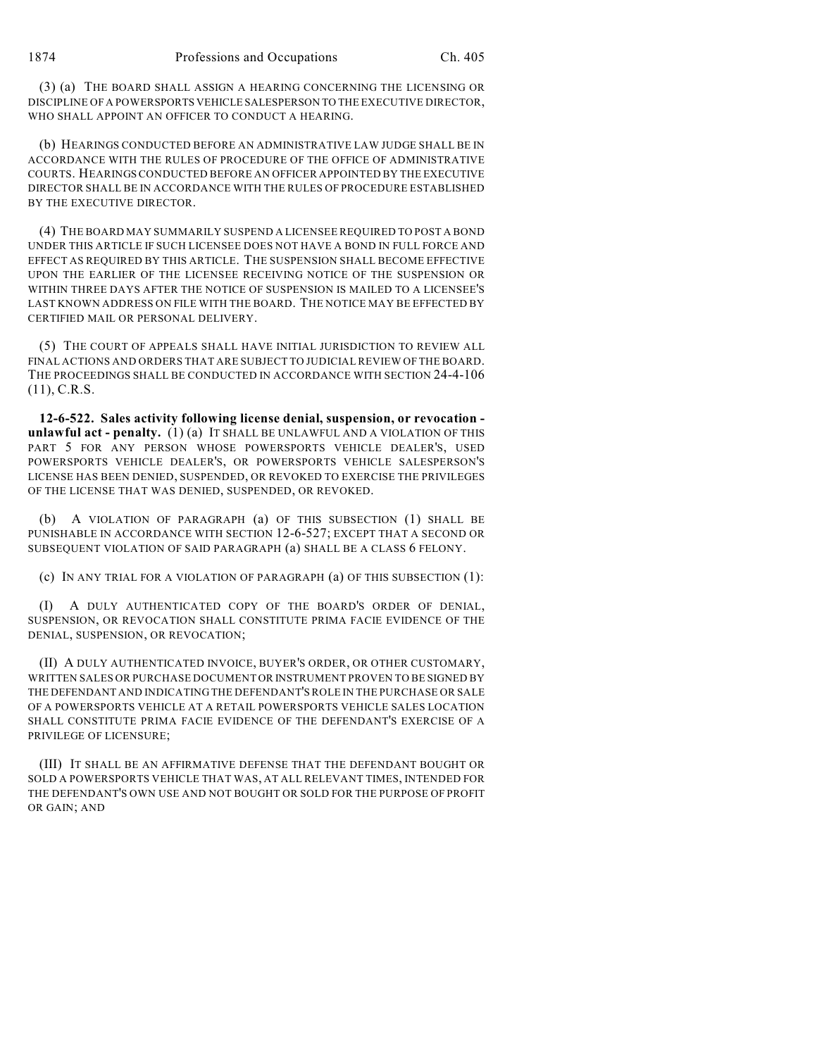(3) (a) THE BOARD SHALL ASSIGN A HEARING CONCERNING THE LICENSING OR DISCIPLINE OF A POWERSPORTS VEHICLE SALESPERSON TO THE EXECUTIVE DIRECTOR, WHO SHALL APPOINT AN OFFICER TO CONDUCT A HEARING.

(b) HEARINGS CONDUCTED BEFORE AN ADMINISTRATIVE LAW JUDGE SHALL BE IN ACCORDANCE WITH THE RULES OF PROCEDURE OF THE OFFICE OF ADMINISTRATIVE COURTS. HEARINGS CONDUCTED BEFORE AN OFFICER APPOINTED BY THE EXECUTIVE DIRECTOR SHALL BE IN ACCORDANCE WITH THE RULES OF PROCEDURE ESTABLISHED BY THE EXECUTIVE DIRECTOR.

(4) THE BOARD MAY SUMMARILY SUSPEND A LICENSEE REQUIRED TO POST A BOND UNDER THIS ARTICLE IF SUCH LICENSEE DOES NOT HAVE A BOND IN FULL FORCE AND EFFECT AS REQUIRED BY THIS ARTICLE. THE SUSPENSION SHALL BECOME EFFECTIVE UPON THE EARLIER OF THE LICENSEE RECEIVING NOTICE OF THE SUSPENSION OR WITHIN THREE DAYS AFTER THE NOTICE OF SUSPENSION IS MAILED TO A LICENSEE'S LAST KNOWN ADDRESS ON FILE WITH THE BOARD. THE NOTICE MAY BE EFFECTED BY CERTIFIED MAIL OR PERSONAL DELIVERY.

(5) THE COURT OF APPEALS SHALL HAVE INITIAL JURISDICTION TO REVIEW ALL FINAL ACTIONS AND ORDERS THAT ARE SUBJECT TO JUDICIAL REVIEW OF THE BOARD. THE PROCEEDINGS SHALL BE CONDUCTED IN ACCORDANCE WITH SECTION 24-4-106  $(11), C.R.S.$ 

**12-6-522. Sales activity following license denial, suspension, or revocation unlawful act - penalty.** (1) (a) IT SHALL BE UNLAWFUL AND A VIOLATION OF THIS PART 5 FOR ANY PERSON WHOSE POWERSPORTS VEHICLE DEALER'S, USED POWERSPORTS VEHICLE DEALER'S, OR POWERSPORTS VEHICLE SALESPERSON'S LICENSE HAS BEEN DENIED, SUSPENDED, OR REVOKED TO EXERCISE THE PRIVILEGES OF THE LICENSE THAT WAS DENIED, SUSPENDED, OR REVOKED.

(b) A VIOLATION OF PARAGRAPH (a) OF THIS SUBSECTION (1) SHALL BE PUNISHABLE IN ACCORDANCE WITH SECTION 12-6-527; EXCEPT THAT A SECOND OR SUBSEQUENT VIOLATION OF SAID PARAGRAPH (a) SHALL BE A CLASS 6 FELONY.

(c) IN ANY TRIAL FOR A VIOLATION OF PARAGRAPH (a) OF THIS SUBSECTION (1):

(I) A DULY AUTHENTICATED COPY OF THE BOARD'S ORDER OF DENIAL, SUSPENSION, OR REVOCATION SHALL CONSTITUTE PRIMA FACIE EVIDENCE OF THE DENIAL, SUSPENSION, OR REVOCATION;

(II) A DULY AUTHENTICATED INVOICE, BUYER'S ORDER, OR OTHER CUSTOMARY, WRITTEN SALES OR PURCHASE DOCUMENT OR INSTRUMENT PROVEN TO BE SIGNED BY THE DEFENDANT AND INDICATING THE DEFENDANT'S ROLE IN THE PURCHASE OR SALE OF A POWERSPORTS VEHICLE AT A RETAIL POWERSPORTS VEHICLE SALES LOCATION SHALL CONSTITUTE PRIMA FACIE EVIDENCE OF THE DEFENDANT'S EXERCISE OF A PRIVILEGE OF LICENSURE;

(III) IT SHALL BE AN AFFIRMATIVE DEFENSE THAT THE DEFENDANT BOUGHT OR SOLD A POWERSPORTS VEHICLE THAT WAS, AT ALL RELEVANT TIMES, INTENDED FOR THE DEFENDANT'S OWN USE AND NOT BOUGHT OR SOLD FOR THE PURPOSE OF PROFIT OR GAIN; AND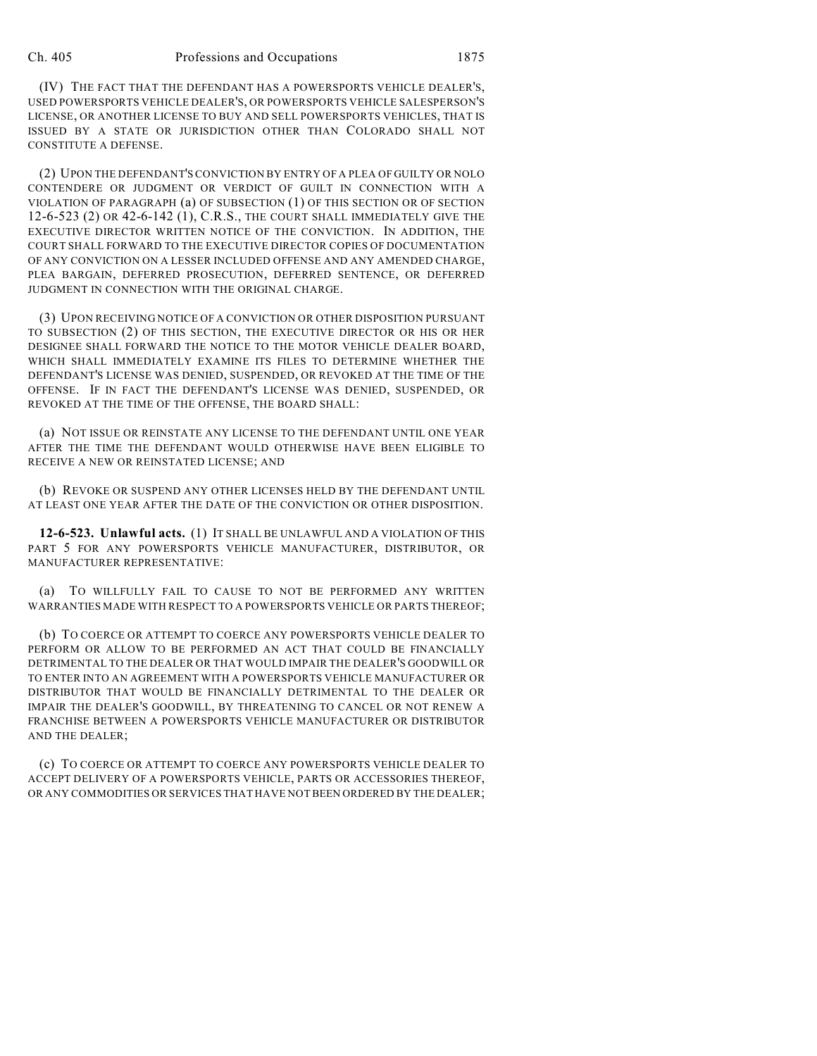(IV) THE FACT THAT THE DEFENDANT HAS A POWERSPORTS VEHICLE DEALER'S, USED POWERSPORTS VEHICLE DEALER'S, OR POWERSPORTS VEHICLE SALESPERSON'S LICENSE, OR ANOTHER LICENSE TO BUY AND SELL POWERSPORTS VEHICLES, THAT IS ISSUED BY A STATE OR JURISDICTION OTHER THAN COLORADO SHALL NOT CONSTITUTE A DEFENSE.

(2) UPON THE DEFENDANT'S CONVICTION BY ENTRY OF A PLEA OF GUILTY OR NOLO CONTENDERE OR JUDGMENT OR VERDICT OF GUILT IN CONNECTION WITH A VIOLATION OF PARAGRAPH (a) OF SUBSECTION (1) OF THIS SECTION OR OF SECTION 12-6-523 (2) OR 42-6-142 (1), C.R.S., THE COURT SHALL IMMEDIATELY GIVE THE EXECUTIVE DIRECTOR WRITTEN NOTICE OF THE CONVICTION. IN ADDITION, THE COURT SHALL FORWARD TO THE EXECUTIVE DIRECTOR COPIES OF DOCUMENTATION OF ANY CONVICTION ON A LESSER INCLUDED OFFENSE AND ANY AMENDED CHARGE, PLEA BARGAIN, DEFERRED PROSECUTION, DEFERRED SENTENCE, OR DEFERRED JUDGMENT IN CONNECTION WITH THE ORIGINAL CHARGE.

(3) UPON RECEIVING NOTICE OF A CONVICTION OR OTHER DISPOSITION PURSUANT TO SUBSECTION (2) OF THIS SECTION, THE EXECUTIVE DIRECTOR OR HIS OR HER DESIGNEE SHALL FORWARD THE NOTICE TO THE MOTOR VEHICLE DEALER BOARD, WHICH SHALL IMMEDIATELY EXAMINE ITS FILES TO DETERMINE WHETHER THE DEFENDANT'S LICENSE WAS DENIED, SUSPENDED, OR REVOKED AT THE TIME OF THE OFFENSE. IF IN FACT THE DEFENDANT'S LICENSE WAS DENIED, SUSPENDED, OR REVOKED AT THE TIME OF THE OFFENSE, THE BOARD SHALL:

(a) NOT ISSUE OR REINSTATE ANY LICENSE TO THE DEFENDANT UNTIL ONE YEAR AFTER THE TIME THE DEFENDANT WOULD OTHERWISE HAVE BEEN ELIGIBLE TO RECEIVE A NEW OR REINSTATED LICENSE; AND

(b) REVOKE OR SUSPEND ANY OTHER LICENSES HELD BY THE DEFENDANT UNTIL AT LEAST ONE YEAR AFTER THE DATE OF THE CONVICTION OR OTHER DISPOSITION.

**12-6-523. Unlawful acts.** (1) IT SHALL BE UNLAWFUL AND A VIOLATION OF THIS PART 5 FOR ANY POWERSPORTS VEHICLE MANUFACTURER, DISTRIBUTOR, OR MANUFACTURER REPRESENTATIVE:

(a) TO WILLFULLY FAIL TO CAUSE TO NOT BE PERFORMED ANY WRITTEN WARRANTIES MADE WITH RESPECT TO A POWERSPORTS VEHICLE OR PARTS THEREOF;

(b) TO COERCE OR ATTEMPT TO COERCE ANY POWERSPORTS VEHICLE DEALER TO PERFORM OR ALLOW TO BE PERFORMED AN ACT THAT COULD BE FINANCIALLY DETRIMENTAL TO THE DEALER OR THAT WOULD IMPAIR THE DEALER'S GOODWILL OR TO ENTER INTO AN AGREEMENT WITH A POWERSPORTS VEHICLE MANUFACTURER OR DISTRIBUTOR THAT WOULD BE FINANCIALLY DETRIMENTAL TO THE DEALER OR IMPAIR THE DEALER'S GOODWILL, BY THREATENING TO CANCEL OR NOT RENEW A FRANCHISE BETWEEN A POWERSPORTS VEHICLE MANUFACTURER OR DISTRIBUTOR AND THE DEALER;

(c) TO COERCE OR ATTEMPT TO COERCE ANY POWERSPORTS VEHICLE DEALER TO ACCEPT DELIVERY OF A POWERSPORTS VEHICLE, PARTS OR ACCESSORIES THEREOF, OR ANY COMMODITIES OR SERVICES THAT HAVE NOT BEEN ORDERED BY THE DEALER;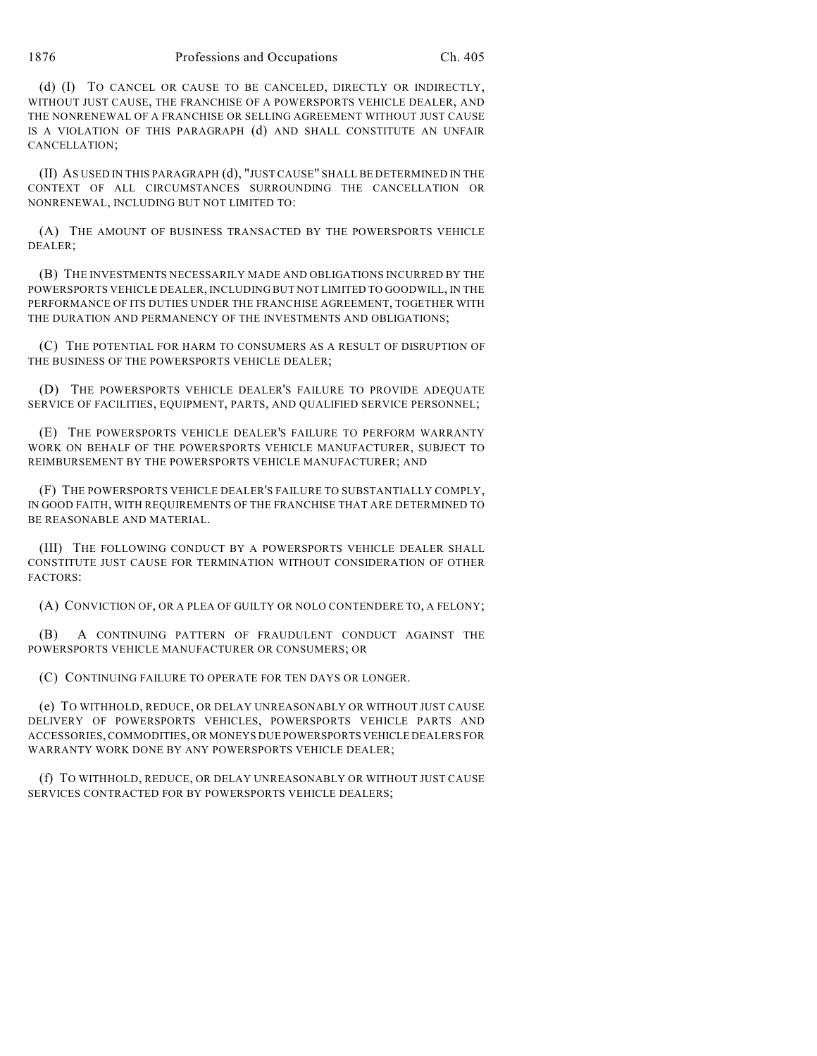1876 Professions and Occupations Ch. 405

(d) (I) TO CANCEL OR CAUSE TO BE CANCELED, DIRECTLY OR INDIRECTLY, WITHOUT JUST CAUSE, THE FRANCHISE OF A POWERSPORTS VEHICLE DEALER, AND THE NONRENEWAL OF A FRANCHISE OR SELLING AGREEMENT WITHOUT JUST CAUSE IS A VIOLATION OF THIS PARAGRAPH (d) AND SHALL CONSTITUTE AN UNFAIR CANCELLATION;

(II) AS USED IN THIS PARAGRAPH (d), "JUST CAUSE" SHALL BE DETERMINED IN THE CONTEXT OF ALL CIRCUMSTANCES SURROUNDING THE CANCELLATION OR NONRENEWAL, INCLUDING BUT NOT LIMITED TO:

(A) THE AMOUNT OF BUSINESS TRANSACTED BY THE POWERSPORTS VEHICLE DEALER;

(B) THE INVESTMENTS NECESSARILY MADE AND OBLIGATIONS INCURRED BY THE POWERSPORTS VEHICLE DEALER, INCLUDING BUT NOT LIMITED TO GOODWILL, IN THE PERFORMANCE OF ITS DUTIES UNDER THE FRANCHISE AGREEMENT, TOGETHER WITH THE DURATION AND PERMANENCY OF THE INVESTMENTS AND OBLIGATIONS;

(C) THE POTENTIAL FOR HARM TO CONSUMERS AS A RESULT OF DISRUPTION OF THE BUSINESS OF THE POWERSPORTS VEHICLE DEALER;

(D) THE POWERSPORTS VEHICLE DEALER'S FAILURE TO PROVIDE ADEQUATE SERVICE OF FACILITIES, EQUIPMENT, PARTS, AND QUALIFIED SERVICE PERSONNEL;

(E) THE POWERSPORTS VEHICLE DEALER'S FAILURE TO PERFORM WARRANTY WORK ON BEHALF OF THE POWERSPORTS VEHICLE MANUFACTURER, SUBJECT TO REIMBURSEMENT BY THE POWERSPORTS VEHICLE MANUFACTURER; AND

(F) THE POWERSPORTS VEHICLE DEALER'S FAILURE TO SUBSTANTIALLY COMPLY, IN GOOD FAITH, WITH REQUIREMENTS OF THE FRANCHISE THAT ARE DETERMINED TO BE REASONABLE AND MATERIAL.

(III) THE FOLLOWING CONDUCT BY A POWERSPORTS VEHICLE DEALER SHALL CONSTITUTE JUST CAUSE FOR TERMINATION WITHOUT CONSIDERATION OF OTHER FACTORS:

(A) CONVICTION OF, OR A PLEA OF GUILTY OR NOLO CONTENDERE TO, A FELONY;

(B) A CONTINUING PATTERN OF FRAUDULENT CONDUCT AGAINST THE POWERSPORTS VEHICLE MANUFACTURER OR CONSUMERS; OR

(C) CONTINUING FAILURE TO OPERATE FOR TEN DAYS OR LONGER.

(e) TO WITHHOLD, REDUCE, OR DELAY UNREASONABLY OR WITHOUT JUST CAUSE DELIVERY OF POWERSPORTS VEHICLES, POWERSPORTS VEHICLE PARTS AND ACCESSORIES, COMMODITIES, OR MONEYS DUE POWERSPORTS VEHICLE DEALERS FOR WARRANTY WORK DONE BY ANY POWERSPORTS VEHICLE DEALER;

(f) TO WITHHOLD, REDUCE, OR DELAY UNREASONABLY OR WITHOUT JUST CAUSE SERVICES CONTRACTED FOR BY POWERSPORTS VEHICLE DEALERS;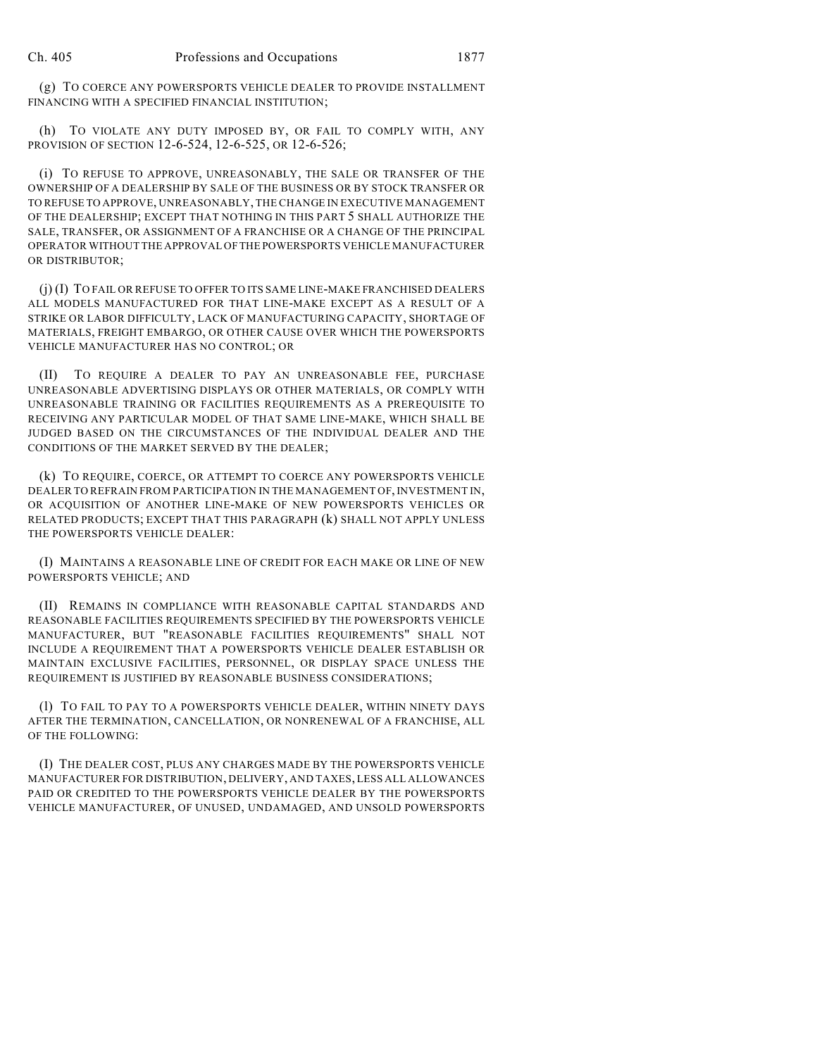(g) TO COERCE ANY POWERSPORTS VEHICLE DEALER TO PROVIDE INSTALLMENT FINANCING WITH A SPECIFIED FINANCIAL INSTITUTION;

(h) TO VIOLATE ANY DUTY IMPOSED BY, OR FAIL TO COMPLY WITH, ANY PROVISION OF SECTION 12-6-524, 12-6-525, OR 12-6-526;

(i) TO REFUSE TO APPROVE, UNREASONABLY, THE SALE OR TRANSFER OF THE OWNERSHIP OF A DEALERSHIP BY SALE OF THE BUSINESS OR BY STOCK TRANSFER OR TO REFUSE TO APPROVE, UNREASONABLY, THE CHANGE IN EXECUTIVE MANAGEMENT OF THE DEALERSHIP; EXCEPT THAT NOTHING IN THIS PART 5 SHALL AUTHORIZE THE SALE, TRANSFER, OR ASSIGNMENT OF A FRANCHISE OR A CHANGE OF THE PRINCIPAL OPERATOR WITHOUT THE APPROVAL OF THE POWERSPORTS VEHICLE MANUFACTURER OR DISTRIBUTOR;

(j) (I) TO FAIL OR REFUSE TO OFFER TO ITS SAME LINE-MAKE FRANCHISED DEALERS ALL MODELS MANUFACTURED FOR THAT LINE-MAKE EXCEPT AS A RESULT OF A STRIKE OR LABOR DIFFICULTY, LACK OF MANUFACTURING CAPACITY, SHORTAGE OF MATERIALS, FREIGHT EMBARGO, OR OTHER CAUSE OVER WHICH THE POWERSPORTS VEHICLE MANUFACTURER HAS NO CONTROL; OR

(II) TO REQUIRE A DEALER TO PAY AN UNREASONABLE FEE, PURCHASE UNREASONABLE ADVERTISING DISPLAYS OR OTHER MATERIALS, OR COMPLY WITH UNREASONABLE TRAINING OR FACILITIES REQUIREMENTS AS A PREREQUISITE TO RECEIVING ANY PARTICULAR MODEL OF THAT SAME LINE-MAKE, WHICH SHALL BE JUDGED BASED ON THE CIRCUMSTANCES OF THE INDIVIDUAL DEALER AND THE CONDITIONS OF THE MARKET SERVED BY THE DEALER;

(k) TO REQUIRE, COERCE, OR ATTEMPT TO COERCE ANY POWERSPORTS VEHICLE DEALER TO REFRAIN FROM PARTICIPATION IN THE MANAGEMENT OF, INVESTMENT IN, OR ACQUISITION OF ANOTHER LINE-MAKE OF NEW POWERSPORTS VEHICLES OR RELATED PRODUCTS; EXCEPT THAT THIS PARAGRAPH (k) SHALL NOT APPLY UNLESS THE POWERSPORTS VEHICLE DEALER:

(I) MAINTAINS A REASONABLE LINE OF CREDIT FOR EACH MAKE OR LINE OF NEW POWERSPORTS VEHICLE; AND

(II) REMAINS IN COMPLIANCE WITH REASONABLE CAPITAL STANDARDS AND REASONABLE FACILITIES REQUIREMENTS SPECIFIED BY THE POWERSPORTS VEHICLE MANUFACTURER, BUT "REASONABLE FACILITIES REQUIREMENTS" SHALL NOT INCLUDE A REQUIREMENT THAT A POWERSPORTS VEHICLE DEALER ESTABLISH OR MAINTAIN EXCLUSIVE FACILITIES, PERSONNEL, OR DISPLAY SPACE UNLESS THE REQUIREMENT IS JUSTIFIED BY REASONABLE BUSINESS CONSIDERATIONS;

(l) TO FAIL TO PAY TO A POWERSPORTS VEHICLE DEALER, WITHIN NINETY DAYS AFTER THE TERMINATION, CANCELLATION, OR NONRENEWAL OF A FRANCHISE, ALL OF THE FOLLOWING:

(I) THE DEALER COST, PLUS ANY CHARGES MADE BY THE POWERSPORTS VEHICLE MANUFACTURER FOR DISTRIBUTION, DELIVERY, AND TAXES, LESS ALL ALLOWANCES PAID OR CREDITED TO THE POWERSPORTS VEHICLE DEALER BY THE POWERSPORTS VEHICLE MANUFACTURER, OF UNUSED, UNDAMAGED, AND UNSOLD POWERSPORTS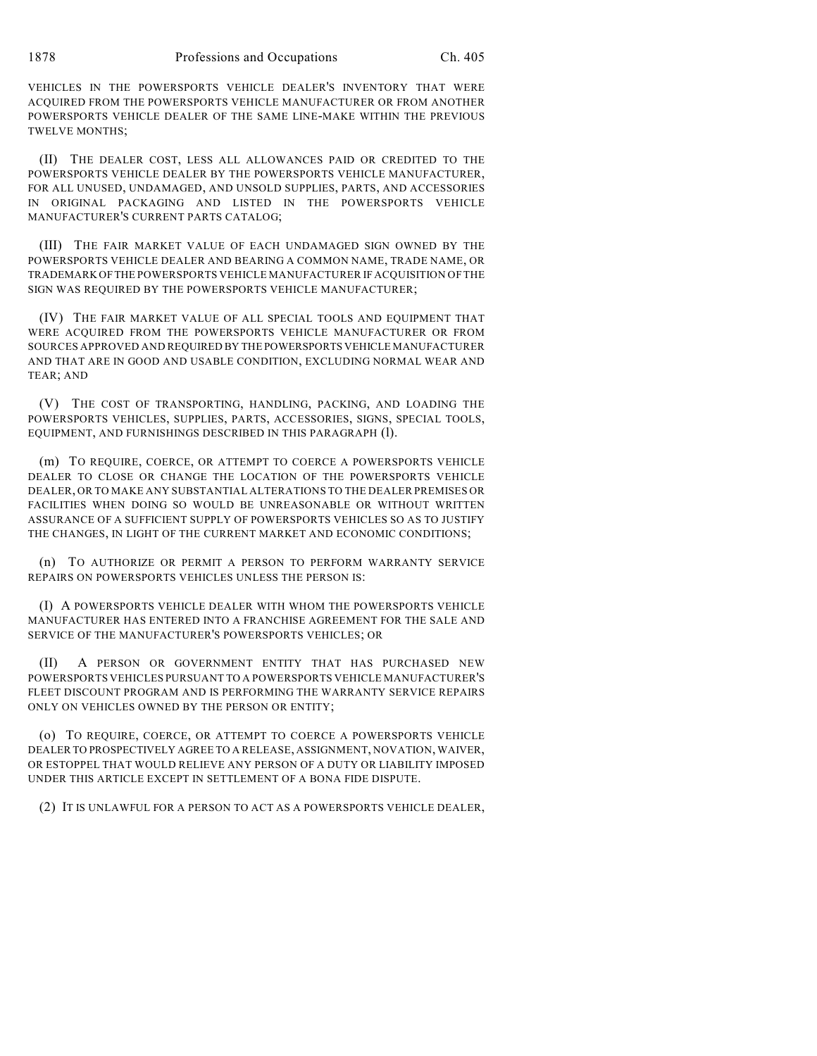VEHICLES IN THE POWERSPORTS VEHICLE DEALER'S INVENTORY THAT WERE ACQUIRED FROM THE POWERSPORTS VEHICLE MANUFACTURER OR FROM ANOTHER POWERSPORTS VEHICLE DEALER OF THE SAME LINE-MAKE WITHIN THE PREVIOUS TWELVE MONTHS;

(II) THE DEALER COST, LESS ALL ALLOWANCES PAID OR CREDITED TO THE POWERSPORTS VEHICLE DEALER BY THE POWERSPORTS VEHICLE MANUFACTURER, FOR ALL UNUSED, UNDAMAGED, AND UNSOLD SUPPLIES, PARTS, AND ACCESSORIES IN ORIGINAL PACKAGING AND LISTED IN THE POWERSPORTS VEHICLE MANUFACTURER'S CURRENT PARTS CATALOG;

(III) THE FAIR MARKET VALUE OF EACH UNDAMAGED SIGN OWNED BY THE POWERSPORTS VEHICLE DEALER AND BEARING A COMMON NAME, TRADE NAME, OR TRADEMARK OF THE POWERSPORTS VEHICLE MANUFACTURER IF ACQUISITION OF THE SIGN WAS REQUIRED BY THE POWERSPORTS VEHICLE MANUFACTURER;

(IV) THE FAIR MARKET VALUE OF ALL SPECIAL TOOLS AND EQUIPMENT THAT WERE ACQUIRED FROM THE POWERSPORTS VEHICLE MANUFACTURER OR FROM SOURCES APPROVED AND REQUIRED BY THE POWERSPORTS VEHICLE MANUFACTURER AND THAT ARE IN GOOD AND USABLE CONDITION, EXCLUDING NORMAL WEAR AND TEAR; AND

(V) THE COST OF TRANSPORTING, HANDLING, PACKING, AND LOADING THE POWERSPORTS VEHICLES, SUPPLIES, PARTS, ACCESSORIES, SIGNS, SPECIAL TOOLS, EQUIPMENT, AND FURNISHINGS DESCRIBED IN THIS PARAGRAPH (1).

(m) TO REQUIRE, COERCE, OR ATTEMPT TO COERCE A POWERSPORTS VEHICLE DEALER TO CLOSE OR CHANGE THE LOCATION OF THE POWERSPORTS VEHICLE DEALER, OR TO MAKE ANY SUBSTANTIAL ALTERATIONS TO THE DEALER PREMISES OR FACILITIES WHEN DOING SO WOULD BE UNREASONABLE OR WITHOUT WRITTEN ASSURANCE OF A SUFFICIENT SUPPLY OF POWERSPORTS VEHICLES SO AS TO JUSTIFY THE CHANGES, IN LIGHT OF THE CURRENT MARKET AND ECONOMIC CONDITIONS;

(n) TO AUTHORIZE OR PERMIT A PERSON TO PERFORM WARRANTY SERVICE REPAIRS ON POWERSPORTS VEHICLES UNLESS THE PERSON IS:

(I) A POWERSPORTS VEHICLE DEALER WITH WHOM THE POWERSPORTS VEHICLE MANUFACTURER HAS ENTERED INTO A FRANCHISE AGREEMENT FOR THE SALE AND SERVICE OF THE MANUFACTURER'S POWERSPORTS VEHICLES; OR

(II) A PERSON OR GOVERNMENT ENTITY THAT HAS PURCHASED NEW POWERSPORTS VEHICLES PURSUANT TO A POWERSPORTS VEHICLE MANUFACTURER'S FLEET DISCOUNT PROGRAM AND IS PERFORMING THE WARRANTY SERVICE REPAIRS ONLY ON VEHICLES OWNED BY THE PERSON OR ENTITY;

(o) TO REQUIRE, COERCE, OR ATTEMPT TO COERCE A POWERSPORTS VEHICLE DEALER TO PROSPECTIVELY AGREE TO A RELEASE, ASSIGNMENT, NOVATION, WAIVER, OR ESTOPPEL THAT WOULD RELIEVE ANY PERSON OF A DUTY OR LIABILITY IMPOSED UNDER THIS ARTICLE EXCEPT IN SETTLEMENT OF A BONA FIDE DISPUTE.

(2) IT IS UNLAWFUL FOR A PERSON TO ACT AS A POWERSPORTS VEHICLE DEALER,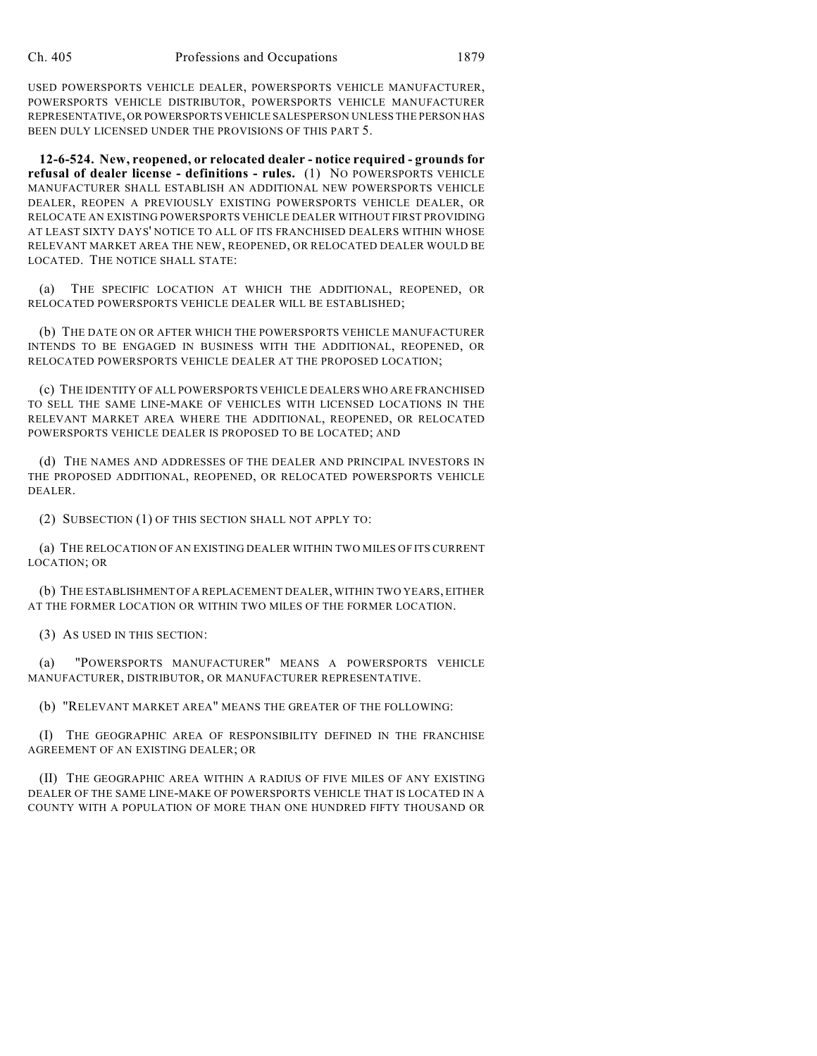USED POWERSPORTS VEHICLE DEALER, POWERSPORTS VEHICLE MANUFACTURER, POWERSPORTS VEHICLE DISTRIBUTOR, POWERSPORTS VEHICLE MANUFACTURER REPRESENTATIVE, OR POWERSPORTS VEHICLE SALESPERSON UNLESS THE PERSON HAS BEEN DULY LICENSED UNDER THE PROVISIONS OF THIS PART 5.

**12-6-524. New, reopened, or relocated dealer - notice required - grounds for refusal of dealer license - definitions - rules.** (1) NO POWERSPORTS VEHICLE MANUFACTURER SHALL ESTABLISH AN ADDITIONAL NEW POWERSPORTS VEHICLE DEALER, REOPEN A PREVIOUSLY EXISTING POWERSPORTS VEHICLE DEALER, OR RELOCATE AN EXISTING POWERSPORTS VEHICLE DEALER WITHOUT FIRST PROVIDING AT LEAST SIXTY DAYS' NOTICE TO ALL OF ITS FRANCHISED DEALERS WITHIN WHOSE RELEVANT MARKET AREA THE NEW, REOPENED, OR RELOCATED DEALER WOULD BE LOCATED. THE NOTICE SHALL STATE:

(a) THE SPECIFIC LOCATION AT WHICH THE ADDITIONAL, REOPENED, OR RELOCATED POWERSPORTS VEHICLE DEALER WILL BE ESTABLISHED;

(b) THE DATE ON OR AFTER WHICH THE POWERSPORTS VEHICLE MANUFACTURER INTENDS TO BE ENGAGED IN BUSINESS WITH THE ADDITIONAL, REOPENED, OR RELOCATED POWERSPORTS VEHICLE DEALER AT THE PROPOSED LOCATION;

(c) THE IDENTITY OF ALL POWERSPORTS VEHICLE DEALERS WHO ARE FRANCHISED TO SELL THE SAME LINE-MAKE OF VEHICLES WITH LICENSED LOCATIONS IN THE RELEVANT MARKET AREA WHERE THE ADDITIONAL, REOPENED, OR RELOCATED POWERSPORTS VEHICLE DEALER IS PROPOSED TO BE LOCATED; AND

(d) THE NAMES AND ADDRESSES OF THE DEALER AND PRINCIPAL INVESTORS IN THE PROPOSED ADDITIONAL, REOPENED, OR RELOCATED POWERSPORTS VEHICLE DEALER.

(2) SUBSECTION (1) OF THIS SECTION SHALL NOT APPLY TO:

(a) THE RELOCATION OF AN EXISTING DEALER WITHIN TWO MILES OF ITS CURRENT LOCATION; OR

(b) THE ESTABLISHMENT OF A REPLACEMENT DEALER, WITHIN TWO YEARS, EITHER AT THE FORMER LOCATION OR WITHIN TWO MILES OF THE FORMER LOCATION.

(3) AS USED IN THIS SECTION:

(a) "POWERSPORTS MANUFACTURER" MEANS A POWERSPORTS VEHICLE MANUFACTURER, DISTRIBUTOR, OR MANUFACTURER REPRESENTATIVE.

(b) "RELEVANT MARKET AREA" MEANS THE GREATER OF THE FOLLOWING:

(I) THE GEOGRAPHIC AREA OF RESPONSIBILITY DEFINED IN THE FRANCHISE AGREEMENT OF AN EXISTING DEALER; OR

(II) THE GEOGRAPHIC AREA WITHIN A RADIUS OF FIVE MILES OF ANY EXISTING DEALER OF THE SAME LINE-MAKE OF POWERSPORTS VEHICLE THAT IS LOCATED IN A COUNTY WITH A POPULATION OF MORE THAN ONE HUNDRED FIFTY THOUSAND OR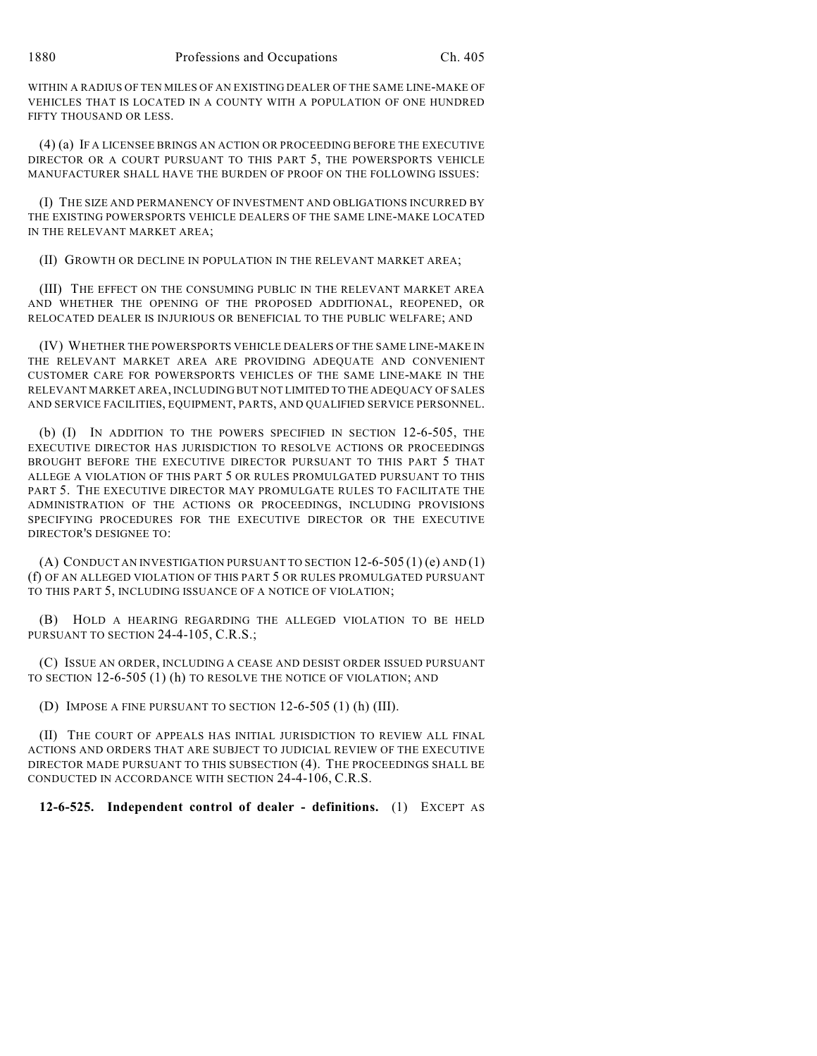WITHIN A RADIUS OF TEN MILES OF AN EXISTING DEALER OF THE SAME LINE-MAKE OF VEHICLES THAT IS LOCATED IN A COUNTY WITH A POPULATION OF ONE HUNDRED FIFTY THOUSAND OR LESS.

(4) (a) IF A LICENSEE BRINGS AN ACTION OR PROCEEDING BEFORE THE EXECUTIVE DIRECTOR OR A COURT PURSUANT TO THIS PART 5, THE POWERSPORTS VEHICLE MANUFACTURER SHALL HAVE THE BURDEN OF PROOF ON THE FOLLOWING ISSUES:

(I) THE SIZE AND PERMANENCY OF INVESTMENT AND OBLIGATIONS INCURRED BY THE EXISTING POWERSPORTS VEHICLE DEALERS OF THE SAME LINE-MAKE LOCATED IN THE RELEVANT MARKET AREA;

(II) GROWTH OR DECLINE IN POPULATION IN THE RELEVANT MARKET AREA;

(III) THE EFFECT ON THE CONSUMING PUBLIC IN THE RELEVANT MARKET AREA AND WHETHER THE OPENING OF THE PROPOSED ADDITIONAL, REOPENED, OR RELOCATED DEALER IS INJURIOUS OR BENEFICIAL TO THE PUBLIC WELFARE; AND

(IV) WHETHER THE POWERSPORTS VEHICLE DEALERS OF THE SAME LINE-MAKE IN THE RELEVANT MARKET AREA ARE PROVIDING ADEQUATE AND CONVENIENT CUSTOMER CARE FOR POWERSPORTS VEHICLES OF THE SAME LINE-MAKE IN THE RELEVANT MARKET AREA, INCLUDING BUT NOT LIMITED TO THE ADEQUACY OF SALES AND SERVICE FACILITIES, EQUIPMENT, PARTS, AND QUALIFIED SERVICE PERSONNEL.

(b) (I) IN ADDITION TO THE POWERS SPECIFIED IN SECTION 12-6-505, THE EXECUTIVE DIRECTOR HAS JURISDICTION TO RESOLVE ACTIONS OR PROCEEDINGS BROUGHT BEFORE THE EXECUTIVE DIRECTOR PURSUANT TO THIS PART 5 THAT ALLEGE A VIOLATION OF THIS PART 5 OR RULES PROMULGATED PURSUANT TO THIS PART 5. THE EXECUTIVE DIRECTOR MAY PROMULGATE RULES TO FACILITATE THE ADMINISTRATION OF THE ACTIONS OR PROCEEDINGS, INCLUDING PROVISIONS SPECIFYING PROCEDURES FOR THE EXECUTIVE DIRECTOR OR THE EXECUTIVE DIRECTOR'S DESIGNEE TO:

(A) CONDUCT AN INVESTIGATION PURSUANT TO SECTION  $12-6-505(1)$  (e) AND  $(1)$ (f) OF AN ALLEGED VIOLATION OF THIS PART 5 OR RULES PROMULGATED PURSUANT TO THIS PART 5, INCLUDING ISSUANCE OF A NOTICE OF VIOLATION;

(B) HOLD A HEARING REGARDING THE ALLEGED VIOLATION TO BE HELD PURSUANT TO SECTION 24-4-105, C.R.S.;

(C) ISSUE AN ORDER, INCLUDING A CEASE AND DESIST ORDER ISSUED PURSUANT TO SECTION 12-6-505 (1) (h) TO RESOLVE THE NOTICE OF VIOLATION; AND

(D) IMPOSE A FINE PURSUANT TO SECTION 12-6-505 (1) (h) (III).

(II) THE COURT OF APPEALS HAS INITIAL JURISDICTION TO REVIEW ALL FINAL ACTIONS AND ORDERS THAT ARE SUBJECT TO JUDICIAL REVIEW OF THE EXECUTIVE DIRECTOR MADE PURSUANT TO THIS SUBSECTION (4). THE PROCEEDINGS SHALL BE CONDUCTED IN ACCORDANCE WITH SECTION 24-4-106, C.R.S.

## **12-6-525. Independent control of dealer - definitions.** (1) EXCEPT AS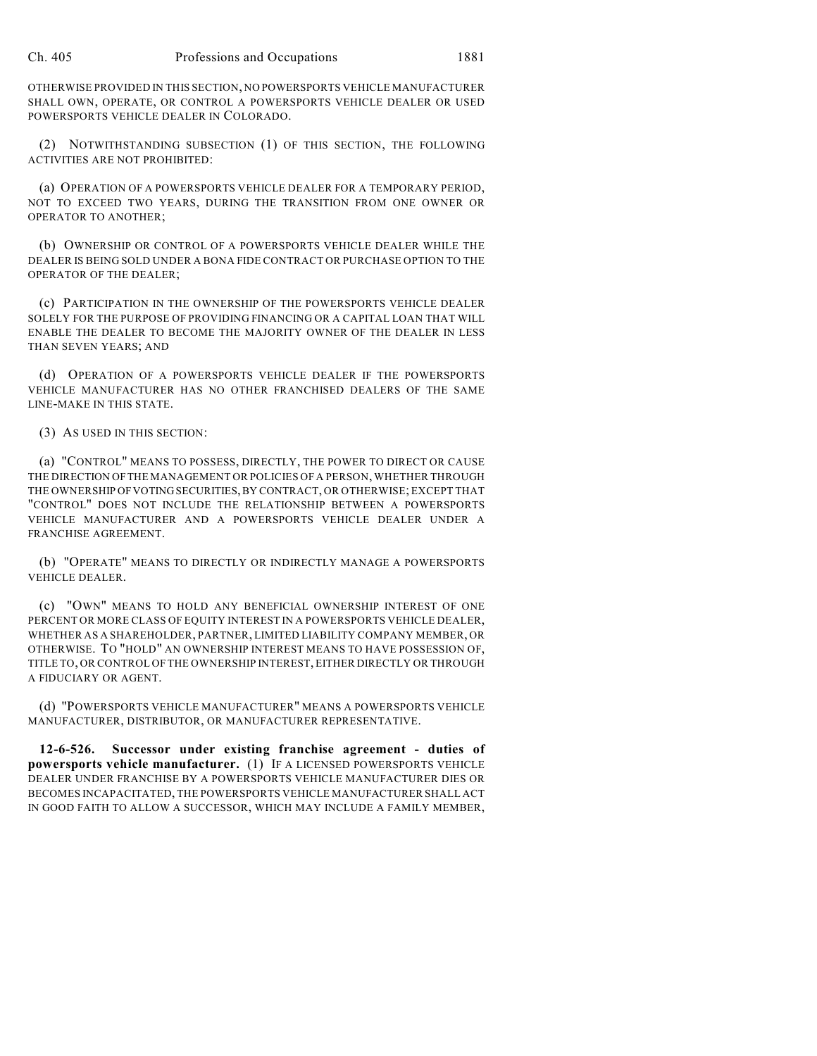OTHERWISE PROVIDED IN THIS SECTION, NO POWERSPORTS VEHICLE MANUFACTURER SHALL OWN, OPERATE, OR CONTROL A POWERSPORTS VEHICLE DEALER OR USED POWERSPORTS VEHICLE DEALER IN COLORADO.

(2) NOTWITHSTANDING SUBSECTION (1) OF THIS SECTION, THE FOLLOWING ACTIVITIES ARE NOT PROHIBITED:

(a) OPERATION OF A POWERSPORTS VEHICLE DEALER FOR A TEMPORARY PERIOD, NOT TO EXCEED TWO YEARS, DURING THE TRANSITION FROM ONE OWNER OR OPERATOR TO ANOTHER;

(b) OWNERSHIP OR CONTROL OF A POWERSPORTS VEHICLE DEALER WHILE THE DEALER IS BEING SOLD UNDER A BONA FIDE CONTRACT OR PURCHASE OPTION TO THE OPERATOR OF THE DEALER;

(c) PARTICIPATION IN THE OWNERSHIP OF THE POWERSPORTS VEHICLE DEALER SOLELY FOR THE PURPOSE OF PROVIDING FINANCING OR A CAPITAL LOAN THAT WILL ENABLE THE DEALER TO BECOME THE MAJORITY OWNER OF THE DEALER IN LESS THAN SEVEN YEARS; AND

(d) OPERATION OF A POWERSPORTS VEHICLE DEALER IF THE POWERSPORTS VEHICLE MANUFACTURER HAS NO OTHER FRANCHISED DEALERS OF THE SAME LINE-MAKE IN THIS STATE.

(3) AS USED IN THIS SECTION:

(a) "CONTROL" MEANS TO POSSESS, DIRECTLY, THE POWER TO DIRECT OR CAUSE THE DIRECTION OF THE MANAGEMENT OR POLICIES OF A PERSON, WHETHER THROUGH THE OWNERSHIP OF VOTING SECURITIES, BY CONTRACT, OR OTHERWISE; EXCEPT THAT "CONTROL" DOES NOT INCLUDE THE RELATIONSHIP BETWEEN A POWERSPORTS VEHICLE MANUFACTURER AND A POWERSPORTS VEHICLE DEALER UNDER A FRANCHISE AGREEMENT.

(b) "OPERATE" MEANS TO DIRECTLY OR INDIRECTLY MANAGE A POWERSPORTS VEHICLE DEALER.

(c) "OWN" MEANS TO HOLD ANY BENEFICIAL OWNERSHIP INTEREST OF ONE PERCENT OR MORE CLASS OF EQUITY INTEREST IN A POWERSPORTS VEHICLE DEALER, WHETHER AS A SHAREHOLDER, PARTNER, LIMITED LIABILITY COMPANY MEMBER, OR OTHERWISE. TO "HOLD" AN OWNERSHIP INTEREST MEANS TO HAVE POSSESSION OF, TITLE TO, OR CONTROL OF THE OWNERSHIP INTEREST, EITHER DIRECTLY OR THROUGH A FIDUCIARY OR AGENT.

(d) "POWERSPORTS VEHICLE MANUFACTURER" MEANS A POWERSPORTS VEHICLE MANUFACTURER, DISTRIBUTOR, OR MANUFACTURER REPRESENTATIVE.

**12-6-526. Successor under existing franchise agreement - duties of powersports vehicle manufacturer.** (1) IF A LICENSED POWERSPORTS VEHICLE DEALER UNDER FRANCHISE BY A POWERSPORTS VEHICLE MANUFACTURER DIES OR BECOMES INCAPACITATED, THE POWERSPORTS VEHICLE MANUFACTURER SHALL ACT IN GOOD FAITH TO ALLOW A SUCCESSOR, WHICH MAY INCLUDE A FAMILY MEMBER,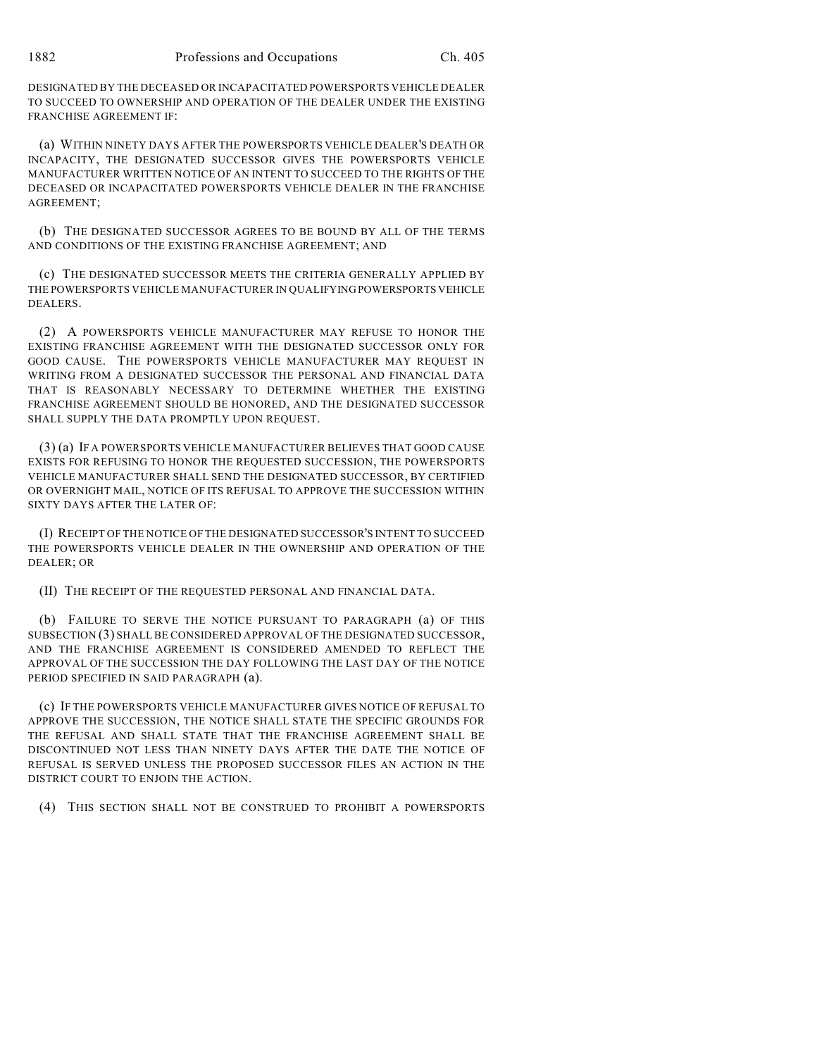DESIGNATED BY THE DECEASED OR INCAPACITATED POWERSPORTS VEHICLE DEALER TO SUCCEED TO OWNERSHIP AND OPERATION OF THE DEALER UNDER THE EXISTING FRANCHISE AGREEMENT IF:

(a) WITHIN NINETY DAYS AFTER THE POWERSPORTS VEHICLE DEALER'S DEATH OR INCAPACITY, THE DESIGNATED SUCCESSOR GIVES THE POWERSPORTS VEHICLE MANUFACTURER WRITTEN NOTICE OF AN INTENT TO SUCCEED TO THE RIGHTS OF THE DECEASED OR INCAPACITATED POWERSPORTS VEHICLE DEALER IN THE FRANCHISE AGREEMENT;

(b) THE DESIGNATED SUCCESSOR AGREES TO BE BOUND BY ALL OF THE TERMS AND CONDITIONS OF THE EXISTING FRANCHISE AGREEMENT; AND

(c) THE DESIGNATED SUCCESSOR MEETS THE CRITERIA GENERALLY APPLIED BY THE POWERSPORTS VEHICLE MANUFACTURER IN QUALIFYING POWERSPORTS VEHICLE DEALERS.

(2) A POWERSPORTS VEHICLE MANUFACTURER MAY REFUSE TO HONOR THE EXISTING FRANCHISE AGREEMENT WITH THE DESIGNATED SUCCESSOR ONLY FOR GOOD CAUSE. THE POWERSPORTS VEHICLE MANUFACTURER MAY REQUEST IN WRITING FROM A DESIGNATED SUCCESSOR THE PERSONAL AND FINANCIAL DATA THAT IS REASONABLY NECESSARY TO DETERMINE WHETHER THE EXISTING FRANCHISE AGREEMENT SHOULD BE HONORED, AND THE DESIGNATED SUCCESSOR SHALL SUPPLY THE DATA PROMPTLY UPON REQUEST.

(3) (a) IF A POWERSPORTS VEHICLE MANUFACTURER BELIEVES THAT GOOD CAUSE EXISTS FOR REFUSING TO HONOR THE REQUESTED SUCCESSION, THE POWERSPORTS VEHICLE MANUFACTURER SHALL SEND THE DESIGNATED SUCCESSOR, BY CERTIFIED OR OVERNIGHT MAIL, NOTICE OF ITS REFUSAL TO APPROVE THE SUCCESSION WITHIN SIXTY DAYS AFTER THE LATER OF:

(I) RECEIPT OF THE NOTICE OF THE DESIGNATED SUCCESSOR'S INTENT TO SUCCEED THE POWERSPORTS VEHICLE DEALER IN THE OWNERSHIP AND OPERATION OF THE DEALER; OR

(II) THE RECEIPT OF THE REQUESTED PERSONAL AND FINANCIAL DATA.

(b) FAILURE TO SERVE THE NOTICE PURSUANT TO PARAGRAPH (a) OF THIS SUBSECTION (3) SHALL BE CONSIDERED APPROVAL OF THE DESIGNATED SUCCESSOR, AND THE FRANCHISE AGREEMENT IS CONSIDERED AMENDED TO REFLECT THE APPROVAL OF THE SUCCESSION THE DAY FOLLOWING THE LAST DAY OF THE NOTICE PERIOD SPECIFIED IN SAID PARAGRAPH (a).

(c) IF THE POWERSPORTS VEHICLE MANUFACTURER GIVES NOTICE OF REFUSAL TO APPROVE THE SUCCESSION, THE NOTICE SHALL STATE THE SPECIFIC GROUNDS FOR THE REFUSAL AND SHALL STATE THAT THE FRANCHISE AGREEMENT SHALL BE DISCONTINUED NOT LESS THAN NINETY DAYS AFTER THE DATE THE NOTICE OF REFUSAL IS SERVED UNLESS THE PROPOSED SUCCESSOR FILES AN ACTION IN THE DISTRICT COURT TO ENJOIN THE ACTION.

(4) THIS SECTION SHALL NOT BE CONSTRUED TO PROHIBIT A POWERSPORTS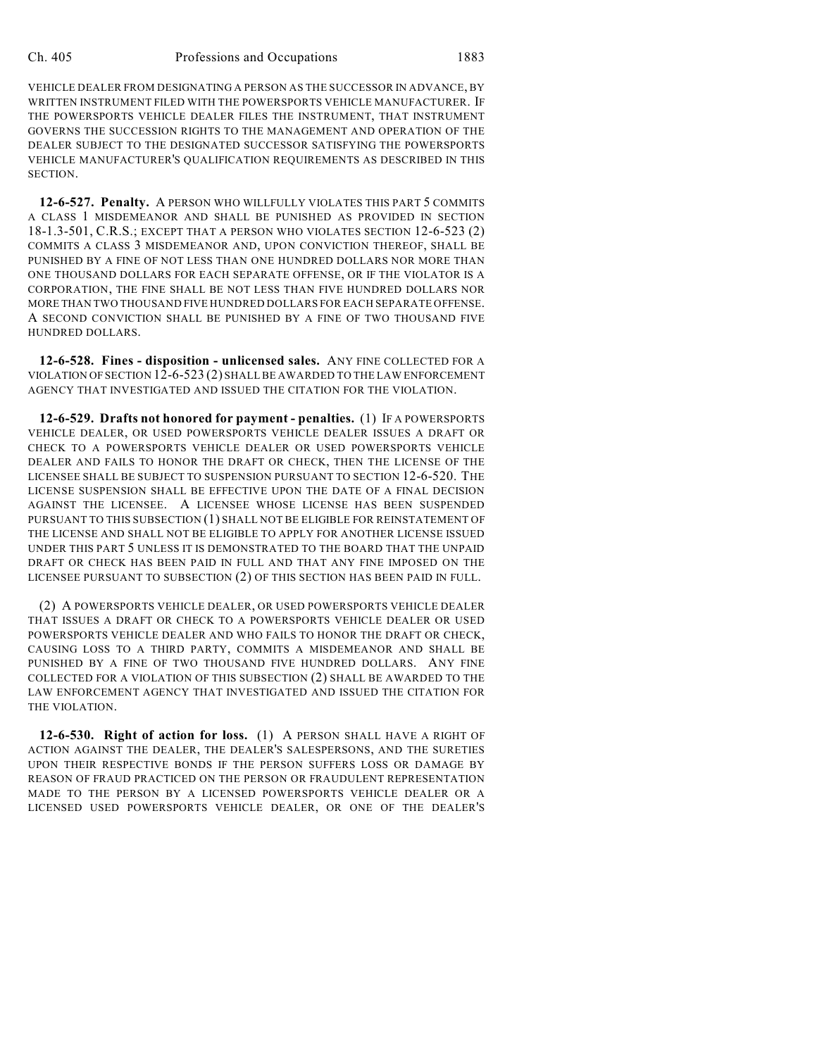VEHICLE DEALER FROM DESIGNATING A PERSON AS THE SUCCESSOR IN ADVANCE, BY WRITTEN INSTRUMENT FILED WITH THE POWERSPORTS VEHICLE MANUFACTURER. IF THE POWERSPORTS VEHICLE DEALER FILES THE INSTRUMENT, THAT INSTRUMENT GOVERNS THE SUCCESSION RIGHTS TO THE MANAGEMENT AND OPERATION OF THE DEALER SUBJECT TO THE DESIGNATED SUCCESSOR SATISFYING THE POWERSPORTS VEHICLE MANUFACTURER'S QUALIFICATION REQUIREMENTS AS DESCRIBED IN THIS SECTION.

**12-6-527. Penalty.** A PERSON WHO WILLFULLY VIOLATES THIS PART 5 COMMITS A CLASS 1 MISDEMEANOR AND SHALL BE PUNISHED AS PROVIDED IN SECTION 18-1.3-501, C.R.S.; EXCEPT THAT A PERSON WHO VIOLATES SECTION 12-6-523 (2) COMMITS A CLASS 3 MISDEMEANOR AND, UPON CONVICTION THEREOF, SHALL BE PUNISHED BY A FINE OF NOT LESS THAN ONE HUNDRED DOLLARS NOR MORE THAN ONE THOUSAND DOLLARS FOR EACH SEPARATE OFFENSE, OR IF THE VIOLATOR IS A CORPORATION, THE FINE SHALL BE NOT LESS THAN FIVE HUNDRED DOLLARS NOR MORE THAN TWO THOUSAND FIVE HUNDRED DOLLARS FOR EACH SEPARATE OFFENSE. A SECOND CONVICTION SHALL BE PUNISHED BY A FINE OF TWO THOUSAND FIVE HUNDRED DOLLARS.

**12-6-528. Fines - disposition - unlicensed sales.** ANY FINE COLLECTED FOR A VIOLATION OF SECTION 12-6-523 (2) SHALL BE AWARDED TO THE LAW ENFORCEMENT AGENCY THAT INVESTIGATED AND ISSUED THE CITATION FOR THE VIOLATION.

**12-6-529. Drafts not honored for payment - penalties.** (1) IF A POWERSPORTS VEHICLE DEALER, OR USED POWERSPORTS VEHICLE DEALER ISSUES A DRAFT OR CHECK TO A POWERSPORTS VEHICLE DEALER OR USED POWERSPORTS VEHICLE DEALER AND FAILS TO HONOR THE DRAFT OR CHECK, THEN THE LICENSE OF THE LICENSEE SHALL BE SUBJECT TO SUSPENSION PURSUANT TO SECTION 12-6-520. THE LICENSE SUSPENSION SHALL BE EFFECTIVE UPON THE DATE OF A FINAL DECISION AGAINST THE LICENSEE. A LICENSEE WHOSE LICENSE HAS BEEN SUSPENDED PURSUANT TO THIS SUBSECTION (1) SHALL NOT BE ELIGIBLE FOR REINSTATEMENT OF THE LICENSE AND SHALL NOT BE ELIGIBLE TO APPLY FOR ANOTHER LICENSE ISSUED UNDER THIS PART 5 UNLESS IT IS DEMONSTRATED TO THE BOARD THAT THE UNPAID DRAFT OR CHECK HAS BEEN PAID IN FULL AND THAT ANY FINE IMPOSED ON THE LICENSEE PURSUANT TO SUBSECTION (2) OF THIS SECTION HAS BEEN PAID IN FULL.

(2) A POWERSPORTS VEHICLE DEALER, OR USED POWERSPORTS VEHICLE DEALER THAT ISSUES A DRAFT OR CHECK TO A POWERSPORTS VEHICLE DEALER OR USED POWERSPORTS VEHICLE DEALER AND WHO FAILS TO HONOR THE DRAFT OR CHECK, CAUSING LOSS TO A THIRD PARTY, COMMITS A MISDEMEANOR AND SHALL BE PUNISHED BY A FINE OF TWO THOUSAND FIVE HUNDRED DOLLARS. ANY FINE COLLECTED FOR A VIOLATION OF THIS SUBSECTION (2) SHALL BE AWARDED TO THE LAW ENFORCEMENT AGENCY THAT INVESTIGATED AND ISSUED THE CITATION FOR THE VIOLATION.

**12-6-530. Right of action for loss.** (1) A PERSON SHALL HAVE A RIGHT OF ACTION AGAINST THE DEALER, THE DEALER'S SALESPERSONS, AND THE SURETIES UPON THEIR RESPECTIVE BONDS IF THE PERSON SUFFERS LOSS OR DAMAGE BY REASON OF FRAUD PRACTICED ON THE PERSON OR FRAUDULENT REPRESENTATION MADE TO THE PERSON BY A LICENSED POWERSPORTS VEHICLE DEALER OR A LICENSED USED POWERSPORTS VEHICLE DEALER, OR ONE OF THE DEALER'S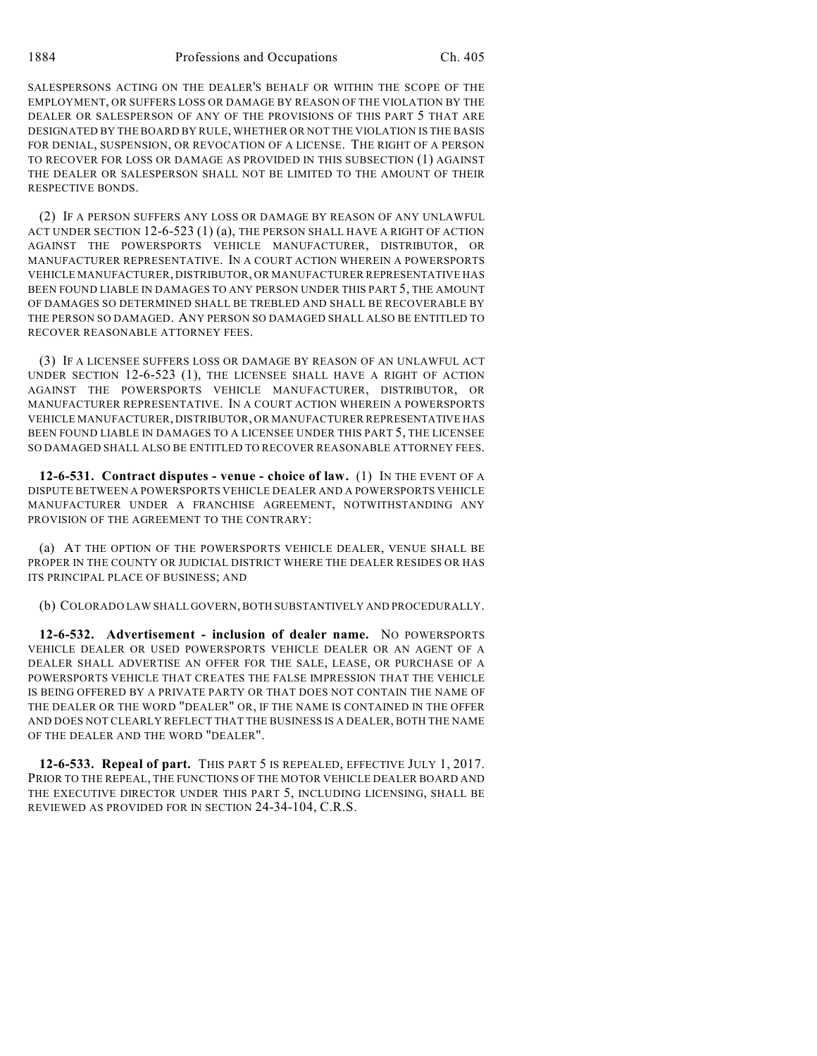SALESPERSONS ACTING ON THE DEALER'S BEHALF OR WITHIN THE SCOPE OF THE EMPLOYMENT, OR SUFFERS LOSS OR DAMAGE BY REASON OF THE VIOLATION BY THE DEALER OR SALESPERSON OF ANY OF THE PROVISIONS OF THIS PART 5 THAT ARE DESIGNATED BY THE BOARD BY RULE, WHETHER OR NOT THE VIOLATION IS THE BASIS FOR DENIAL, SUSPENSION, OR REVOCATION OF A LICENSE. THE RIGHT OF A PERSON TO RECOVER FOR LOSS OR DAMAGE AS PROVIDED IN THIS SUBSECTION (1) AGAINST THE DEALER OR SALESPERSON SHALL NOT BE LIMITED TO THE AMOUNT OF THEIR RESPECTIVE BONDS.

(2) IF A PERSON SUFFERS ANY LOSS OR DAMAGE BY REASON OF ANY UNLAWFUL ACT UNDER SECTION 12-6-523 (1) (a), THE PERSON SHALL HAVE A RIGHT OF ACTION AGAINST THE POWERSPORTS VEHICLE MANUFACTURER, DISTRIBUTOR, OR MANUFACTURER REPRESENTATIVE. IN A COURT ACTION WHEREIN A POWERSPORTS VEHICLE MANUFACTURER, DISTRIBUTOR, OR MANUFACTURER REPRESENTATIVE HAS BEEN FOUND LIABLE IN DAMAGES TO ANY PERSON UNDER THIS PART 5, THE AMOUNT OF DAMAGES SO DETERMINED SHALL BE TREBLED AND SHALL BE RECOVERABLE BY THE PERSON SO DAMAGED. ANY PERSON SO DAMAGED SHALL ALSO BE ENTITLED TO RECOVER REASONABLE ATTORNEY FEES.

(3) IF A LICENSEE SUFFERS LOSS OR DAMAGE BY REASON OF AN UNLAWFUL ACT UNDER SECTION 12-6-523 (1), THE LICENSEE SHALL HAVE A RIGHT OF ACTION AGAINST THE POWERSPORTS VEHICLE MANUFACTURER, DISTRIBUTOR, OR MANUFACTURER REPRESENTATIVE. IN A COURT ACTION WHEREIN A POWERSPORTS VEHICLE MANUFACTURER, DISTRIBUTOR, OR MANUFACTURER REPRESENTATIVE HAS BEEN FOUND LIABLE IN DAMAGES TO A LICENSEE UNDER THIS PART 5, THE LICENSEE SO DAMAGED SHALL ALSO BE ENTITLED TO RECOVER REASONABLE ATTORNEY FEES.

**12-6-531. Contract disputes - venue - choice of law.** (1) IN THE EVENT OF A DISPUTE BETWEEN A POWERSPORTS VEHICLE DEALER AND A POWERSPORTS VEHICLE MANUFACTURER UNDER A FRANCHISE AGREEMENT, NOTWITHSTANDING ANY PROVISION OF THE AGREEMENT TO THE CONTRARY:

(a) AT THE OPTION OF THE POWERSPORTS VEHICLE DEALER, VENUE SHALL BE PROPER IN THE COUNTY OR JUDICIAL DISTRICT WHERE THE DEALER RESIDES OR HAS ITS PRINCIPAL PLACE OF BUSINESS; AND

(b) COLORADO LAW SHALL GOVERN, BOTH SUBSTANTIVELY AND PROCEDURALLY.

**12-6-532. Advertisement - inclusion of dealer name.** NO POWERSPORTS VEHICLE DEALER OR USED POWERSPORTS VEHICLE DEALER OR AN AGENT OF A DEALER SHALL ADVERTISE AN OFFER FOR THE SALE, LEASE, OR PURCHASE OF A POWERSPORTS VEHICLE THAT CREATES THE FALSE IMPRESSION THAT THE VEHICLE IS BEING OFFERED BY A PRIVATE PARTY OR THAT DOES NOT CONTAIN THE NAME OF THE DEALER OR THE WORD "DEALER" OR, IF THE NAME IS CONTAINED IN THE OFFER AND DOES NOT CLEARLY REFLECT THAT THE BUSINESS IS A DEALER, BOTH THE NAME OF THE DEALER AND THE WORD "DEALER".

**12-6-533. Repeal of part.** THIS PART 5 IS REPEALED, EFFECTIVE JULY 1, 2017. PRIOR TO THE REPEAL, THE FUNCTIONS OF THE MOTOR VEHICLE DEALER BOARD AND THE EXECUTIVE DIRECTOR UNDER THIS PART 5, INCLUDING LICENSING, SHALL BE REVIEWED AS PROVIDED FOR IN SECTION 24-34-104, C.R.S.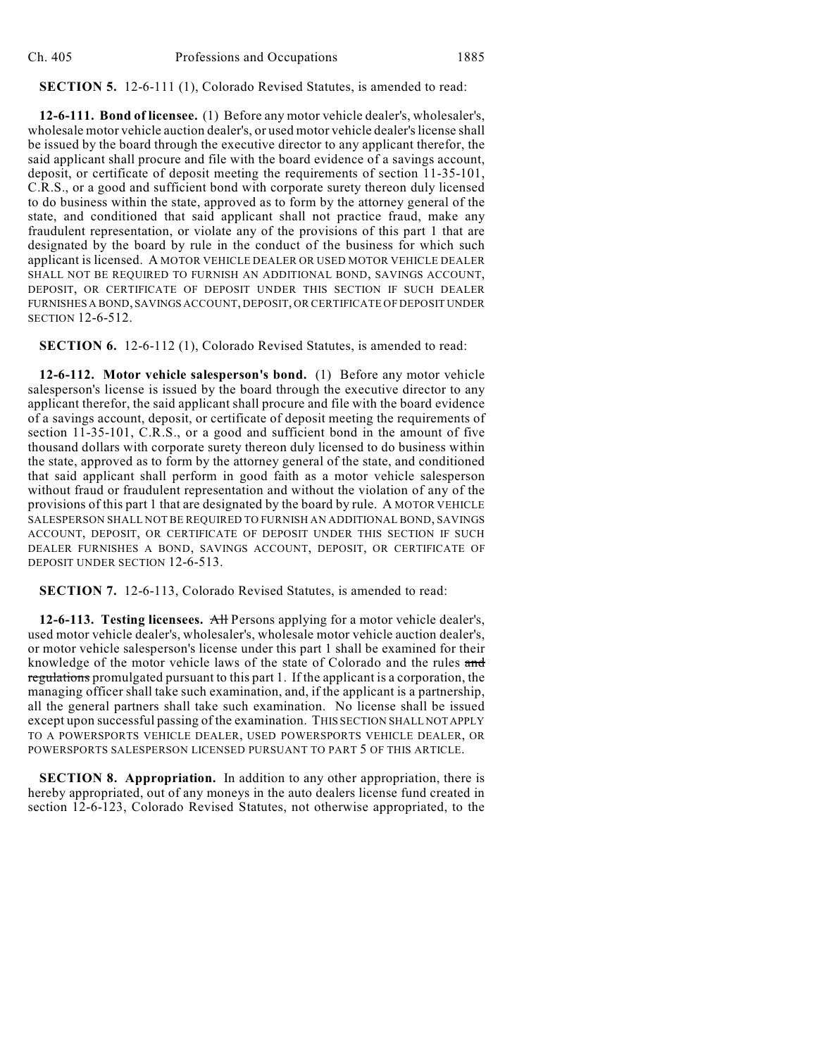### **SECTION 5.** 12-6-111 (1), Colorado Revised Statutes, is amended to read:

**12-6-111. Bond of licensee.** (1) Before any motor vehicle dealer's, wholesaler's, wholesale motor vehicle auction dealer's, or used motor vehicle dealer's license shall be issued by the board through the executive director to any applicant therefor, the said applicant shall procure and file with the board evidence of a savings account, deposit, or certificate of deposit meeting the requirements of section 11-35-101, C.R.S., or a good and sufficient bond with corporate surety thereon duly licensed to do business within the state, approved as to form by the attorney general of the state, and conditioned that said applicant shall not practice fraud, make any fraudulent representation, or violate any of the provisions of this part 1 that are designated by the board by rule in the conduct of the business for which such applicant is licensed. A MOTOR VEHICLE DEALER OR USED MOTOR VEHICLE DEALER SHALL NOT BE REQUIRED TO FURNISH AN ADDITIONAL BOND, SAVINGS ACCOUNT, DEPOSIT, OR CERTIFICATE OF DEPOSIT UNDER THIS SECTION IF SUCH DEALER FURNISHES A BOND, SAVINGS ACCOUNT, DEPOSIT, OR CERTIFICATE OF DEPOSIT UNDER SECTION 12-6-512.

**SECTION 6.** 12-6-112 (1), Colorado Revised Statutes, is amended to read:

**12-6-112. Motor vehicle salesperson's bond.** (1) Before any motor vehicle salesperson's license is issued by the board through the executive director to any applicant therefor, the said applicant shall procure and file with the board evidence of a savings account, deposit, or certificate of deposit meeting the requirements of section 11-35-101, C.R.S., or a good and sufficient bond in the amount of five thousand dollars with corporate surety thereon duly licensed to do business within the state, approved as to form by the attorney general of the state, and conditioned that said applicant shall perform in good faith as a motor vehicle salesperson without fraud or fraudulent representation and without the violation of any of the provisions of this part 1 that are designated by the board by rule. A MOTOR VEHICLE SALESPERSON SHALL NOT BE REQUIRED TO FURNISH AN ADDITIONAL BOND, SAVINGS ACCOUNT, DEPOSIT, OR CERTIFICATE OF DEPOSIT UNDER THIS SECTION IF SUCH DEALER FURNISHES A BOND, SAVINGS ACCOUNT, DEPOSIT, OR CERTIFICATE OF DEPOSIT UNDER SECTION 12-6-513.

**SECTION 7.** 12-6-113, Colorado Revised Statutes, is amended to read:

**12-6-113. Testing licensees.** All Persons applying for a motor vehicle dealer's, used motor vehicle dealer's, wholesaler's, wholesale motor vehicle auction dealer's, or motor vehicle salesperson's license under this part 1 shall be examined for their knowledge of the motor vehicle laws of the state of Colorado and the rules and regulations promulgated pursuant to this part 1. If the applicant is a corporation, the managing officer shall take such examination, and, if the applicant is a partnership, all the general partners shall take such examination. No license shall be issued except upon successful passing of the examination. THIS SECTION SHALL NOT APPLY TO A POWERSPORTS VEHICLE DEALER, USED POWERSPORTS VEHICLE DEALER, OR POWERSPORTS SALESPERSON LICENSED PURSUANT TO PART 5 OF THIS ARTICLE.

**SECTION 8. Appropriation.** In addition to any other appropriation, there is hereby appropriated, out of any moneys in the auto dealers license fund created in section 12-6-123, Colorado Revised Statutes, not otherwise appropriated, to the